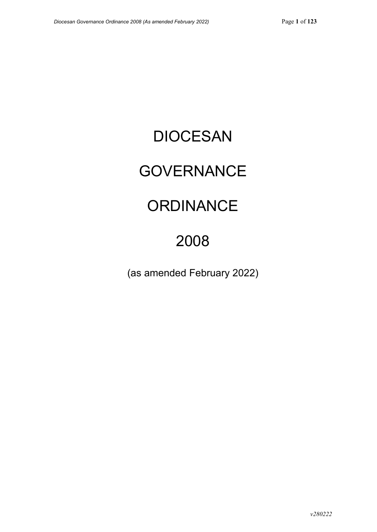# DIOCESAN

# **GOVERNANCE**

# **ORDINANCE**

# 2008

(as amended February 2022)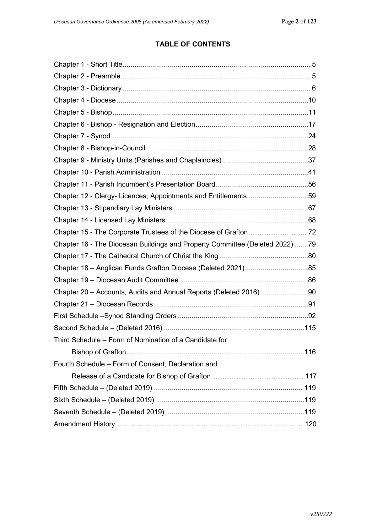# **TABLE OF CONTENTS**

| Chapter 12 - Clergy- Licences, Appointments and Entitlements59               |  |
|------------------------------------------------------------------------------|--|
|                                                                              |  |
|                                                                              |  |
|                                                                              |  |
| Chapter 16 - The Diocesan Buildings and Property Committee (Deleted 2022) 79 |  |
|                                                                              |  |
|                                                                              |  |
|                                                                              |  |
| Chapter 20 - Accounts, Audits and Annual Reports (Deleted 2016) 90           |  |
|                                                                              |  |
|                                                                              |  |
|                                                                              |  |
| Third Schedule - Form of Nomination of a Candidate for                       |  |
|                                                                              |  |
| Fourth Schedule - Form of Consent, Declaration and                           |  |
|                                                                              |  |
|                                                                              |  |
|                                                                              |  |
|                                                                              |  |
|                                                                              |  |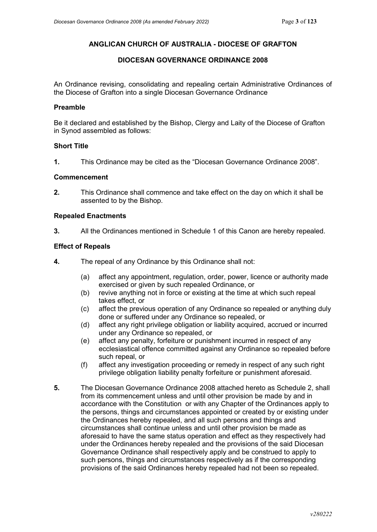### **ANGLICAN CHURCH OF AUSTRALIA - DIOCESE OF GRAFTON**

### **DIOCESAN GOVERNANCE ORDINANCE 2008**

An Ordinance revising, consolidating and repealing certain Administrative Ordinances of the Diocese of Grafton into a single Diocesan Governance Ordinance

### **Preamble**

Be it declared and established by the Bishop, Clergy and Laity of the Diocese of Grafton in Synod assembled as follows:

### **Short Title**

**1.** This Ordinance may be cited as the "Diocesan Governance Ordinance 2008".

### **Commencement**

**2.** This Ordinance shall commence and take effect on the day on which it shall be assented to by the Bishop.

### **Repealed Enactments**

**3.** All the Ordinances mentioned in Schedule 1 of this Canon are hereby repealed.

### **Effect of Repeals**

- **4.** The repeal of any Ordinance by this Ordinance shall not:
	- (a) affect any appointment, regulation, order, power, licence or authority made exercised or given by such repealed Ordinance, or
	- (b) revive anything not in force or existing at the time at which such repeal takes effect, or
	- (c) affect the previous operation of any Ordinance so repealed or anything duly done or suffered under any Ordinance so repealed, or
	- (d) affect any right privilege obligation or liability acquired, accrued or incurred under any Ordinance so repealed, or
	- (e) affect any penalty, forfeiture or punishment incurred in respect of any ecclesiastical offence committed against any Ordinance so repealed before such repeal, or
	- (f) affect any investigation proceeding or remedy in respect of any such right privilege obligation liability penalty forfeiture or punishment aforesaid.
- **5.** The Diocesan Governance Ordinance 2008 attached hereto as Schedule 2, shall from its commencement unless and until other provision be made by and in accordance with the Constitution or with any Chapter of the Ordinances apply to the persons, things and circumstances appointed or created by or existing under the Ordinances hereby repealed, and all such persons and things and circumstances shall continue unless and until other provision be made as aforesaid to have the same status operation and effect as they respectively had under the Ordinances hereby repealed and the provisions of the said Diocesan Governance Ordinance shall respectively apply and be construed to apply to such persons, things and circumstances respectively as if the corresponding provisions of the said Ordinances hereby repealed had not been so repealed.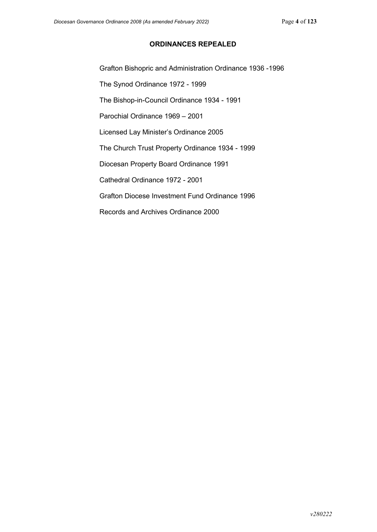### **ORDINANCES REPEALED**

Grafton Bishopric and Administration Ordinance 1936 -1996

The Synod Ordinance 1972 - 1999

The Bishop-in-Council Ordinance 1934 - 1991

Parochial Ordinance 1969 – 2001

Licensed Lay Minister's Ordinance 2005

The Church Trust Property Ordinance 1934 - 1999

Diocesan Property Board Ordinance 1991

Cathedral Ordinance 1972 - 2001

Grafton Diocese Investment Fund Ordinance 1996

Records and Archives Ordinance 2000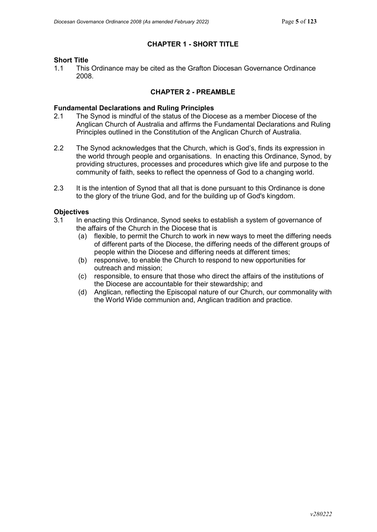## **CHAPTER 1 - SHORT TITLE**

# **Short Title**<br>11 This

1.1 This Ordinance may be cited as the Grafton Diocesan Governance Ordinance 2008.

### **CHAPTER 2 - PREAMBLE**

# **Fundamental Declarations and Ruling Principles**

- The Synod is mindful of the status of the Diocese as a member Diocese of the Anglican Church of Australia and affirms the Fundamental Declarations and Ruling Principles outlined in the Constitution of the Anglican Church of Australia.
- 2.2 The Synod acknowledges that the Church, which is God's, finds its expression in the world through people and organisations. In enacting this Ordinance, Synod, by providing structures, processes and procedures which give life and purpose to the community of faith, seeks to reflect the openness of God to a changing world.
- 2.3 It is the intention of Synod that all that is done pursuant to this Ordinance is done to the glory of the triune God, and for the building up of God's kingdom.

### **Objectives**

- 3.1 In enacting this Ordinance, Synod seeks to establish a system of governance of the affairs of the Church in the Diocese that is
	- (a) flexible, to permit the Church to work in new ways to meet the differing needs of different parts of the Diocese, the differing needs of the different groups of people within the Diocese and differing needs at different times;
	- (b) responsive, to enable the Church to respond to new opportunities for outreach and mission;
	- (c) responsible, to ensure that those who direct the affairs of the institutions of the Diocese are accountable for their stewardship; and
	- (d) Anglican, reflecting the Episcopal nature of our Church, our commonality with the World Wide communion and, Anglican tradition and practice.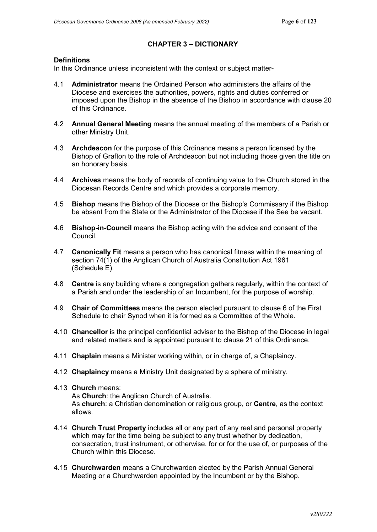# **CHAPTER 3 – DICTIONARY**

### **Definitions**

In this Ordinance unless inconsistent with the context or subject matter-

- 4.1 **Administrator** means the Ordained Person who administers the affairs of the Diocese and exercises the authorities, powers, rights and duties conferred or imposed upon the Bishop in the absence of the Bishop in accordance with clause 20 of this Ordinance.
- 4.2 **Annual General Meeting** means the annual meeting of the members of a Parish or other Ministry Unit.
- 4.3 **Archdeacon** for the purpose of this Ordinance means a person licensed by the Bishop of Grafton to the role of Archdeacon but not including those given the title on an honorary basis.
- 4.4 **Archives** means the body of records of continuing value to the Church stored in the Diocesan Records Centre and which provides a corporate memory.
- 4.5 **Bishop** means the Bishop of the Diocese or the Bishop's Commissary if the Bishop be absent from the State or the Administrator of the Diocese if the See be vacant.
- 4.6 **Bishop-in-Council** means the Bishop acting with the advice and consent of the Council.
- 4.7 **Canonically Fit** means a person who has canonical fitness within the meaning of section 74(1) of the Anglican Church of Australia Constitution Act 1961 (Schedule E).
- 4.8 **Centre** is any building where a congregation gathers regularly, within the context of a Parish and under the leadership of an Incumbent, for the purpose of worship.
- 4.9 **Chair of Committees** means the person elected pursuant to clause 6 of the First Schedule to chair Synod when it is formed as a Committee of the Whole.
- 4.10 **Chancellor** is the principal confidential adviser to the Bishop of the Diocese in legal and related matters and is appointed pursuant to clause 21 of this Ordinance.
- 4.11 **Chaplain** means a Minister working within, or in charge of, a Chaplaincy.
- 4.12 **Chaplaincy** means a Ministry Unit designated by a sphere of ministry.
- 4.13 **Church** means:

As **Church**: the Anglican Church of Australia. As **church**: a Christian denomination or religious group, or **Centre**, as the context allows.

- 4.14 **Church Trust Property** includes all or any part of any real and personal property which may for the time being be subject to any trust whether by dedication, consecration, trust instrument, or otherwise, for or for the use of, or purposes of the Church within this Diocese.
- 4.15 **Churchwarden** means a Churchwarden elected by the Parish Annual General Meeting or a Churchwarden appointed by the Incumbent or by the Bishop.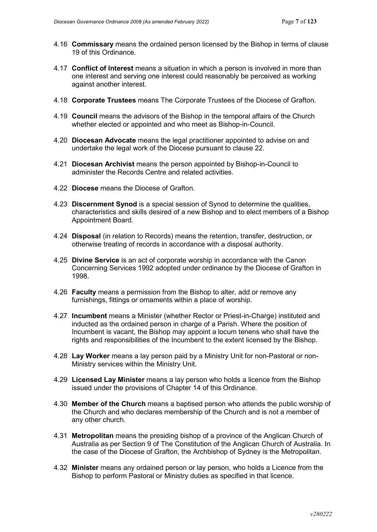- 4.16 **Commissary** means the ordained person licensed by the Bishop in terms of clause 19 of this Ordinance.
- 4.17 **Conflict of Interest** means a situation in which a person is involved in more than one interest and serving one interest could reasonably be perceived as working against another interest.
- 4.18 **Corporate Trustees** means The Corporate Trustees of the Diocese of Grafton.
- 4.19 **Council** means the advisors of the Bishop in the temporal affairs of the Church whether elected or appointed and who meet as Bishop-in-Council.
- 4.20 **Diocesan Advocate** means the legal practitioner appointed to advise on and undertake the legal work of the Diocese pursuant to clause 22.
- 4.21 **Diocesan Archivist** means the person appointed by Bishop-in-Council to administer the Records Centre and related activities.
- 4.22 **Diocese** means the Diocese of Grafton.
- 4.23 **Discernment Synod** is a special session of Synod to determine the qualities, characteristics and skills desired of a new Bishop and to elect members of a Bishop Appointment Board.
- 4.24 **Disposal** (in relation to Records) means the retention, transfer, destruction, or otherwise treating of records in accordance with a disposal authority.
- 4.25 **Divine Service** is an act of corporate worship in accordance with the Canon Concerning Services 1992 adopted under ordinance by the Diocese of Grafton in 1998.
- 4.26 **Faculty** means a permission from the Bishop to alter, add or remove any furnishings, fittings or ornaments within a place of worship.
- 4.27 **Incumbent** means a Minister (whether Rector or Priest-in-Charge) instituted and inducted as the ordained person in charge of a Parish. Where the position of Incumbent is vacant, the Bishop may appoint a locum tenens who shall have the rights and responsibilities of the Incumbent to the extent licensed by the Bishop.
- 4.28 **Lay Worker** means a lay person paid by a Ministry Unit for non-Pastoral or non-Ministry services within the Ministry Unit.
- 4.29 **Licensed Lay Minister** means a lay person who holds a licence from the Bishop issued under the provisions of Chapter 14 of this Ordinance.
- 4.30 **Member of the Church** means a baptised person who attends the public worship of the Church and who declares membership of the Church and is not a member of any other church.
- 4.31 **Metropolitan** means the presiding bishop of a province of the Anglican Church of Australia as per Section 9 of The Constitution of the Anglican Church of Australia. In the case of the Diocese of Grafton, the Archbishop of Sydney is the Metropolitan.
- 4.32 **Minister** means any ordained person or lay person, who holds a Licence from the Bishop to perform Pastoral or Ministry duties as specified in that licence.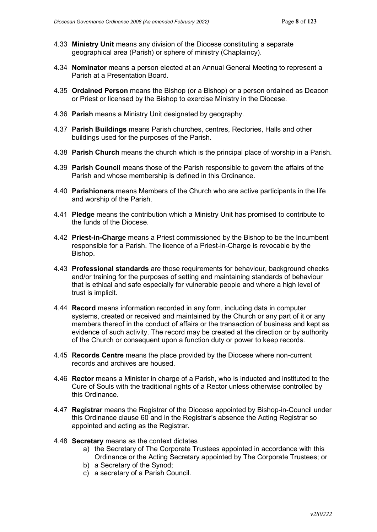- 4.33 **Ministry Unit** means any division of the Diocese constituting a separate geographical area (Parish) or sphere of ministry (Chaplaincy).
- 4.34 **Nominator** means a person elected at an Annual General Meeting to represent a Parish at a Presentation Board.
- 4.35 **Ordained Person** means the Bishop (or a Bishop) or a person ordained as Deacon or Priest or licensed by the Bishop to exercise Ministry in the Diocese.
- 4.36 **Parish** means a Ministry Unit designated by geography.
- 4.37 **Parish Buildings** means Parish churches, centres, Rectories, Halls and other buildings used for the purposes of the Parish.
- 4.38 **Parish Church** means the church which is the principal place of worship in a Parish.
- 4.39 **Parish Council** means those of the Parish responsible to govern the affairs of the Parish and whose membership is defined in this Ordinance.
- 4.40 **Parishioners** means Members of the Church who are active participants in the life and worship of the Parish.
- 4.41 **Pledge** means the contribution which a Ministry Unit has promised to contribute to the funds of the Diocese.
- 4.42 **Priest-in-Charge** means a Priest commissioned by the Bishop to be the Incumbent responsible for a Parish. The licence of a Priest-in-Charge is revocable by the Bishop.
- 4.43 **Professional standards** are those requirements for behaviour, background checks and/or training for the purposes of setting and maintaining standards of behaviour that is ethical and safe especially for vulnerable people and where a high level of trust is implicit.
- 4.44 **Record** means information recorded in any form, including data in computer systems, created or received and maintained by the Church or any part of it or any members thereof in the conduct of affairs or the transaction of business and kept as evidence of such activity. The record may be created at the direction or by authority of the Church or consequent upon a function duty or power to keep records.
- 4.45 **Records Centre** means the place provided by the Diocese where non-current records and archives are housed.
- 4.46 **Rector** means a Minister in charge of a Parish, who is inducted and instituted to the Cure of Souls with the traditional rights of a Rector unless otherwise controlled by this Ordinance.
- 4.47 **Registrar** means the Registrar of the Diocese appointed by Bishop-in-Council under this Ordinance clause 60 and in the Registrar's absence the Acting Registrar so appointed and acting as the Registrar.
- 4.48 **Secretary** means as the context dictates
	- a) the Secretary of The Corporate Trustees appointed in accordance with this Ordinance or the Acting Secretary appointed by The Corporate Trustees; or
	- b) a Secretary of the Synod;
	- c) a secretary of a Parish Council.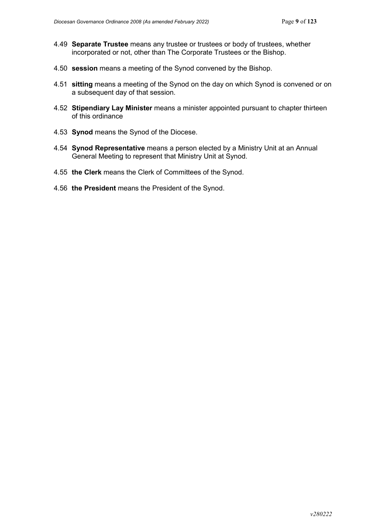- 4.49 **Separate Trustee** means any trustee or trustees or body of trustees, whether incorporated or not, other than The Corporate Trustees or the Bishop.
- 4.50 **session** means a meeting of the Synod convened by the Bishop.
- 4.51 **sitting** means a meeting of the Synod on the day on which Synod is convened or on a subsequent day of that session.
- 4.52 **Stipendiary Lay Minister** means a minister appointed pursuant to chapter thirteen of this ordinance
- 4.53 **Synod** means the Synod of the Diocese.
- 4.54 **Synod Representative** means a person elected by a Ministry Unit at an Annual General Meeting to represent that Ministry Unit at Synod.
- 4.55 **the Clerk** means the Clerk of Committees of the Synod.
- 4.56 **the President** means the President of the Synod.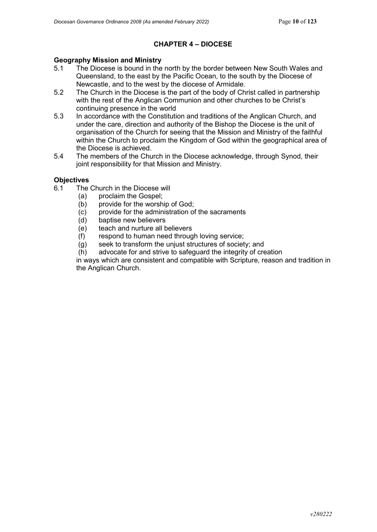## **CHAPTER 4 – DIOCESE**

# **Geography Mission and Ministry**

- The Diocese is bound in the north by the border between New South Wales and Queensland, to the east by the Pacific Ocean, to the south by the Diocese of Newcastle, and to the west by the diocese of Armidale.
- 5.2 The Church in the Diocese is the part of the body of Christ called in partnership with the rest of the Anglican Communion and other churches to be Christ's continuing presence in the world
- 5.3 In accordance with the Constitution and traditions of the Anglican Church, and under the care, direction and authority of the Bishop the Diocese is the unit of organisation of the Church for seeing that the Mission and Ministry of the faithful within the Church to proclaim the Kingdom of God within the geographical area of the Diocese is achieved.
- 5.4 The members of the Church in the Diocese acknowledge, through Synod, their joint responsibility for that Mission and Ministry.

### **Objectives**

- 6.1 The Church in the Diocese will
	- (a) proclaim the Gospel;
	- (b) provide for the worship of God;
	- (c) provide for the administration of the sacraments
	- (d) baptise new believers
	- (e) teach and nurture all believers
	- (f) respond to human need through loving service;
	- (g) seek to transform the unjust structures of society; and
	- (h) advocate for and strive to safeguard the integrity of creation

in ways which are consistent and compatible with Scripture, reason and tradition in the Anglican Church.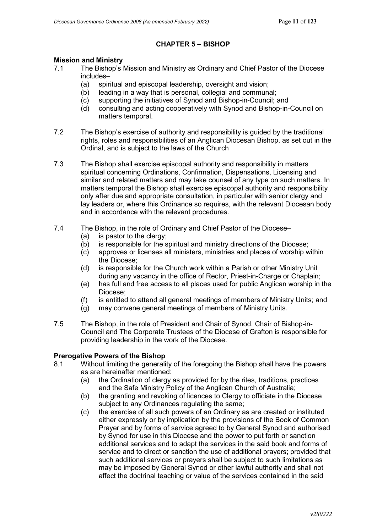### **CHAPTER 5 – BISHOP**

# **Mission and Ministry**<br>7.1 The Bishon's I

- The Bishop's Mission and Ministry as Ordinary and Chief Pastor of the Diocese includes–
	- (a) spiritual and episcopal leadership, oversight and vision;
	- (b) leading in a way that is personal, collegial and communal;
	- (c) supporting the initiatives of Synod and Bishop-in-Council; and
	- (d) consulting and acting cooperatively with Synod and Bishop-in-Council on matters temporal.
- 7.2 The Bishop's exercise of authority and responsibility is guided by the traditional rights, roles and responsibilities of an Anglican Diocesan Bishop, as set out in the Ordinal, and is subject to the laws of the Church
- 7.3 The Bishop shall exercise episcopal authority and responsibility in matters spiritual concerning Ordinations, Confirmation, Dispensations, Licensing and similar and related matters and may take counsel of any type on such matters. In matters temporal the Bishop shall exercise episcopal authority and responsibility only after due and appropriate consultation, in particular with senior clergy and lay leaders or, where this Ordinance so requires, with the relevant Diocesan body and in accordance with the relevant procedures.
- 7.4 The Bishop, in the role of Ordinary and Chief Pastor of the Diocese–
	- (a) is pastor to the clergy;
	- (b) is responsible for the spiritual and ministry directions of the Diocese;
	- (c) approves or licenses all ministers, ministries and places of worship within the Diocese;
	- (d) is responsible for the Church work within a Parish or other Ministry Unit during any vacancy in the office of Rector, Priest-in-Charge or Chaplain;
	- (e) has full and free access to all places used for public Anglican worship in the Diocese;
	- (f) is entitled to attend all general meetings of members of Ministry Units; and
	- $\overrightarrow{a}$  may convene general meetings of members of Ministry Units.
- 7.5 The Bishop, in the role of President and Chair of Synod, Chair of Bishop-in-Council and The Corporate Trustees of the Diocese of Grafton is responsible for providing leadership in the work of the Diocese.

# **Prerogative Powers of the Bishop**<br>8.1 Without limiting the generality

- Without limiting the generality of the foregoing the Bishop shall have the powers as are hereinafter mentioned:
	- (a) the Ordination of clergy as provided for by the rites, traditions, practices and the Safe Ministry Policy of the Anglican Church of Australia;
	- (b) the granting and revoking of licences to Clergy to officiate in the Diocese subject to any Ordinances regulating the same;
	- (c) the exercise of all such powers of an Ordinary as are created or instituted either expressly or by implication by the provisions of the Book of Common Prayer and by forms of service agreed to by General Synod and authorised by Synod for use in this Diocese and the power to put forth or sanction additional services and to adapt the services in the said book and forms of service and to direct or sanction the use of additional prayers; provided that such additional services or prayers shall be subject to such limitations as may be imposed by General Synod or other lawful authority and shall not affect the doctrinal teaching or value of the services contained in the said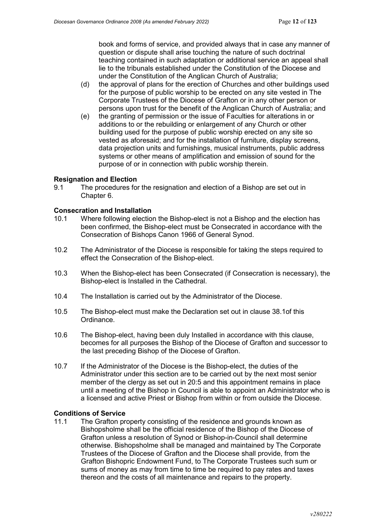book and forms of service, and provided always that in case any manner of question or dispute shall arise touching the nature of such doctrinal teaching contained in such adaptation or additional service an appeal shall lie to the tribunals established under the Constitution of the Diocese and under the Constitution of the Anglican Church of Australia;

- (d) the approval of plans for the erection of Churches and other buildings used for the purpose of public worship to be erected on any site vested in The Corporate Trustees of the Diocese of Grafton or in any other person or persons upon trust for the benefit of the Anglican Church of Australia; and
- (e) the granting of permission or the issue of Faculties for alterations in or additions to or the rebuilding or enlargement of any Church or other building used for the purpose of public worship erected on any site so vested as aforesaid; and for the installation of furniture, display screens, data projection units and furnishings, musical instruments, public address systems or other means of amplification and emission of sound for the purpose of or in connection with public worship therein.

#### **Resignation and Election**

9.1 The procedures for the resignation and election of a Bishop are set out in Chapter 6.

#### **Consecration and Installation**

- 10.1 Where following election the Bishop-elect is not a Bishop and the election has been confirmed, the Bishop-elect must be Consecrated in accordance with the Consecration of Bishops Canon 1966 of General Synod.
- 10.2 The Administrator of the Diocese is responsible for taking the steps required to effect the Consecration of the Bishop-elect.
- 10.3 When the Bishop-elect has been Consecrated (if Consecration is necessary), the Bishop-elect is Installed in the Cathedral.
- 10.4 The Installation is carried out by the Administrator of the Diocese.
- 10.5 The Bishop-elect must make the Declaration set out in clause 38.1of this Ordinance.
- 10.6 The Bishop-elect, having been duly Installed in accordance with this clause, becomes for all purposes the Bishop of the Diocese of Grafton and successor to the last preceding Bishop of the Diocese of Grafton.
- 10.7 If the Administrator of the Diocese is the Bishop-elect, the duties of the Administrator under this section are to be carried out by the next most senior member of the clergy as set out in 20:5 and this appointment remains in place until a meeting of the Bishop in Council is able to appoint an Administrator who is a licensed and active Priest or Bishop from within or from outside the Diocese.

#### **Conditions of Service**

11.1 The Grafton property consisting of the residence and grounds known as Bishopsholme shall be the official residence of the Bishop of the Diocese of Grafton unless a resolution of Synod or Bishop-in-Council shall determine otherwise. Bishopsholme shall be managed and maintained by The Corporate Trustees of the Diocese of Grafton and the Diocese shall provide, from the Grafton Bishopric Endowment Fund, to The Corporate Trustees such sum or sums of money as may from time to time be required to pay rates and taxes thereon and the costs of all maintenance and repairs to the property.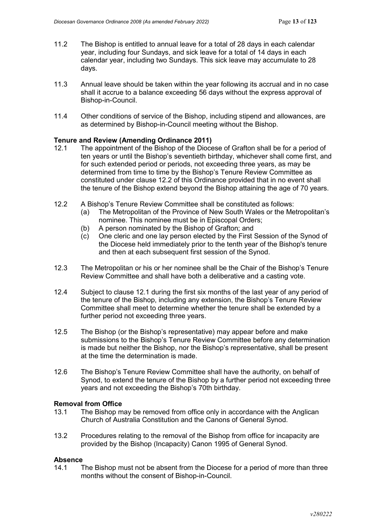- 11.2 The Bishop is entitled to annual leave for a total of 28 days in each calendar year, including four Sundays, and sick leave for a total of 14 days in each calendar year, including two Sundays. This sick leave may accumulate to 28 days.
- 11.3 Annual leave should be taken within the year following its accrual and in no case shall it accrue to a balance exceeding 56 days without the express approval of Bishop-in-Council.
- 11.4 Other conditions of service of the Bishop, including stipend and allowances, are as determined by Bishop-in-Council meeting without the Bishop.

#### **Tenure and Review (Amending Ordinance 2011)**

- 12.1 The appointment of the Bishop of the Diocese of Grafton shall be for a period of ten years or until the Bishop's seventieth birthday, whichever shall come first, and for such extended period or periods, not exceeding three years, as may be determined from time to time by the Bishop's Tenure Review Committee as constituted under clause 12.2 of this Ordinance provided that in no event shall the tenure of the Bishop extend beyond the Bishop attaining the age of 70 years.
- 12.2 A Bishop's Tenure Review Committee shall be constituted as follows:
	- (a) The Metropolitan of the Province of New South Wales or the Metropolitan's nominee. This nominee must be in Episcopal Orders;
	- (b) A person nominated by the Bishop of Grafton; and
	- (c) One cleric and one lay person elected by the First Session of the Synod of the Diocese held immediately prior to the tenth year of the Bishop's tenure and then at each subsequent first session of the Synod.
- 12.3 The Metropolitan or his or her nominee shall be the Chair of the Bishop's Tenure Review Committee and shall have both a deliberative and a casting vote.
- 12.4 Subject to clause 12.1 during the first six months of the last year of any period of the tenure of the Bishop, including any extension, the Bishop's Tenure Review Committee shall meet to determine whether the tenure shall be extended by a further period not exceeding three years.
- 12.5 The Bishop (or the Bishop's representative) may appear before and make submissions to the Bishop's Tenure Review Committee before any determination is made but neither the Bishop, nor the Bishop's representative, shall be present at the time the determination is made.
- 12.6 The Bishop's Tenure Review Committee shall have the authority, on behalf of Synod, to extend the tenure of the Bishop by a further period not exceeding three years and not exceeding the Bishop's 70th birthday.

### **Removal from Office**

- 13.1 The Bishop may be removed from office only in accordance with the Anglican Church of Australia Constitution and the Canons of General Synod.
- 13.2 Procedures relating to the removal of the Bishop from office for incapacity are provided by the Bishop (Incapacity) Canon 1995 of General Synod.

#### **Absence**

14.1 The Bishop must not be absent from the Diocese for a period of more than three months without the consent of Bishop-in-Council.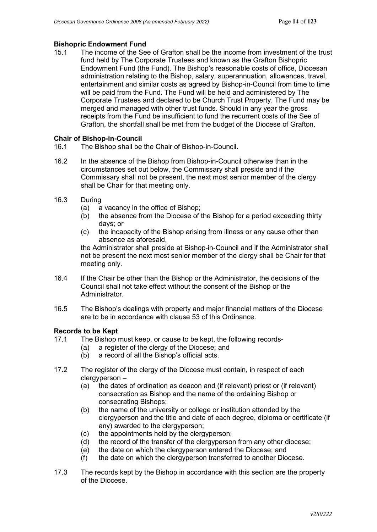# **Bishopric Endowment Fund**<br>15.1 The income of the See

The income of the See of Grafton shall be the income from investment of the trust fund held by The Corporate Trustees and known as the Grafton Bishopric Endowment Fund (the Fund). The Bishop's reasonable costs of office, Diocesan administration relating to the Bishop, salary, superannuation, allowances, travel, entertainment and similar costs as agreed by Bishop-in-Council from time to time will be paid from the Fund. The Fund will be held and administered by The Corporate Trustees and declared to be Church Trust Property. The Fund may be merged and managed with other trust funds. Should in any year the gross receipts from the Fund be insufficient to fund the recurrent costs of the See of Grafton, the shortfall shall be met from the budget of the Diocese of Grafton.

### **Chair of Bishop-in-Council**

- 16.1 The Bishop shall be the Chair of Bishop-in-Council.
- 16.2 In the absence of the Bishop from Bishop-in-Council otherwise than in the circumstances set out below, the Commissary shall preside and if the Commissary shall not be present, the next most senior member of the clergy shall be Chair for that meeting only.
- 16.3 During
	- (a) a vacancy in the office of Bishop;
	- (b) the absence from the Diocese of the Bishop for a period exceeding thirty days; or
	- (c) the incapacity of the Bishop arising from illness or any cause other than absence as aforesaid,

the Administrator shall preside at Bishop-in-Council and if the Administrator shall not be present the next most senior member of the clergy shall be Chair for that meeting only.

- 16.4 If the Chair be other than the Bishop or the Administrator, the decisions of the Council shall not take effect without the consent of the Bishop or the Administrator.
- 16.5 The Bishop's dealings with property and major financial matters of the Diocese are to be in accordance with clause 53 of this Ordinance.

# **Records to be Kept**<br>17.1 The Bishop r

- The Bishop must keep, or cause to be kept, the following records-
	- (a) a register of the clergy of the Diocese; and<br>(b) a record of all the Bishop's official acts.
	- a record of all the Bishop's official acts.
- 17.2 The register of the clergy of the Diocese must contain, in respect of each clergyperson –
	- (a) the dates of ordination as deacon and (if relevant) priest or (if relevant) consecration as Bishop and the name of the ordaining Bishop or consecrating Bishops;
	- (b) the name of the university or college or institution attended by the clergyperson and the title and date of each degree, diploma or certificate (if any) awarded to the clergyperson;
	- (c) the appointments held by the clergyperson;
	- (d) the record of the transfer of the clergyperson from any other diocese;
	- (e) the date on which the clergyperson entered the Diocese; and
	- (f) the date on which the clergyperson transferred to another Diocese.
- 17.3 The records kept by the Bishop in accordance with this section are the property of the Diocese.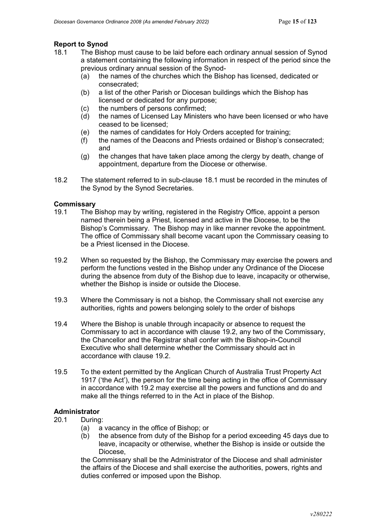# **Report to Synod**<br>18.1 The Bish

- The Bishop must cause to be laid before each ordinary annual session of Synod a statement containing the following information in respect of the period since the previous ordinary annual session of the Synod-
	- (a) the names of the churches which the Bishop has licensed, dedicated or consecrated;
	- (b) a list of the other Parish or Diocesan buildings which the Bishop has licensed or dedicated for any purpose;
	- (c) the numbers of persons confirmed;<br>(d) the names of Licensed Lav Minister
	- the names of Licensed Lay Ministers who have been licensed or who have ceased to be licensed;
	- (e) the names of candidates for Holy Orders accepted for training;
	- (f) the names of the Deacons and Priests ordained or Bishop's consecrated; and
	- (g) the changes that have taken place among the clergy by death, change of appointment, departure from the Diocese or otherwise.
- 18.2 The statement referred to in sub-clause 18.1 must be recorded in the minutes of the Synod by the Synod Secretaries.

# **Commissary**<br>19.1 The F

- The Bishop may by writing, registered in the Registry Office, appoint a person named therein being a Priest, licensed and active in the Diocese, to be the Bishop's Commissary. The Bishop may in like manner revoke the appointment. The office of Commissary shall become vacant upon the Commissary ceasing to be a Priest licensed in the Diocese.
- 19.2 When so requested by the Bishop, the Commissary may exercise the powers and perform the functions vested in the Bishop under any Ordinance of the Diocese during the absence from duty of the Bishop due to leave, incapacity or otherwise, whether the Bishop is inside or outside the Diocese.
- 19.3 Where the Commissary is not a bishop, the Commissary shall not exercise any authorities, rights and powers belonging solely to the order of bishops
- 19.4 Where the Bishop is unable through incapacity or absence to request the Commissary to act in accordance with clause 19.2, any two of the Commissary, the Chancellor and the Registrar shall confer with the Bishop-in-Council Executive who shall determine whether the Commissary should act in accordance with clause 19.2.
- 19.5 To the extent permitted by the Anglican Church of Australia Trust Property Act 1917 ('the Act'), the person for the time being acting in the office of Commissary in accordance with 19.2 may exercise all the powers and functions and do and make all the things referred to in the Act in place of the Bishop.

### **Administrator**

- 20.1 During:
	- (a) a vacancy in the office of Bishop; or
	- (b) the absence from duty of the Bishop for a period exceeding 45 days due to leave, incapacity or otherwise, whether the Bishop is inside or outside the Diocese,

the Commissary shall be the Administrator of the Diocese and shall administer the affairs of the Diocese and shall exercise the authorities, powers, rights and duties conferred or imposed upon the Bishop.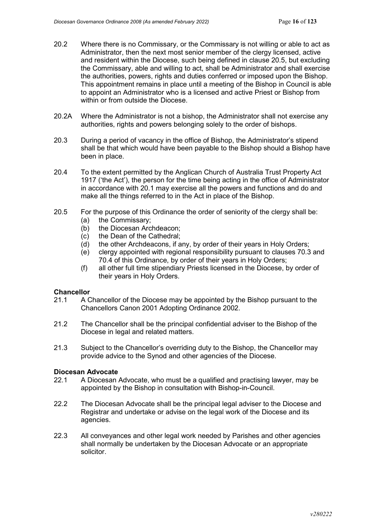- 20.2 Where there is no Commissary, or the Commissary is not willing or able to act as Administrator, then the next most senior member of the clergy licensed, active and resident within the Diocese, such being defined in clause 20.5, but excluding the Commissary, able and willing to act, shall be Administrator and shall exercise the authorities, powers, rights and duties conferred or imposed upon the Bishop. This appointment remains in place until a meeting of the Bishop in Council is able to appoint an Administrator who is a licensed and active Priest or Bishop from within or from outside the Diocese
- 20.2A Where the Administrator is not a bishop, the Administrator shall not exercise any authorities, rights and powers belonging solely to the order of bishops.
- 20.3 During a period of vacancy in the office of Bishop, the Administrator's stipend shall be that which would have been payable to the Bishop should a Bishop have been in place.
- 20.4 To the extent permitted by the Anglican Church of Australia Trust Property Act 1917 ('the Act'), the person for the time being acting in the office of Administrator in accordance with 20.1 may exercise all the powers and functions and do and make all the things referred to in the Act in place of the Bishop.
- 20.5 For the purpose of this Ordinance the order of seniority of the clergy shall be:
	- (a) the Commissary;
	- (b) the Diocesan Archdeacon;
	- (c) the Dean of the Cathedral;
	- (d) the other Archdeacons, if any, by order of their years in Holy Orders;
	- (e) clergy appointed with regional responsibility pursuant to clauses 70.3 and 70.4 of this Ordinance, by order of their years in Holy Orders;
	- (f) all other full time stipendiary Priests licensed in the Diocese, by order of their years in Holy Orders.

#### **Chancellor**

- 21.1 A Chancellor of the Diocese may be appointed by the Bishop pursuant to the Chancellors Canon 2001 Adopting Ordinance 2002.
- 21.2 The Chancellor shall be the principal confidential adviser to the Bishop of the Diocese in legal and related matters.
- 21.3 Subject to the Chancellor's overriding duty to the Bishop, the Chancellor may provide advice to the Synod and other agencies of the Diocese.

#### **Diocesan Advocate**

- 22.1 A Diocesan Advocate, who must be a qualified and practising lawyer, may be appointed by the Bishop in consultation with Bishop-in-Council.
- 22.2 The Diocesan Advocate shall be the principal legal adviser to the Diocese and Registrar and undertake or advise on the legal work of the Diocese and its agencies.
- 22.3 All conveyances and other legal work needed by Parishes and other agencies shall normally be undertaken by the Diocesan Advocate or an appropriate solicitor.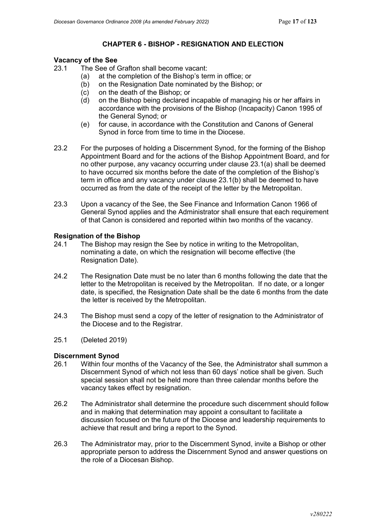## **CHAPTER 6 - BISHOP - RESIGNATION AND ELECTION**

# **Vacancy of the See**<br>23.1 The See of 0

- The See of Grafton shall become vacant:
	- (a) at the completion of the Bishop's term in office; or
	- (b) on the Resignation Date nominated by the Bishop; or
	- (c) on the death of the Bishop; or
	- (d) on the Bishop being declared incapable of managing his or her affairs in accordance with the provisions of the Bishop (Incapacity) Canon 1995 of the General Synod; or
	- (e) for cause, in accordance with the Constitution and Canons of General Synod in force from time to time in the Diocese.
- 23.2 For the purposes of holding a Discernment Synod, for the forming of the Bishop Appointment Board and for the actions of the Bishop Appointment Board, and for no other purpose, any vacancy occurring under clause 23.1(a) shall be deemed to have occurred six months before the date of the completion of the Bishop's term in office and any vacancy under clause 23.1(b) shall be deemed to have occurred as from the date of the receipt of the letter by the Metropolitan.
- 23.3 Upon a vacancy of the See, the See Finance and Information Canon 1966 of General Synod applies and the Administrator shall ensure that each requirement of that Canon is considered and reported within two months of the vacancy.

# **Resignation of the Bishop**<br>24.1 The Bishop may res

- The Bishop may resign the See by notice in writing to the Metropolitan, nominating a date, on which the resignation will become effective (the Resignation Date).
- 24.2 The Resignation Date must be no later than 6 months following the date that the letter to the Metropolitan is received by the Metropolitan. If no date, or a longer date, is specified, the Resignation Date shall be the date 6 months from the date the letter is received by the Metropolitan.
- 24.3 The Bishop must send a copy of the letter of resignation to the Administrator of the Diocese and to the Registrar.
- 25.1 (Deleted 2019)

# **Discernment Synod**

- 26.1 Within four months of the Vacancy of the See, the Administrator shall summon a Discernment Synod of which not less than 60 days' notice shall be given. Such special session shall not be held more than three calendar months before the vacancy takes effect by resignation.
- 26.2 The Administrator shall determine the procedure such discernment should follow and in making that determination may appoint a consultant to facilitate a discussion focused on the future of the Diocese and leadership requirements to achieve that result and bring a report to the Synod.
- 26.3 The Administrator may, prior to the Discernment Synod, invite a Bishop or other appropriate person to address the Discernment Synod and answer questions on the role of a Diocesan Bishop.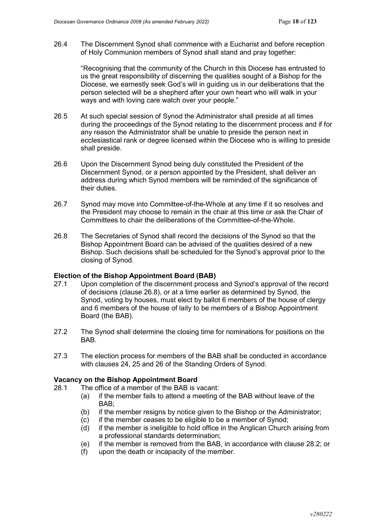26.4 The Discernment Synod shall commence with a Eucharist and before reception of Holy Communion members of Synod shall stand and pray together:

"Recognising that the community of the Church in this Diocese has entrusted to us the great responsibility of discerning the qualities sought of a Bishop for the Diocese, we earnestly seek God's will in guiding us in our deliberations that the person selected will be a shepherd after your own heart who will walk in your ways and with loving care watch over your people."

- 26.5 At such special session of Synod the Administrator shall preside at all times during the proceedings of the Synod relating to the discernment process and if for any reason the Administrator shall be unable to preside the person next in ecclesiastical rank or degree licensed within the Diocese who is willing to preside shall preside.
- 26.6 Upon the Discernment Synod being duly constituted the President of the Discernment Synod, or a person appointed by the President, shall deliver an address during which Synod members will be reminded of the significance of their duties.
- 26.7 Synod may move into Committee-of-the-Whole at any time if it so resolves and the President may choose to remain in the chair at this time or ask the Chair of Committees to chair the deliberations of the Committee-of-the-Whole.
- 26.8 The Secretaries of Synod shall record the decisions of the Synod so that the Bishop Appointment Board can be advised of the qualities desired of a new Bishop. Such decisions shall be scheduled for the Synod's approval prior to the closing of Synod.

#### **Election of the Bishop Appointment Board (BAB)**

- 27.1 Upon completion of the discernment process and Synod's approval of the record of decisions (clause 26.8), or at a time earlier as determined by Synod, the Synod, voting by houses, must elect by ballot 6 members of the house of clergy and 6 members of the house of laity to be members of a Bishop Appointment Board (the BAB).
- 27.2 The Synod shall determine the closing time for nominations for positions on the BAB.
- 27.3 The election process for members of the BAB shall be conducted in accordance with clauses 24, 25 and 26 of the Standing Orders of Synod.

### **Vacancy on the Bishop Appointment Board**

- 28.1 The office of a member of the BAB is vacant:
	- (a) if the member fails to attend a meeting of the BAB without leave of the BAB;
	- (b) if the member resigns by notice given to the Bishop or the Administrator;
	- (c) if the member ceases to be eligible to be a member of Synod;
	- (d) if the member is ineligible to hold office in the Anglican Church arising from a professional standards determination;
	- (e) if the member is removed from the BAB, in accordance with clause 28.2; or
	- (f) upon the death or incapacity of the member.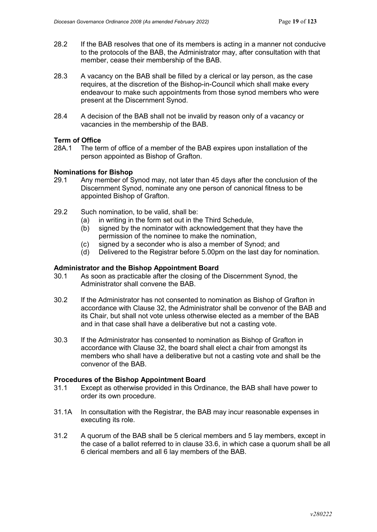- 28.2 If the BAB resolves that one of its members is acting in a manner not conducive to the protocols of the BAB, the Administrator may, after consultation with that member, cease their membership of the BAB.
- 28.3 A vacancy on the BAB shall be filled by a clerical or lay person, as the case requires, at the discretion of the Bishop-in-Council which shall make every endeavour to make such appointments from those synod members who were present at the Discernment Synod.
- 28.4 A decision of the BAB shall not be invalid by reason only of a vacancy or vacancies in the membership of the BAB.

### **Term of Office**

28A.1 The term of office of a member of the BAB expires upon installation of the person appointed as Bishop of Grafton.

### **Nominations for Bishop**

- 29.1 Any member of Synod may, not later than 45 days after the conclusion of the Discernment Synod, nominate any one person of canonical fitness to be appointed Bishop of Grafton.
- 29.2 Such nomination, to be valid, shall be:
	- (a) in writing in the form set out in the Third Schedule,
	- (b) signed by the nominator with acknowledgement that they have the permission of the nominee to make the nomination,
	- (c) signed by a seconder who is also a member of Synod; and
	- (d) Delivered to the Registrar before 5.00pm on the last day for nomination.

#### **Administrator and the Bishop Appointment Board**

- 30.1 As soon as practicable after the closing of the Discernment Synod, the Administrator shall convene the BAB.
- 30.2 If the Administrator has not consented to nomination as Bishop of Grafton in accordance with Clause 32, the Administrator shall be convenor of the BAB and its Chair, but shall not vote unless otherwise elected as a member of the BAB and in that case shall have a deliberative but not a casting vote.
- 30.3 If the Administrator has consented to nomination as Bishop of Grafton in accordance with Clause 32, the board shall elect a chair from amongst its members who shall have a deliberative but not a casting vote and shall be the convenor of the BAB.

#### **Procedures of the Bishop Appointment Board**

- 31.1 Except as otherwise provided in this Ordinance, the BAB shall have power to order its own procedure.
- 31.1A In consultation with the Registrar, the BAB may incur reasonable expenses in executing its role.
- 31.2 A quorum of the BAB shall be 5 clerical members and 5 lay members, except in the case of a ballot referred to in clause 33.6, in which case a quorum shall be all 6 clerical members and all 6 lay members of the BAB.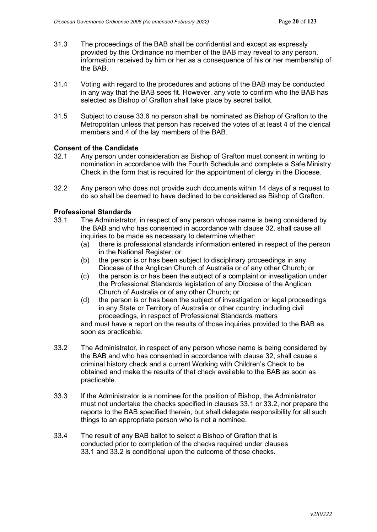- 31.3 The proceedings of the BAB shall be confidential and except as expressly provided by this Ordinance no member of the BAB may reveal to any person, information received by him or her as a consequence of his or her membership of the BAB.
- 31.4 Voting with regard to the procedures and actions of the BAB may be conducted in any way that the BAB sees fit. However, any vote to confirm who the BAB has selected as Bishop of Grafton shall take place by secret ballot.
- 31.5 Subject to clause 33.6 no person shall be nominated as Bishop of Grafton to the Metropolitan unless that person has received the votes of at least 4 of the clerical members and 4 of the lay members of the BAB.

### **Consent of the Candidate**

- 32.1 Any person under consideration as Bishop of Grafton must consent in writing to nomination in accordance with the Fourth Schedule and complete a Safe Ministry Check in the form that is required for the appointment of clergy in the Diocese.
- 32.2 Any person who does not provide such documents within 14 days of a request to do so shall be deemed to have declined to be considered as Bishop of Grafton.

### **Professional Standards**

- 33.1 The Administrator, in respect of any person whose name is being considered by the BAB and who has consented in accordance with clause 32, shall cause all inquiries to be made as necessary to determine whether:
	- (a) there is professional standards information entered in respect of the person in the National Register; or
	- (b) the person is or has been subject to disciplinary proceedings in any Diocese of the Anglican Church of Australia or of any other Church; or
	- (c) the person is or has been the subject of a complaint or investigation under the Professional Standards legislation of any Diocese of the Anglican Church of Australia or of any other Church; or
	- (d) the person is or has been the subject of investigation or legal proceedings in any State or Territory of Australia or other country, including civil proceedings, in respect of Professional Standards matters

and must have a report on the results of those inquiries provided to the BAB as soon as practicable.

- 33.2 The Administrator, in respect of any person whose name is being considered by the BAB and who has consented in accordance with clause 32, shall cause a criminal history check and a current Working with Children's Check to be obtained and make the results of that check available to the BAB as soon as practicable.
- 33.3 If the Administrator is a nominee for the position of Bishop, the Administrator must not undertake the checks specified in clauses 33.1 or 33.2, nor prepare the reports to the BAB specified therein, but shall delegate responsibility for all such things to an appropriate person who is not a nominee.
- 33.4 The result of any BAB ballot to select a Bishop of Grafton that is conducted prior to completion of the checks required under clauses 33.1 and 33.2 is conditional upon the outcome of those checks.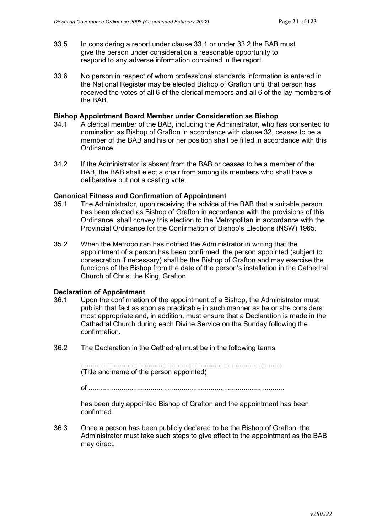- 33.5 In considering a report under clause 33.1 or under 33.2 the BAB must give the person under consideration a reasonable opportunity to respond to any adverse information contained in the report.
- 33.6 No person in respect of whom professional standards information is entered in the National Register may be elected Bishop of Grafton until that person has received the votes of all 6 of the clerical members and all 6 of the lay members of the BAB.

#### **Bishop Appointment Board Member under Consideration as Bishop**

- 34.1 A clerical member of the BAB, including the Administrator, who has consented to nomination as Bishop of Grafton in accordance with clause 32, ceases to be a member of the BAB and his or her position shall be filled in accordance with this Ordinance.
- 34.2 If the Administrator is absent from the BAB or ceases to be a member of the BAB, the BAB shall elect a chair from among its members who shall have a deliberative but not a casting vote.

#### **Canonical Fitness and Confirmation of Appointment**

- 35.1 The Administrator, upon receiving the advice of the BAB that a suitable person has been elected as Bishop of Grafton in accordance with the provisions of this Ordinance, shall convey this election to the Metropolitan in accordance with the Provincial Ordinance for the Confirmation of Bishop's Elections (NSW) 1965.
- 35.2 When the Metropolitan has notified the Administrator in writing that the appointment of a person has been confirmed, the person appointed (subject to consecration if necessary) shall be the Bishop of Grafton and may exercise the functions of the Bishop from the date of the person's installation in the Cathedral Church of Christ the King, Grafton.

#### **Declaration of Appointment**

- 36.1 Upon the confirmation of the appointment of a Bishop, the Administrator must publish that fact as soon as practicable in such manner as he or she considers most appropriate and, in addition, must ensure that a Declaration is made in the Cathedral Church during each Divine Service on the Sunday following the confirmation.
- 36.2 The Declaration in the Cathedral must be in the following terms

........................................................................................................ (Title and name of the person appointed)

of .....................................................................................................

has been duly appointed Bishop of Grafton and the appointment has been confirmed.

36.3 Once a person has been publicly declared to be the Bishop of Grafton, the Administrator must take such steps to give effect to the appointment as the BAB may direct.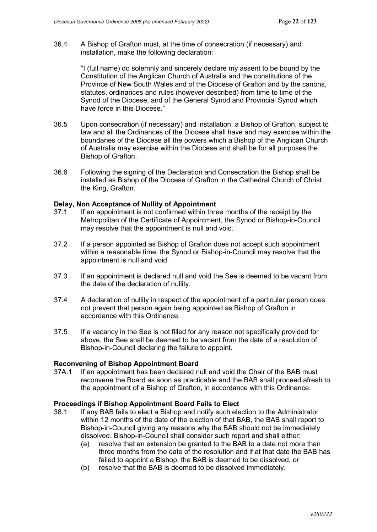36.4 A Bishop of Grafton must, at the time of consecration (if necessary) and installation, make the following declaration:

> "I (full name) do solemnly and sincerely declare my assent to be bound by the Constitution of the Anglican Church of Australia and the constitutions of the Province of New South Wales and of the Diocese of Grafton and by the canons, statutes, ordinances and rules (however described) from time to time of the Synod of the Diocese, and of the General Synod and Provincial Synod which have force in this Diocese."

- 36.5 Upon consecration (if necessary) and installation, a Bishop of Grafton, subject to law and all the Ordinances of the Diocese shall have and may exercise within the boundaries of the Diocese all the powers which a Bishop of the Anglican Church of Australia may exercise within the Diocese and shall be for all purposes the Bishop of Grafton.
- 36.6 Following the signing of the Declaration and Consecration the Bishop shall be installed as Bishop of the Diocese of Grafton in the Cathedral Church of Christ the King, Grafton.

#### **Delay, Non Acceptance of Nullity of Appointment**

- 37.1 If an appointment is not confirmed within three months of the receipt by the Metropolitan of the Certificate of Appointment, the Synod or Bishop-in-Council may resolve that the appointment is null and void.
- 37.2 If a person appointed as Bishop of Grafton does not accept such appointment within a reasonable time, the Synod or Bishop-in-Council may resolve that the appointment is null and void.
- 37.3 If an appointment is declared null and void the See is deemed to be vacant from the date of the declaration of nullity.
- 37.4 A declaration of nullity in respect of the appointment of a particular person does not prevent that person again being appointed as Bishop of Grafton in accordance with this Ordinance.
- 37.5 If a vacancy in the See is not filled for any reason not specifically provided for above, the See shall be deemed to be vacant from the date of a resolution of Bishop-in-Council declaring the failure to appoint.

# **Reconvening of Bishop Appointment Board**

If an appointment has been declared null and void the Chair of the BAB must reconvene the Board as soon as practicable and the BAB shall proceed afresh to the appointment of a Bishop of Grafton, in accordance with this Ordinance.

#### **Proceedings if Bishop Appointment Board Fails to Elect**

- 38.1 If any BAB fails to elect a Bishop and notify such election to the Administrator within 12 months of the date of the election of that BAB, the BAB shall report to Bishop-in-Council giving any reasons why the BAB should not be immediately dissolved. Bishop-in-Council shall consider such report and shall either:
	- (a) resolve that an extension be granted to the BAB to a date not more than three months from the date of the resolution and if at that date the BAB has failed to appoint a Bishop, the BAB is deemed to be dissolved, or
	- (b) resolve that the BAB is deemed to be dissolved immediately.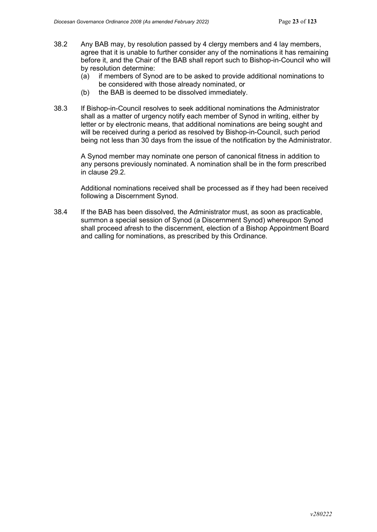- 38.2 Any BAB may, by resolution passed by 4 clergy members and 4 lay members, agree that it is unable to further consider any of the nominations it has remaining before it, and the Chair of the BAB shall report such to Bishop-in-Council who will by resolution determine:
	- (a) if members of Synod are to be asked to provide additional nominations to be considered with those already nominated, or
	- (b) the BAB is deemed to be dissolved immediately.
- 38.3 If Bishop-in-Council resolves to seek additional nominations the Administrator shall as a matter of urgency notify each member of Synod in writing, either by letter or by electronic means, that additional nominations are being sought and will be received during a period as resolved by Bishop-in-Council, such period being not less than 30 days from the issue of the notification by the Administrator.

A Synod member may nominate one person of canonical fitness in addition to any persons previously nominated. A nomination shall be in the form prescribed in clause 29.2.

Additional nominations received shall be processed as if they had been received following a Discernment Synod.

38.4 If the BAB has been dissolved, the Administrator must, as soon as practicable, summon a special session of Synod (a Discernment Synod) whereupon Synod shall proceed afresh to the discernment, election of a Bishop Appointment Board and calling for nominations, as prescribed by this Ordinance.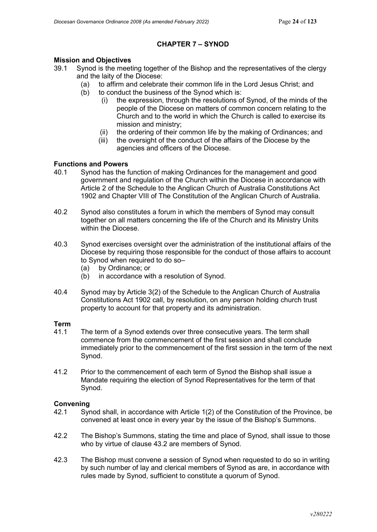## **CHAPTER 7 – SYNOD**

# **Mission and Objectives**<br>39.1 Synod is the meet

- Synod is the meeting together of the Bishop and the representatives of the clergy and the laity of the Diocese:
	- (a) to affirm and celebrate their common life in the Lord Jesus Christ; and
	- (b) to conduct the business of the Synod which is:
		- (i) the expression, through the resolutions of Synod, of the minds of the people of the Diocese on matters of common concern relating to the Church and to the world in which the Church is called to exercise its mission and ministry;
		- (ii) the ordering of their common life by the making of Ordinances; and
		- (iii) the oversight of the conduct of the affairs of the Diocese by the agencies and officers of the Diocese.

### **Functions and Powers**

- 40.1 Synod has the function of making Ordinances for the management and good government and regulation of the Church within the Diocese in accordance with Article 2 of the Schedule to the Anglican Church of Australia Constitutions Act 1902 and Chapter VIII of The Constitution of the Anglican Church of Australia.
- 40.2 Synod also constitutes a forum in which the members of Synod may consult together on all matters concerning the life of the Church and its Ministry Units within the Diocese.
- 40.3 Synod exercises oversight over the administration of the institutional affairs of the Diocese by requiring those responsible for the conduct of those affairs to account to Synod when required to do so–
	- (a) by Ordinance; or
	- (b) in accordance with a resolution of Synod.
- 40.4 Synod may by Article 3(2) of the Schedule to the Anglican Church of Australia Constitutions Act 1902 call, by resolution, on any person holding church trust property to account for that property and its administration.

#### **Term**

- 41.1 The term of a Synod extends over three consecutive years. The term shall commence from the commencement of the first session and shall conclude immediately prior to the commencement of the first session in the term of the next Synod.
- 41.2 Prior to the commencement of each term of Synod the Bishop shall issue a Mandate requiring the election of Synod Representatives for the term of that Synod.

#### **Convening**

- 42.1 Synod shall, in accordance with Article 1(2) of the Constitution of the Province, be convened at least once in every year by the issue of the Bishop's Summons.
- 42.2 The Bishop's Summons, stating the time and place of Synod, shall issue to those who by virtue of clause 43.2 are members of Synod.
- 42.3 The Bishop must convene a session of Synod when requested to do so in writing by such number of lay and clerical members of Synod as are, in accordance with rules made by Synod, sufficient to constitute a quorum of Synod.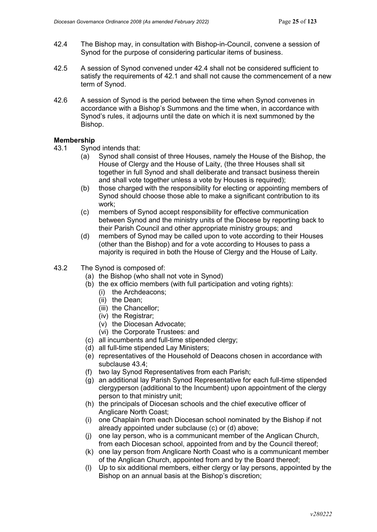- 42.4 The Bishop may, in consultation with Bishop-in-Council, convene a session of Synod for the purpose of considering particular items of business.
- 42.5 A session of Synod convened under 42.4 shall not be considered sufficient to satisfy the requirements of 42.1 and shall not cause the commencement of a new term of Synod.
- 42.6 A session of Synod is the period between the time when Synod convenes in accordance with a Bishop's Summons and the time when, in accordance with Synod's rules, it adjourns until the date on which it is next summoned by the Bishop.

#### **Membership**

- 43.1 Synod intends that:
	- (a) Synod shall consist of three Houses, namely the House of the Bishop, the House of Clergy and the House of Laity, (the three Houses shall sit together in full Synod and shall deliberate and transact business therein and shall vote together unless a vote by Houses is required);
	- (b) those charged with the responsibility for electing or appointing members of Synod should choose those able to make a significant contribution to its work;
	- (c) members of Synod accept responsibility for effective communication between Synod and the ministry units of the Diocese by reporting back to their Parish Council and other appropriate ministry groups; and
	- (d) members of Synod may be called upon to vote according to their Houses (other than the Bishop) and for a vote according to Houses to pass a majority is required in both the House of Clergy and the House of Laity.
- 43.2 The Synod is composed of:
	- (a) the Bishop (who shall not vote in Synod)
	- (b) the ex officio members (with full participation and voting rights):
		- (i) the Archdeacons;
		- (ii) the Dean;
		- (iii) the Chancellor;
		- (iv) the Registrar;
		- (v) the Diocesan Advocate;
		- (vi) the Corporate Trustees: and
	- (c) all incumbents and full-time stipended clergy;
	- (d) all full-time stipended Lay Ministers;
	- (e) representatives of the Household of Deacons chosen in accordance with subclause 43.4;
	- (f) two lay Synod Representatives from each Parish;
	- (g) an additional lay Parish Synod Representative for each full-time stipended clergyperson (additional to the Incumbent) upon appointment of the clergy person to that ministry unit;
	- (h) the principals of Diocesan schools and the chief executive officer of Anglicare North Coast;
	- (i) one Chaplain from each Diocesan school nominated by the Bishop if not already appointed under subclause (c) or (d) above;
	- (j) one lay person, who is a communicant member of the Anglican Church, from each Diocesan school, appointed from and by the Council thereof;
	- (k) one lay person from Anglicare North Coast who is a communicant member of the Anglican Church, appointed from and by the Board thereof;
	- (l) Up to six additional members, either clergy or lay persons, appointed by the Bishop on an annual basis at the Bishop's discretion;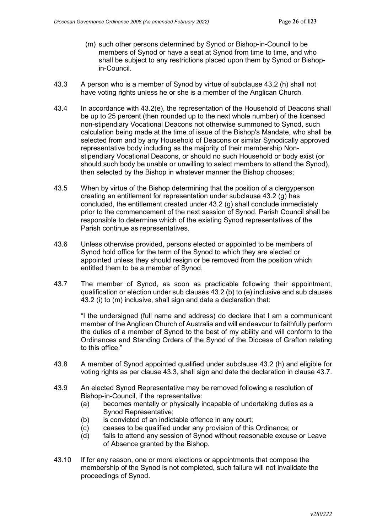- (m) such other persons determined by Synod or Bishop-in-Council to be members of Synod or have a seat at Synod from time to time, and who shall be subject to any restrictions placed upon them by Synod or Bishopin-Council.
- 43.3 A person who is a member of Synod by virtue of subclause 43.2 (h) shall not have voting rights unless he or she is a member of the Anglican Church.
- 43.4 In accordance with 43.2(e), the representation of the Household of Deacons shall be up to 25 percent (then rounded up to the next whole number) of the licensed non-stipendiary Vocational Deacons not otherwise summoned to Synod, such calculation being made at the time of issue of the Bishop's Mandate, who shall be selected from and by any Household of Deacons or similar Synodically approved representative body including as the majority of their membership Nonstipendiary Vocational Deacons, or should no such Household or body exist (or should such body be unable or unwilling to select members to attend the Synod), then selected by the Bishop in whatever manner the Bishop chooses;
- 43.5 When by virtue of the Bishop determining that the position of a clergyperson creating an entitlement for representation under subclause 43.2 (g) has concluded, the entitlement created under 43.2 (g) shall conclude immediately prior to the commencement of the next session of Synod. Parish Council shall be responsible to determine which of the existing Synod representatives of the Parish continue as representatives.
- 43.6 Unless otherwise provided, persons elected or appointed to be members of Synod hold office for the term of the Synod to which they are elected or appointed unless they should resign or be removed from the position which entitled them to be a member of Synod.
- 43.7 The member of Synod, as soon as practicable following their appointment, qualification or election under sub clauses 43.2 (b) to (e) inclusive and sub clauses 43.2 (i) to (m) inclusive, shall sign and date a declaration that:

"I the undersigned (full name and address) do declare that I am a communicant member of the Anglican Church of Australia and will endeavour to faithfully perform the duties of a member of Synod to the best of my ability and will conform to the Ordinances and Standing Orders of the Synod of the Diocese of Grafton relating to this office."

- 43.8 A member of Synod appointed qualified under subclause 43.2 (h) and eligible for voting rights as per clause 43.3, shall sign and date the declaration in clause 43.7.
- 43.9 An elected Synod Representative may be removed following a resolution of Bishop-in-Council, if the representative:
	- (a) becomes mentally or physically incapable of undertaking duties as a Synod Representative;
	- (b) is convicted of an indictable offence in any court;
	- (c) ceases to be qualified under any provision of this Ordinance; or
	- (d) fails to attend any session of Synod without reasonable excuse or Leave of Absence granted by the Bishop.
- 43.10 If for any reason, one or more elections or appointments that compose the membership of the Synod is not completed, such failure will not invalidate the proceedings of Synod.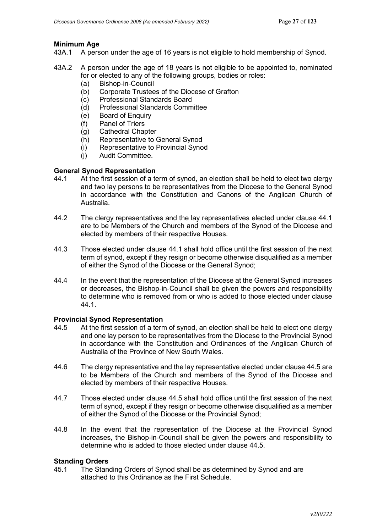### **Minimum Age**

- 43A.1 A person under the age of 16 years is not eligible to hold membership of Synod.
- 43A.2 A person under the age of 18 years is not eligible to be appointed to, nominated for or elected to any of the following groups, bodies or roles:
	- (a) Bishop-in-Council
	- (b) Corporate Trustees of the Diocese of Grafton
	- (c) Professional Standards Board
	- (d) Professional Standards Committee
	- (e) Board of Enquiry
	- (f) Panel of Triers
	- (g) Cathedral Chapter
	- (h) Representative to General Synod
	- (i) Representative to Provincial Synod
	- (j) Audit Committee.

# **General Synod Representation**<br>44.1 At the first session of a te

- At the first session of a term of synod, an election shall be held to elect two clergy and two lay persons to be representatives from the Diocese to the General Synod in accordance with the Constitution and Canons of the Anglican Church of Australia.
- 44.2 The clergy representatives and the lay representatives elected under clause 44.1 are to be Members of the Church and members of the Synod of the Diocese and elected by members of their respective Houses.
- 44.3 Those elected under clause 44.1 shall hold office until the first session of the next term of synod, except if they resign or become otherwise disqualified as a member of either the Synod of the Diocese or the General Synod;
- 44.4 In the event that the representation of the Diocese at the General Synod increases or decreases, the Bishop-in-Council shall be given the powers and responsibility to determine who is removed from or who is added to those elected under clause 44.1.

#### **Provincial Synod Representation**

- 44.5 At the first session of a term of synod, an election shall be held to elect one clergy and one lay person to be representatives from the Diocese to the Provincial Synod in accordance with the Constitution and Ordinances of the Anglican Church of Australia of the Province of New South Wales.
- 44.6 The clergy representative and the lay representative elected under clause 44.5 are to be Members of the Church and members of the Synod of the Diocese and elected by members of their respective Houses.
- 44.7 Those elected under clause 44.5 shall hold office until the first session of the next term of synod, except if they resign or become otherwise disqualified as a member of either the Synod of the Diocese or the Provincial Synod;
- 44.8 In the event that the representation of the Diocese at the Provincial Synod increases, the Bishop-in-Council shall be given the powers and responsibility to determine who is added to those elected under clause 44.5.

#### **Standing Orders**

45.1 The Standing Orders of Synod shall be as determined by Synod and are attached to this Ordinance as the First Schedule.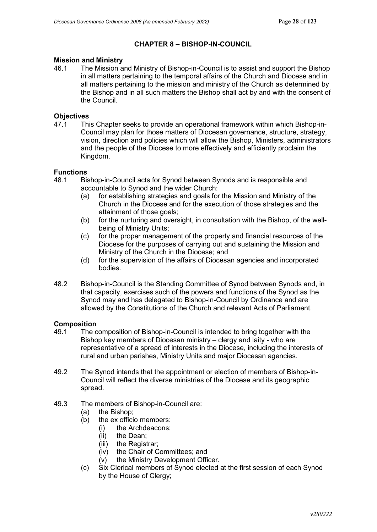## **CHAPTER 8 – BISHOP-IN-COUNCIL**

# **Mission and Ministry**<br>46.1 The Mission a

The Mission and Ministry of Bishop-in-Council is to assist and support the Bishop in all matters pertaining to the temporal affairs of the Church and Diocese and in all matters pertaining to the mission and ministry of the Church as determined by the Bishop and in all such matters the Bishop shall act by and with the consent of the Council.

# **Objectives**<br>47.1 Thi

47.1 This Chapter seeks to provide an operational framework within which Bishop-in-Council may plan for those matters of Diocesan governance, structure, strategy, vision, direction and policies which will allow the Bishop, Ministers, administrators and the people of the Diocese to more effectively and efficiently proclaim the Kingdom.

# **Functions**

- Bishop-in-Council acts for Synod between Synods and is responsible and accountable to Synod and the wider Church:
	- (a) for establishing strategies and goals for the Mission and Ministry of the Church in the Diocese and for the execution of those strategies and the attainment of those goals;
	- (b) for the nurturing and oversight, in consultation with the Bishop, of the wellbeing of Ministry Units;
	- (c) for the proper management of the property and financial resources of the Diocese for the purposes of carrying out and sustaining the Mission and Ministry of the Church in the Diocese; and
	- (d) for the supervision of the affairs of Diocesan agencies and incorporated bodies.
- 48.2 Bishop-in-Council is the Standing Committee of Synod between Synods and, in that capacity, exercises such of the powers and functions of the Synod as the Synod may and has delegated to Bishop-in-Council by Ordinance and are allowed by the Constitutions of the Church and relevant Acts of Parliament.

#### **Composition**

- 49.1 The composition of Bishop-in-Council is intended to bring together with the Bishop key members of Diocesan ministry – clergy and laity - who are representative of a spread of interests in the Diocese, including the interests of rural and urban parishes, Ministry Units and major Diocesan agencies.
- 49.2 The Synod intends that the appointment or election of members of Bishop-in-Council will reflect the diverse ministries of the Diocese and its geographic spread.
- 49.3 The members of Bishop-in-Council are:
	- (a) the Bishop;
	- (b) the ex officio members:
		- (i) the Archdeacons;
		- (ii) the Dean;
		- (iii) the Registrar;
		- (iv) the Chair of Committees; and
		- (v) the Ministry Development Officer.
	- (c) Six Clerical members of Synod elected at the first session of each Synod by the House of Clergy;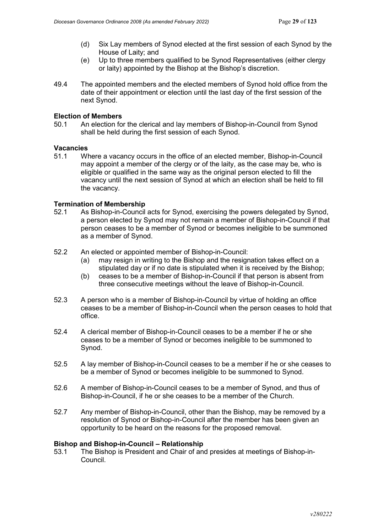- (d) Six Lay members of Synod elected at the first session of each Synod by the House of Laity; and
- (e) Up to three members qualified to be Synod Representatives (either clergy or laity) appointed by the Bishop at the Bishop's discretion.
- 49.4 The appointed members and the elected members of Synod hold office from the date of their appointment or election until the last day of the first session of the next Synod.

#### **Election of Members**

50.1 An election for the clerical and lay members of Bishop-in-Council from Synod shall be held during the first session of each Synod.

#### **Vacancies**

51.1 Where a vacancy occurs in the office of an elected member, Bishop-in-Council may appoint a member of the clergy or of the laity, as the case may be, who is eligible or qualified in the same way as the original person elected to fill the vacancy until the next session of Synod at which an election shall be held to fill the vacancy.

### **Termination of Membership**

- 52.1 As Bishop-in-Council acts for Synod, exercising the powers delegated by Synod, a person elected by Synod may not remain a member of Bishop-in-Council if that person ceases to be a member of Synod or becomes ineligible to be summoned as a member of Synod.
- 52.2 An elected or appointed member of Bishop-in-Council:
	- (a) may resign in writing to the Bishop and the resignation takes effect on a stipulated day or if no date is stipulated when it is received by the Bishop;
	- (b) ceases to be a member of Bishop-in-Council if that person is absent from three consecutive meetings without the leave of Bishop-in-Council.
- 52.3 A person who is a member of Bishop-in-Council by virtue of holding an office ceases to be a member of Bishop-in-Council when the person ceases to hold that office.
- 52.4 A clerical member of Bishop-in-Council ceases to be a member if he or she ceases to be a member of Synod or becomes ineligible to be summoned to Synod.
- 52.5 A lay member of Bishop-in-Council ceases to be a member if he or she ceases to be a member of Synod or becomes ineligible to be summoned to Synod.
- 52.6 A member of Bishop-in-Council ceases to be a member of Synod, and thus of Bishop-in-Council, if he or she ceases to be a member of the Church.
- 52.7 Any member of Bishop-in-Council, other than the Bishop, may be removed by a resolution of Synod or Bishop-in-Council after the member has been given an opportunity to be heard on the reasons for the proposed removal.

### **Bishop and Bishop-in-Council – Relationship**

53.1 The Bishop is President and Chair of and presides at meetings of Bishop-in-Council.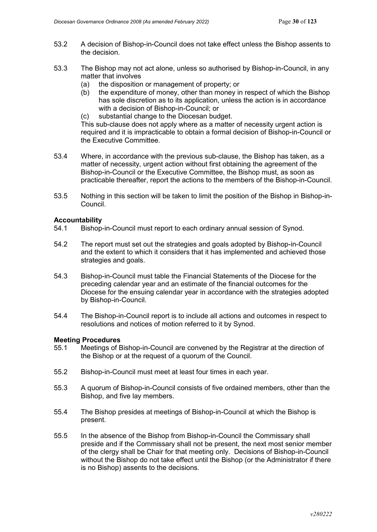- 53.2 A decision of Bishop-in-Council does not take effect unless the Bishop assents to the decision.
- 53.3 The Bishop may not act alone, unless so authorised by Bishop-in-Council, in any matter that involves
	- (a) the disposition or management of property; or
	- (b) the expenditure of money, other than money in respect of which the Bishop has sole discretion as to its application, unless the action is in accordance with a decision of Bishop-in-Council; or
	- (c) substantial change to the Diocesan budget.

This sub-clause does not apply where as a matter of necessity urgent action is required and it is impracticable to obtain a formal decision of Bishop-in-Council or the Executive Committee.

- 53.4 Where, in accordance with the previous sub-clause, the Bishop has taken, as a matter of necessity, urgent action without first obtaining the agreement of the Bishop-in-Council or the Executive Committee, the Bishop must, as soon as practicable thereafter, report the actions to the members of the Bishop-in-Council.
- 53.5 Nothing in this section will be taken to limit the position of the Bishop in Bishop-in-Council.

#### **Accountability**

- 54.1 Bishop-in-Council must report to each ordinary annual session of Synod.
- 54.2 The report must set out the strategies and goals adopted by Bishop-in-Council and the extent to which it considers that it has implemented and achieved those strategies and goals.
- 54.3 Bishop-in-Council must table the Financial Statements of the Diocese for the preceding calendar year and an estimate of the financial outcomes for the Diocese for the ensuing calendar year in accordance with the strategies adopted by Bishop-in-Council.
- 54.4 The Bishop-in-Council report is to include all actions and outcomes in respect to resolutions and notices of motion referred to it by Synod.

#### **Meeting Procedures**

- 55.1 Meetings of Bishop-in-Council are convened by the Registrar at the direction of the Bishop or at the request of a quorum of the Council.
- 55.2 Bishop-in-Council must meet at least four times in each year.
- 55.3 A quorum of Bishop-in-Council consists of five ordained members, other than the Bishop, and five lay members.
- 55.4 The Bishop presides at meetings of Bishop-in-Council at which the Bishop is present.
- 55.5 In the absence of the Bishop from Bishop-in-Council the Commissary shall preside and if the Commissary shall not be present, the next most senior member of the clergy shall be Chair for that meeting only. Decisions of Bishop-in-Council without the Bishop do not take effect until the Bishop (or the Administrator if there is no Bishop) assents to the decisions.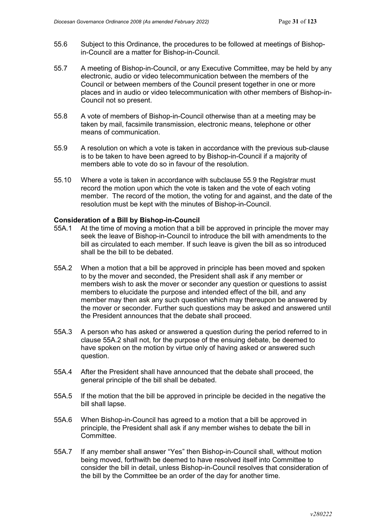- 55.6 Subject to this Ordinance, the procedures to be followed at meetings of Bishopin-Council are a matter for Bishop-in-Council.
- 55.7 A meeting of Bishop-in-Council, or any Executive Committee, may be held by any electronic, audio or video telecommunication between the members of the Council or between members of the Council present together in one or more places and in audio or video telecommunication with other members of Bishop-in-Council not so present.
- 55.8 A vote of members of Bishop-in-Council otherwise than at a meeting may be taken by mail, facsimile transmission, electronic means, telephone or other means of communication.
- 55.9 A resolution on which a vote is taken in accordance with the previous sub-clause is to be taken to have been agreed to by Bishop-in-Council if a majority of members able to vote do so in favour of the resolution.
- 55.10 Where a vote is taken in accordance with subclause 55.9 the Registrar must record the motion upon which the vote is taken and the vote of each voting member. The record of the motion, the voting for and against, and the date of the resolution must be kept with the minutes of Bishop-in-Council.

### **Consideration of a Bill by Bishop-in-Council**

- 55A.1 At the time of moving a motion that a bill be approved in principle the mover may seek the leave of Bishop-in-Council to introduce the bill with amendments to the bill as circulated to each member. If such leave is given the bill as so introduced shall be the bill to be debated.
- 55A.2 When a motion that a bill be approved in principle has been moved and spoken to by the mover and seconded, the President shall ask if any member or members wish to ask the mover or seconder any question or questions to assist members to elucidate the purpose and intended effect of the bill, and any member may then ask any such question which may thereupon be answered by the mover or seconder. Further such questions may be asked and answered until the President announces that the debate shall proceed.
- 55A.3 A person who has asked or answered a question during the period referred to in clause 55A.2 shall not, for the purpose of the ensuing debate, be deemed to have spoken on the motion by virtue only of having asked or answered such question.
- 55A.4 After the President shall have announced that the debate shall proceed, the general principle of the bill shall be debated.
- 55A.5 If the motion that the bill be approved in principle be decided in the negative the bill shall lapse.
- 55A.6 When Bishop-in-Council has agreed to a motion that a bill be approved in principle, the President shall ask if any member wishes to debate the bill in Committee.
- 55A.7 If any member shall answer "Yes" then Bishop-in-Council shall, without motion being moved, forthwith be deemed to have resolved itself into Committee to consider the bill in detail, unless Bishop-in-Council resolves that consideration of the bill by the Committee be an order of the day for another time.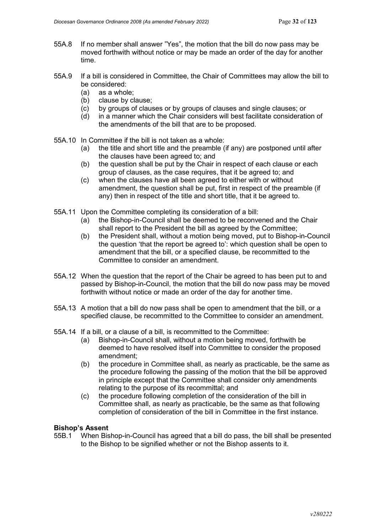- 55A.8 If no member shall answer "Yes", the motion that the bill do now pass may be moved forthwith without notice or may be made an order of the day for another time.
- 55A.9 If a bill is considered in Committee, the Chair of Committees may allow the bill to be considered:
	- (a) as a whole;
	- (b) clause by clause;
	- (c) by groups of clauses or by groups of clauses and single clauses; or (d) in a manner which the Chair considers will best facilitate consideration
	- in a manner which the Chair considers will best facilitate consideration of the amendments of the bill that are to be proposed.
- 55A.10 In Committee if the bill is not taken as a whole:
	- (a) the title and short title and the preamble (if any) are postponed until after the clauses have been agreed to; and
	- (b) the question shall be put by the Chair in respect of each clause or each group of clauses, as the case requires, that it be agreed to; and
	- (c) when the clauses have all been agreed to either with or without amendment, the question shall be put, first in respect of the preamble (if any) then in respect of the title and short title, that it be agreed to.
- 55A.11 Upon the Committee completing its consideration of a bill:
	- (a) the Bishop-in-Council shall be deemed to be reconvened and the Chair shall report to the President the bill as agreed by the Committee;
	- (b) the President shall, without a motion being moved, put to Bishop-in-Council the question 'that the report be agreed to': which question shall be open to amendment that the bill, or a specified clause, be recommitted to the Committee to consider an amendment.
- 55A.12 When the question that the report of the Chair be agreed to has been put to and passed by Bishop-in-Council, the motion that the bill do now pass may be moved forthwith without notice or made an order of the day for another time.
- 55A.13 A motion that a bill do now pass shall be open to amendment that the bill, or a specified clause, be recommitted to the Committee to consider an amendment.
- 55A.14 If a bill, or a clause of a bill, is recommitted to the Committee:
	- (a) Bishop-in-Council shall, without a motion being moved, forthwith be deemed to have resolved itself into Committee to consider the proposed amendment;
	- (b) the procedure in Committee shall, as nearly as practicable, be the same as the procedure following the passing of the motion that the bill be approved in principle except that the Committee shall consider only amendments relating to the purpose of its recommittal; and
	- (c) the procedure following completion of the consideration of the bill in Committee shall, as nearly as practicable, be the same as that following completion of consideration of the bill in Committee in the first instance.

# **Bishop's Assent**<br>55B.1 When Bis

When Bishop-in-Council has agreed that a bill do pass, the bill shall be presented to the Bishop to be signified whether or not the Bishop assents to it.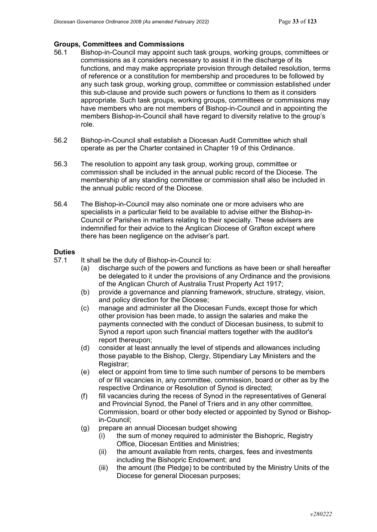# **Groups, Committees and Commissions**

- 56.1 Bishop-in-Council may appoint such task groups, working groups, committees or commissions as it considers necessary to assist it in the discharge of its functions, and may make appropriate provision through detailed resolution, terms of reference or a constitution for membership and procedures to be followed by any such task group, working group, committee or commission established under this sub-clause and provide such powers or functions to them as it considers appropriate. Such task groups, working groups, committees or commissions may have members who are not members of Bishop-in-Council and in appointing the members Bishop-in-Council shall have regard to diversity relative to the group's role.
- 56.2 Bishop-in-Council shall establish a Diocesan Audit Committee which shall operate as per the Charter contained in Chapter 19 of this Ordinance.
- 56.3 The resolution to appoint any task group, working group, committee or commission shall be included in the annual public record of the Diocese. The membership of any standing committee or commission shall also be included in the annual public record of the Diocese.
- 56.4 The Bishop-in-Council may also nominate one or more advisers who are specialists in a particular field to be available to advise either the Bishop-in-Council or Parishes in matters relating to their specialty. These advisers are indemnified for their advice to the Anglican Diocese of Grafton except where there has been negligence on the adviser's part.

# **Duties**<br>57.1

- It shall be the duty of Bishop-in-Council to:
	- (a) discharge such of the powers and functions as have been or shall hereafter be delegated to it under the provisions of any Ordinance and the provisions of the Anglican Church of Australia Trust Property Act 1917;
	- (b) provide a governance and planning framework, structure, strategy, vision, and policy direction for the Diocese;
	- (c) manage and administer all the Diocesan Funds, except those for which other provision has been made, to assign the salaries and make the payments connected with the conduct of Diocesan business, to submit to Synod a report upon such financial matters together with the auditor's report thereupon;
	- (d) consider at least annually the level of stipends and allowances including those payable to the Bishop, Clergy, Stipendiary Lay Ministers and the Registrar:
	- (e) elect or appoint from time to time such number of persons to be members of or fill vacancies in, any committee, commission, board or other as by the respective Ordinance or Resolution of Synod is directed;
	- (f) fill vacancies during the recess of Synod in the representatives of General and Provincial Synod, the Panel of Triers and in any other committee, Commission, board or other body elected or appointed by Synod or Bishopin-Council;
	- (g) prepare an annual Diocesan budget showing
		- (i) the sum of money required to administer the Bishopric, Registry Office, Diocesan Entities and Ministries;
		- (ii) the amount available from rents, charges, fees and investments including the Bishopric Endowment; and
		- (iii) the amount (the Pledge) to be contributed by the Ministry Units of the Diocese for general Diocesan purposes;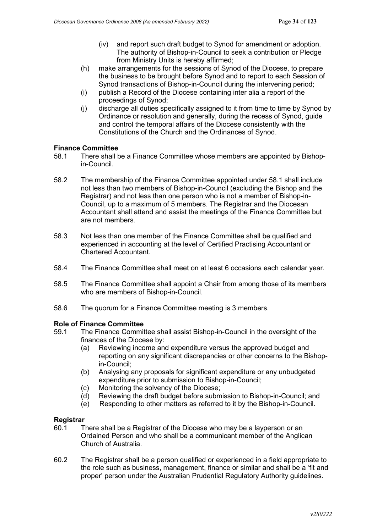- (iv) and report such draft budget to Synod for amendment or adoption. The authority of Bishop-in-Council to seek a contribution or Pledge from Ministry Units is hereby affirmed;
- (h) make arrangements for the sessions of Synod of the Diocese, to prepare the business to be brought before Synod and to report to each Session of Synod transactions of Bishop-in-Council during the intervening period;
- (i) publish a Record of the Diocese containing inter alia a report of the proceedings of Synod;
- (j) discharge all duties specifically assigned to it from time to time by Synod by Ordinance or resolution and generally, during the recess of Synod, guide and control the temporal affairs of the Diocese consistently with the Constitutions of the Church and the Ordinances of Synod.

#### **Finance Committee**

- 58.1 There shall be a Finance Committee whose members are appointed by Bishopin-Council.
- 58.2 The membership of the Finance Committee appointed under 58.1 shall include not less than two members of Bishop-in-Council (excluding the Bishop and the Registrar) and not less than one person who is not a member of Bishop-in-Council, up to a maximum of 5 members. The Registrar and the Diocesan Accountant shall attend and assist the meetings of the Finance Committee but are not members.
- 58.3 Not less than one member of the Finance Committee shall be qualified and experienced in accounting at the level of Certified Practising Accountant or Chartered Accountant.
- 58.4 The Finance Committee shall meet on at least 6 occasions each calendar year.
- 58.5 The Finance Committee shall appoint a Chair from among those of its members who are members of Bishop-in-Council.
- 58.6 The quorum for a Finance Committee meeting is 3 members.

#### **Role of Finance Committee**

- 59.1 The Finance Committee shall assist Bishop-in-Council in the oversight of the finances of the Diocese by:
	- (a) Reviewing income and expenditure versus the approved budget and reporting on any significant discrepancies or other concerns to the Bishopin-Council;
	- (b) Analysing any proposals for significant expenditure or any unbudgeted expenditure prior to submission to Bishop-in-Council;
	- (c) Monitoring the solvency of the Diocese;
	- (d) Reviewing the draft budget before submission to Bishop-in-Council; and
	- (e) Responding to other matters as referred to it by the Bishop-in-Council.

# **Registrar**<br>60.1 TI

- There shall be a Registrar of the Diocese who may be a layperson or an Ordained Person and who shall be a communicant member of the Anglican Church of Australia.
- 60.2 The Registrar shall be a person qualified or experienced in a field appropriate to the role such as business, management, finance or similar and shall be a 'fit and proper' person under the Australian Prudential Regulatory Authority guidelines.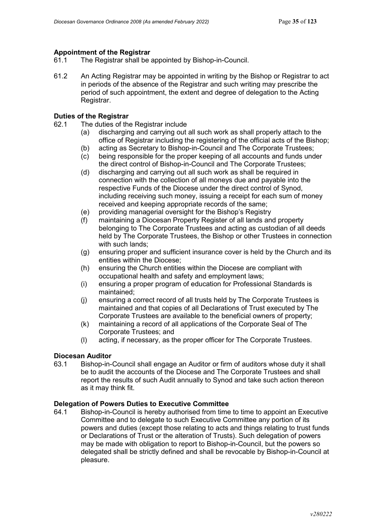# **Appointment of the Registrar**<br>61.1 The Registrar shall be

- The Registrar shall be appointed by Bishop-in-Council.
- 61.2 An Acting Registrar may be appointed in writing by the Bishop or Registrar to act in periods of the absence of the Registrar and such writing may prescribe the period of such appointment, the extent and degree of delegation to the Acting Registrar.

### **Duties of the Registrar**

- 62.1 The duties of the Registrar include
	- (a) discharging and carrying out all such work as shall properly attach to the office of Registrar including the registering of the official acts of the Bishop;
	- (b) acting as Secretary to Bishop-in-Council and The Corporate Trustees;
	- (c) being responsible for the proper keeping of all accounts and funds under the direct control of Bishop-in-Council and The Corporate Trustees;
	- (d) discharging and carrying out all such work as shall be required in connection with the collection of all moneys due and payable into the respective Funds of the Diocese under the direct control of Synod, including receiving such money, issuing a receipt for each sum of money received and keeping appropriate records of the same;
	- (e) providing managerial oversight for the Bishop's Registry
	- (f) maintaining a Diocesan Property Register of all lands and property belonging to The Corporate Trustees and acting as custodian of all deeds held by The Corporate Trustees, the Bishop or other Trustees in connection with such lands:
	- (g) ensuring proper and sufficient insurance cover is held by the Church and its entities within the Diocese;
	- (h) ensuring the Church entities within the Diocese are compliant with occupational health and safety and employment laws;
	- (i) ensuring a proper program of education for Professional Standards is maintained;
	- (j) ensuring a correct record of all trusts held by The Corporate Trustees is maintained and that copies of all Declarations of Trust executed by The Corporate Trustees are available to the beneficial owners of property;
	- (k) maintaining a record of all applications of the Corporate Seal of The Corporate Trustees; and
	- (l) acting, if necessary, as the proper officer for The Corporate Trustees.

# **Diocesan Auditor**<br>63.1 Bishop-in-

63.1 Bishop-in-Council shall engage an Auditor or firm of auditors whose duty it shall be to audit the accounts of the Diocese and The Corporate Trustees and shall report the results of such Audit annually to Synod and take such action thereon as it may think fit.

#### **Delegation of Powers Duties to Executive Committee**

64.1 Bishop-in-Council is hereby authorised from time to time to appoint an Executive Committee and to delegate to such Executive Committee any portion of its powers and duties (except those relating to acts and things relating to trust funds or Declarations of Trust or the alteration of Trusts). Such delegation of powers may be made with obligation to report to Bishop-in-Council, but the powers so delegated shall be strictly defined and shall be revocable by Bishop-in-Council at pleasure.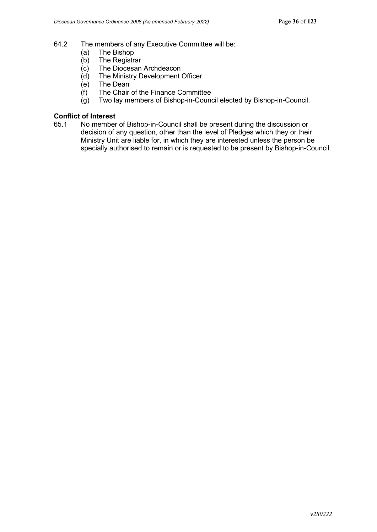- 64.2 The members of any Executive Committee will be:
	- (a) The Bishop<br>(b) The Registra
	- (b) The Registrar<br>(c) The Diocesan
	- The Diocesan Archdeacon
	- (d) The Ministry Development Officer
	- (e) The Dean
	- (f) The Chair of the Finance Committee
	- (g) Two lay members of Bishop-in-Council elected by Bishop-in-Council.

# **Conflict of Interest**<br>65.1 No member

No member of Bishop-in-Council shall be present during the discussion or decision of any question, other than the level of Pledges which they or their Ministry Unit are liable for, in which they are interested unless the person be specially authorised to remain or is requested to be present by Bishop-in-Council.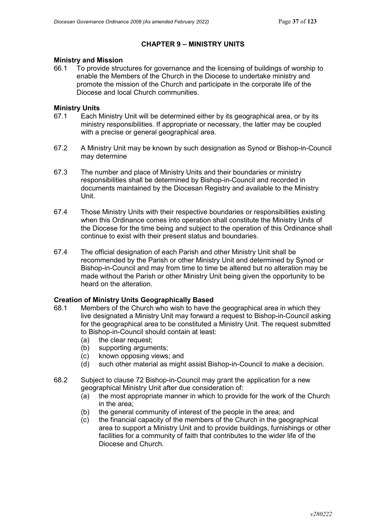### **CHAPTER 9 – MINISTRY UNITS**

# **Ministry and Mission**<br>66.1 To provide struc

To provide structures for governance and the licensing of buildings of worship to enable the Members of the Church in the Diocese to undertake ministry and promote the mission of the Church and participate in the corporate life of the Diocese and local Church communities.

## **Ministry Units**<br>67.1 **Each M**

- Each Ministry Unit will be determined either by its geographical area, or by its ministry responsibilities. If appropriate or necessary, the latter may be coupled with a precise or general geographical area.
- 67.2 A Ministry Unit may be known by such designation as Synod or Bishop-in-Council may determine
- 67.3 The number and place of Ministry Units and their boundaries or ministry responsibilities shall be determined by Bishop-in-Council and recorded in documents maintained by the Diocesan Registry and available to the Ministry Unit.
- 67.4 Those Ministry Units with their respective boundaries or responsibilities existing when this Ordinance comes into operation shall constitute the Ministry Units of the Diocese for the time being and subject to the operation of this Ordinance shall continue to exist with their present status and boundaries.
- 67.4 The official designation of each Parish and other Ministry Unit shall be recommended by the Parish or other Ministry Unit and determined by Synod or Bishop-in-Council and may from time to time be altered but no alteration may be made without the Parish or other Ministry Unit being given the opportunity to be heard on the alteration.

# **Creation of Ministry Units Geographically Based**<br>68.1 Members of the Church who wish to have the

- Members of the Church who wish to have the geographical area in which they live designated a Ministry Unit may forward a request to Bishop-in-Council asking for the geographical area to be constituted a Ministry Unit. The request submitted to Bishop-in-Council should contain at least:
	- (a) the clear request;
	- (b) supporting arguments;
	- (c) known opposing views; and<br>(d) such other material as might
	- such other material as might assist Bishop-in-Council to make a decision.
- 68.2 Subject to clause 72 Bishop-in-Council may grant the application for a new geographical Ministry Unit after due consideration of:
	- (a) the most appropriate manner in which to provide for the work of the Church in the area;
	- (b) the general community of interest of the people in the area; and
	- (c) the financial capacity of the members of the Church in the geographical area to support a Ministry Unit and to provide buildings, furnishings or other facilities for a community of faith that contributes to the wider life of the Diocese and Church.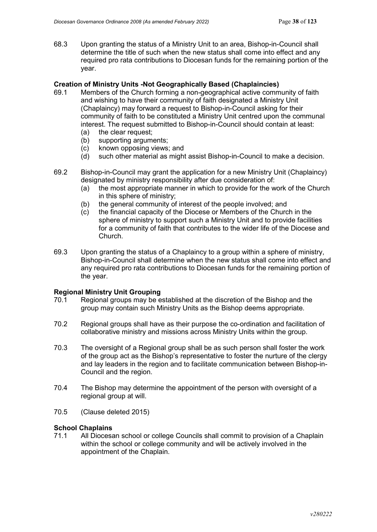68.3 Upon granting the status of a Ministry Unit to an area, Bishop-in-Council shall determine the title of such when the new status shall come into effect and any required pro rata contributions to Diocesan funds for the remaining portion of the year.

### **Creation of Ministry Units -Not Geographically Based (Chaplaincies)**

- 69.1 Members of the Church forming a non-geographical active community of faith and wishing to have their community of faith designated a Ministry Unit (Chaplaincy) may forward a request to Bishop-in-Council asking for their community of faith to be constituted a Ministry Unit centred upon the communal interest. The request submitted to Bishop-in-Council should contain at least:
	- (a) the clear request;
	- (b) supporting arguments;
	- (c) known opposing views; and
	- (d) such other material as might assist Bishop-in-Council to make a decision.
- 69.2 Bishop-in-Council may grant the application for a new Ministry Unit (Chaplaincy) designated by ministry responsibility after due consideration of:
	- (a) the most appropriate manner in which to provide for the work of the Church in this sphere of ministry;
	- (b) the general community of interest of the people involved; and
	- (c) the financial capacity of the Diocese or Members of the Church in the sphere of ministry to support such a Ministry Unit and to provide facilities for a community of faith that contributes to the wider life of the Diocese and Church.
- 69.3 Upon granting the status of a Chaplaincy to a group within a sphere of ministry, Bishop-in-Council shall determine when the new status shall come into effect and any required pro rata contributions to Diocesan funds for the remaining portion of the year.

### **Regional Ministry Unit Grouping**

- 70.1 Regional groups may be established at the discretion of the Bishop and the group may contain such Ministry Units as the Bishop deems appropriate.
- 70.2 Regional groups shall have as their purpose the co-ordination and facilitation of collaborative ministry and missions across Ministry Units within the group.
- 70.3 The oversight of a Regional group shall be as such person shall foster the work of the group act as the Bishop's representative to foster the nurture of the clergy and lay leaders in the region and to facilitate communication between Bishop-in-Council and the region.
- 70.4 The Bishop may determine the appointment of the person with oversight of a regional group at will.
- 70.5 (Clause deleted 2015)

# **School Chaplains**<br>71.1 All Diocesa

71.1 All Diocesan school or college Councils shall commit to provision of a Chaplain within the school or college community and will be actively involved in the appointment of the Chaplain.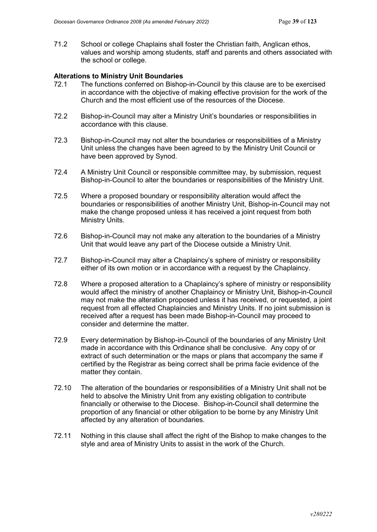71.2 School or college Chaplains shall foster the Christian faith, Anglican ethos, values and worship among students, staff and parents and others associated with the school or college.

### **Alterations to Ministry Unit Boundaries**

- 72.1 The functions conferred on Bishop-in-Council by this clause are to be exercised in accordance with the objective of making effective provision for the work of the Church and the most efficient use of the resources of the Diocese.
- 72.2 Bishop-in-Council may alter a Ministry Unit's boundaries or responsibilities in accordance with this clause.
- 72.3 Bishop-in-Council may not alter the boundaries or responsibilities of a Ministry Unit unless the changes have been agreed to by the Ministry Unit Council or have been approved by Synod.
- 72.4 A Ministry Unit Council or responsible committee may, by submission, request Bishop-in-Council to alter the boundaries or responsibilities of the Ministry Unit.
- 72.5 Where a proposed boundary or responsibility alteration would affect the boundaries or responsibilities of another Ministry Unit, Bishop-in-Council may not make the change proposed unless it has received a joint request from both Ministry Units.
- 72.6 Bishop-in-Council may not make any alteration to the boundaries of a Ministry Unit that would leave any part of the Diocese outside a Ministry Unit.
- 72.7 Bishop-in-Council may alter a Chaplaincy's sphere of ministry or responsibility either of its own motion or in accordance with a request by the Chaplaincy.
- 72.8 Where a proposed alteration to a Chaplaincy's sphere of ministry or responsibility would affect the ministry of another Chaplaincy or Ministry Unit, Bishop-in-Council may not make the alteration proposed unless it has received, or requested, a joint request from all effected Chaplaincies and Ministry Units. If no joint submission is received after a request has been made Bishop-in-Council may proceed to consider and determine the matter.
- 72.9 Every determination by Bishop-in-Council of the boundaries of any Ministry Unit made in accordance with this Ordinance shall be conclusive. Any copy of or extract of such determination or the maps or plans that accompany the same if certified by the Registrar as being correct shall be prima facie evidence of the matter they contain.
- 72.10 The alteration of the boundaries or responsibilities of a Ministry Unit shall not be held to absolve the Ministry Unit from any existing obligation to contribute financially or otherwise to the Diocese. Bishop-in-Council shall determine the proportion of any financial or other obligation to be borne by any Ministry Unit affected by any alteration of boundaries.
- 72.11 Nothing in this clause shall affect the right of the Bishop to make changes to the style and area of Ministry Units to assist in the work of the Church.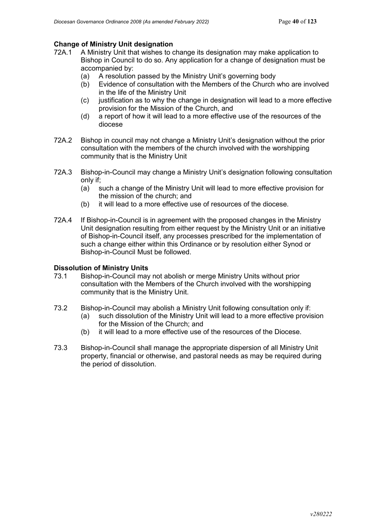# **Change of Ministry Unit designation**<br>72A.1 A Ministry Unit that wishes to o

- A Ministry Unit that wishes to change its designation may make application to Bishop in Council to do so. Any application for a change of designation must be accompanied by:
	- (a) A resolution passed by the Ministry Unit's governing body
	- (b) Evidence of consultation with the Members of the Church who are involved in the life of the Ministry Unit
	- $(c)$  justification as to why the change in designation will lead to a more effective provision for the Mission of the Church, and
	- (d) a report of how it will lead to a more effective use of the resources of the diocese
- 72A.2 Bishop in council may not change a Ministry Unit's designation without the prior consultation with the members of the church involved with the worshipping community that is the Ministry Unit
- 72A.3 Bishop-in-Council may change a Ministry Unit's designation following consultation only if;<br>(a) s
	- such a change of the Ministry Unit will lead to more effective provision for the mission of the church; and
	- (b) it will lead to a more effective use of resources of the diocese.
- 72A.4 If Bishop-in-Council is in agreement with the proposed changes in the Ministry Unit designation resulting from either request by the Ministry Unit or an initiative of Bishop-in-Council itself, any processes prescribed for the implementation of such a change either within this Ordinance or by resolution either Synod or Bishop-in-Council Must be followed.

### **Dissolution of Ministry Units**

- 73.1 Bishop-in-Council may not abolish or merge Ministry Units without prior consultation with the Members of the Church involved with the worshipping community that is the Ministry Unit.
- 73.2 Bishop-in-Council may abolish a Ministry Unit following consultation only if:
	- (a) such dissolution of the Ministry Unit will lead to a more effective provision for the Mission of the Church; and
	- (b) it will lead to a more effective use of the resources of the Diocese.
- 73.3 Bishop-in-Council shall manage the appropriate dispersion of all Ministry Unit property, financial or otherwise, and pastoral needs as may be required during the period of dissolution.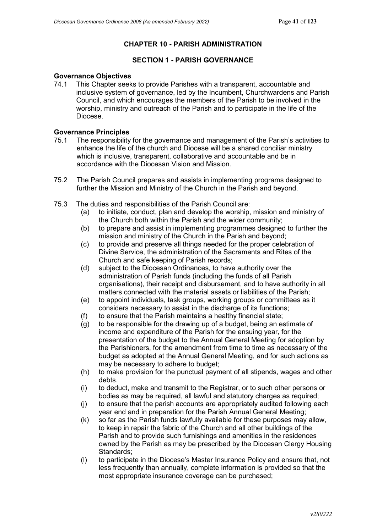### **CHAPTER 10 - PARISH ADMINISTRATION**

### **SECTION 1 - PARISH GOVERNANCE**

### **Governance Objectives**

74.1 This Chapter seeks to provide Parishes with a transparent, accountable and inclusive system of governance, led by the Incumbent, Churchwardens and Parish Council, and which encourages the members of the Parish to be involved in the worship, ministry and outreach of the Parish and to participate in the life of the Diocese.

### **Governance Principles**

- 75.1 The responsibility for the governance and management of the Parish's activities to enhance the life of the church and Diocese will be a shared conciliar ministry which is inclusive, transparent, collaborative and accountable and be in accordance with the Diocesan Vision and Mission.
- 75.2 The Parish Council prepares and assists in implementing programs designed to further the Mission and Ministry of the Church in the Parish and beyond.
- 75.3 The duties and responsibilities of the Parish Council are:
	- (a) to initiate, conduct, plan and develop the worship, mission and ministry of the Church both within the Parish and the wider community;
	- (b) to prepare and assist in implementing programmes designed to further the mission and ministry of the Church in the Parish and beyond;
	- (c) to provide and preserve all things needed for the proper celebration of Divine Service, the administration of the Sacraments and Rites of the Church and safe keeping of Parish records;
	- (d) subject to the Diocesan Ordinances, to have authority over the administration of Parish funds (including the funds of all Parish organisations), their receipt and disbursement, and to have authority in all matters connected with the material assets or liabilities of the Parish;
	- (e) to appoint individuals, task groups, working groups or committees as it considers necessary to assist in the discharge of its functions;
	- (f) to ensure that the Parish maintains a healthy financial state;
	- (g) to be responsible for the drawing up of a budget, being an estimate of income and expenditure of the Parish for the ensuing year, for the presentation of the budget to the Annual General Meeting for adoption by the Parishioners, for the amendment from time to time as necessary of the budget as adopted at the Annual General Meeting, and for such actions as may be necessary to adhere to budget;
	- (h) to make provision for the punctual payment of all stipends, wages and other debts.
	- (i) to deduct, make and transmit to the Registrar, or to such other persons or bodies as may be required, all lawful and statutory charges as required;
	- (j) to ensure that the parish accounts are appropriately audited following each year end and in preparation for the Parish Annual General Meeting;
	- (k) so far as the Parish funds lawfully available for these purposes may allow, to keep in repair the fabric of the Church and all other buildings of the Parish and to provide such furnishings and amenities in the residences owned by the Parish as may be prescribed by the Diocesan Clergy Housing Standards;
	- (l) to participate in the Diocese's Master Insurance Policy and ensure that, not less frequently than annually, complete information is provided so that the most appropriate insurance coverage can be purchased;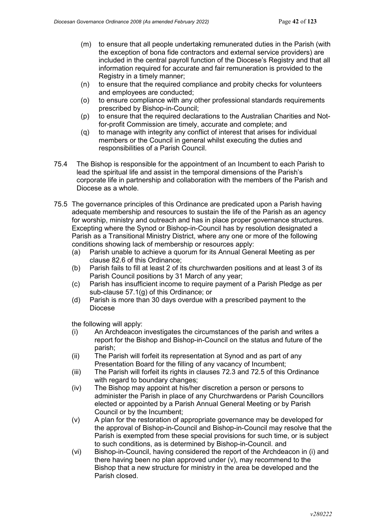- (m) to ensure that all people undertaking remunerated duties in the Parish (with the exception of bona fide contractors and external service providers) are included in the central payroll function of the Diocese's Registry and that all information required for accurate and fair remuneration is provided to the Registry in a timely manner;
- (n) to ensure that the required compliance and probity checks for volunteers and employees are conducted;
- (o) to ensure compliance with any other professional standards requirements prescribed by Bishop-in-Council;
- (p) to ensure that the required declarations to the Australian Charities and Notfor-profit Commission are timely, accurate and complete; and
- (q) to manage with integrity any conflict of interest that arises for individual members or the Council in general whilst executing the duties and responsibilities of a Parish Council.
- 75.4 The Bishop is responsible for the appointment of an Incumbent to each Parish to lead the spiritual life and assist in the temporal dimensions of the Parish's corporate life in partnership and collaboration with the members of the Parish and Diocese as a whole.
- 75.5 The governance principles of this Ordinance are predicated upon a Parish having adequate membership and resources to sustain the life of the Parish as an agency for worship, ministry and outreach and has in place proper governance structures. Excepting where the Synod or Bishop-in-Council has by resolution designated a Parish as a Transitional Ministry District, where any one or more of the following conditions showing lack of membership or resources apply:
	- (a) Parish unable to achieve a quorum for its Annual General Meeting as per clause 82.6 of this Ordinance;
	- (b) Parish fails to fill at least 2 of its churchwarden positions and at least 3 of its Parish Council positions by 31 March of any year;
	- (c) Parish has insufficient income to require payment of a Parish Pledge as per sub-clause 57.1(g) of this Ordinance; or
	- (d) Parish is more than 30 days overdue with a prescribed payment to the Diocese

the following will apply:

- (i) An Archdeacon investigates the circumstances of the parish and writes a report for the Bishop and Bishop-in-Council on the status and future of the parish;
- (ii) The Parish will forfeit its representation at Synod and as part of any Presentation Board for the filling of any vacancy of Incumbent;
- (iii) The Parish will forfeit its rights in clauses 72.3 and 72.5 of this Ordinance with regard to boundary changes;
- (iv) The Bishop may appoint at his/her discretion a person or persons to administer the Parish in place of any Churchwardens or Parish Councillors elected or appointed by a Parish Annual General Meeting or by Parish Council or by the Incumbent;
- (v) A plan for the restoration of appropriate governance may be developed for the approval of Bishop-in-Council and Bishop-in-Council may resolve that the Parish is exempted from these special provisions for such time, or is subject to such conditions, as is determined by Bishop-in-Council. and
- (vi) Bishop-in-Council, having considered the report of the Archdeacon in (i) and there having been no plan approved under (v), may recommend to the Bishop that a new structure for ministry in the area be developed and the Parish closed.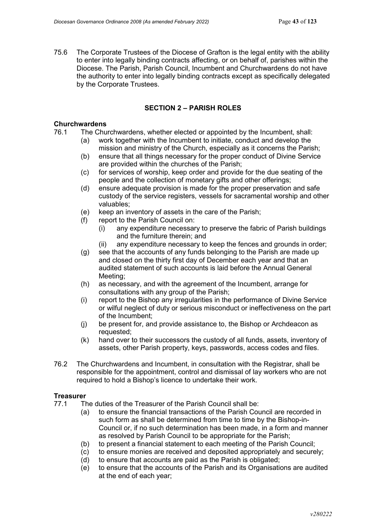75.6 The Corporate Trustees of the Diocese of Grafton is the legal entity with the ability to enter into legally binding contracts affecting, or on behalf of, parishes within the Diocese. The Parish, Parish Council, Incumbent and Churchwardens do not have the authority to enter into legally binding contracts except as specifically delegated by the Corporate Trustees.

### **SECTION 2 – PARISH ROLES**

## **Churchwardens**<br>76.1 The Chu

- The Churchwardens, whether elected or appointed by the Incumbent, shall:
	- (a) work together with the Incumbent to initiate, conduct and develop the mission and ministry of the Church, especially as it concerns the Parish;
		- (b) ensure that all things necessary for the proper conduct of Divine Service are provided within the churches of the Parish;
		- (c) for services of worship, keep order and provide for the due seating of the people and the collection of monetary gifts and other offerings;
		- (d) ensure adequate provision is made for the proper preservation and safe custody of the service registers, vessels for sacramental worship and other valuables;
		- (e) keep an inventory of assets in the care of the Parish;
		- (f) report to the Parish Council on:
			- (i) any expenditure necessary to preserve the fabric of Parish buildings and the furniture therein; and
			- (ii) any expenditure necessary to keep the fences and grounds in order;
		- (g) see that the accounts of any funds belonging to the Parish are made up and closed on the thirty first day of December each year and that an audited statement of such accounts is laid before the Annual General Meeting;
		- (h) as necessary, and with the agreement of the Incumbent, arrange for consultations with any group of the Parish;
		- (i) report to the Bishop any irregularities in the performance of Divine Service or wilful neglect of duty or serious misconduct or ineffectiveness on the part of the Incumbent;
		- (j) be present for, and provide assistance to, the Bishop or Archdeacon as requested;
		- (k) hand over to their successors the custody of all funds, assets, inventory of assets, other Parish property, keys, passwords, access codes and files.
- 76.2 The Churchwardens and Incumbent, in consultation with the Registrar, shall be responsible for the appointment, control and dismissal of lay workers who are not required to hold a Bishop's licence to undertake their work.

### **Treasurer**

- 77.1 The duties of the Treasurer of the Parish Council shall be:
	- (a) to ensure the financial transactions of the Parish Council are recorded in such form as shall be determined from time to time by the Bishop-in-Council or, if no such determination has been made, in a form and manner as resolved by Parish Council to be appropriate for the Parish;
	- (b) to present a financial statement to each meeting of the Parish Council;
	- (c) to ensure monies are received and deposited appropriately and securely;
	- (d) to ensure that accounts are paid as the Parish is obligated;
	- (e) to ensure that the accounts of the Parish and its Organisations are audited at the end of each year;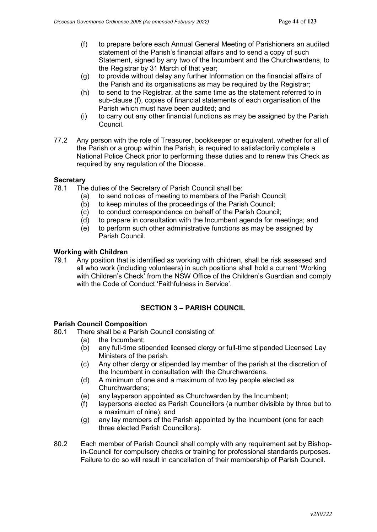- (f) to prepare before each Annual General Meeting of Parishioners an audited statement of the Parish's financial affairs and to send a copy of such Statement, signed by any two of the Incumbent and the Churchwardens, to the Registrar by 31 March of that year;
- (g) to provide without delay any further Information on the financial affairs of the Parish and its organisations as may be required by the Registrar;
- (h) to send to the Registrar, at the same time as the statement referred to in sub-clause (f), copies of financial statements of each organisation of the Parish which must have been audited; and
- (i) to carry out any other financial functions as may be assigned by the Parish Council.
- 77.2 Any person with the role of Treasurer, bookkeeper or equivalent, whether for all of the Parish or a group within the Parish, is required to satisfactorily complete a National Police Check prior to performing these duties and to renew this Check as required by any regulation of the Diocese.

### **Secretary**

- 78.1 The duties of the Secretary of Parish Council shall be:
	- (a) to send notices of meeting to members of the Parish Council;
	- (b) to keep minutes of the proceedings of the Parish Council;
	- (c) to conduct correspondence on behalf of the Parish Council;
	- (d) to prepare in consultation with the Incumbent agenda for meetings; and
	- (e) to perform such other administrative functions as may be assigned by Parish Council.

### **Working with Children**

79.1 Any position that is identified as working with children, shall be risk assessed and all who work (including volunteers) in such positions shall hold a current 'Working with Children's Check' from the NSW Office of the Children's Guardian and comply with the Code of Conduct 'Faithfulness in Service'.

### **SECTION 3 – PARISH COUNCIL**

### **Parish Council Composition**

80.1 There shall be a Parish Council consisting of:

- (a) the Incumbent;
- (b) any full-time stipended licensed clergy or full-time stipended Licensed Lay Ministers of the parish.
- (c) Any other clergy or stipended lay member of the parish at the discretion of the Incumbent in consultation with the Churchwardens.
- (d) A minimum of one and a maximum of two lay people elected as Churchwardens;
- (e) any layperson appointed as Churchwarden by the Incumbent;
- (f) laypersons elected as Parish Councillors (a number divisible by three but to a maximum of nine); and
- (g) any lay members of the Parish appointed by the Incumbent (one for each three elected Parish Councillors).
- 80.2 Each member of Parish Council shall comply with any requirement set by Bishopin-Council for compulsory checks or training for professional standards purposes. Failure to do so will result in cancellation of their membership of Parish Council.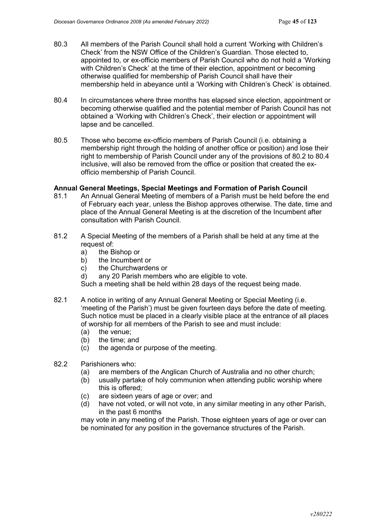- 80.3 All members of the Parish Council shall hold a current 'Working with Children's Check' from the NSW Office of the Children's Guardian. Those elected to, appointed to, or ex-officio members of Parish Council who do not hold a 'Working with Children's Check' at the time of their election, appointment or becoming otherwise qualified for membership of Parish Council shall have their membership held in abeyance until a 'Working with Children's Check' is obtained.
- 80.4 In circumstances where three months has elapsed since election, appointment or becoming otherwise qualified and the potential member of Parish Council has not obtained a 'Working with Children's Check', their election or appointment will lapse and be cancelled.
- 80.5 Those who become ex-officio members of Parish Council (i.e. obtaining a membership right through the holding of another office or position) and lose their right to membership of Parish Council under any of the provisions of 80.2 to 80.4 inclusive, will also be removed from the office or position that created the exofficio membership of Parish Council.

### **Annual General Meetings, Special Meetings and Formation of Parish Council**

- 81.1 An Annual General Meeting of members of a Parish must be held before the end of February each year, unless the Bishop approves otherwise. The date, time and place of the Annual General Meeting is at the discretion of the Incumbent after consultation with Parish Council.
- 81.2 A Special Meeting of the members of a Parish shall be held at any time at the request of:
	- a) the Bishop or
	- b) the Incumbent or
	- c) the Churchwardens or
	- d) any 20 Parish members who are eligible to vote.

Such a meeting shall be held within 28 days of the request being made.

- 82.1 A notice in writing of any Annual General Meeting or Special Meeting (i.e. 'meeting of the Parish') must be given fourteen days before the date of meeting. Such notice must be placed in a clearly visible place at the entrance of all places of worship for all members of the Parish to see and must include:
	- (a) the venue;
	- (b) the time; and
	- (c) the agenda or purpose of the meeting.
- 82.2 Parishioners who:
	- (a) are members of the Anglican Church of Australia and no other church;
	- (b) usually partake of holy communion when attending public worship where this is offered;
	- (c) are sixteen years of age or over; and
	- (d) have not voted, or will not vote, in any similar meeting in any other Parish, in the past 6 months

may vote in any meeting of the Parish. Those eighteen years of age or over can be nominated for any position in the governance structures of the Parish.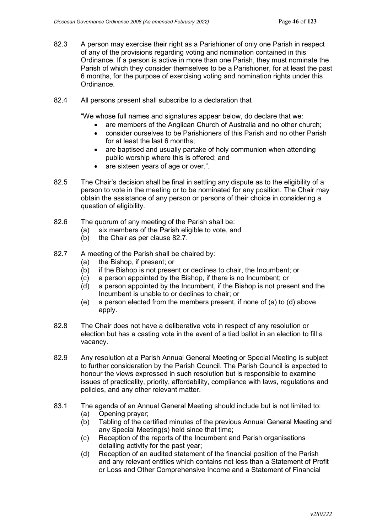- 82.3 A person may exercise their right as a Parishioner of only one Parish in respect of any of the provisions regarding voting and nomination contained in this Ordinance. If a person is active in more than one Parish, they must nominate the Parish of which they consider themselves to be a Parishioner, for at least the past 6 months, for the purpose of exercising voting and nomination rights under this Ordinance.
- 82.4 All persons present shall subscribe to a declaration that

"We whose full names and signatures appear below, do declare that we:

- are members of the Anglican Church of Australia and no other church:
- consider ourselves to be Parishioners of this Parish and no other Parish for at least the last 6 months;
- are baptised and usually partake of holy communion when attending public worship where this is offered; and
- are sixteen years of age or over.".
- 82.5 The Chair's decision shall be final in settling any dispute as to the eligibility of a person to vote in the meeting or to be nominated for any position. The Chair may obtain the assistance of any person or persons of their choice in considering a question of eligibility.
- 82.6 The quorum of any meeting of the Parish shall be:
	- (a) six members of the Parish eligible to vote, and
	- (b) the Chair as per clause 82.7.
- 82.7 A meeting of the Parish shall be chaired by:
	- (a) the Bishop, if present; or
	- (b) if the Bishop is not present or declines to chair, the Incumbent; or
	- (c) a person appointed by the Bishop, if there is no Incumbent; or
	- (d) a person appointed by the Incumbent, if the Bishop is not present and the Incumbent is unable to or declines to chair; or
	- (e) a person elected from the members present, if none of (a) to (d) above apply.
- 82.8 The Chair does not have a deliberative vote in respect of any resolution or election but has a casting vote in the event of a tied ballot in an election to fill a vacancy.
- 82.9 Any resolution at a Parish Annual General Meeting or Special Meeting is subject to further consideration by the Parish Council. The Parish Council is expected to honour the views expressed in such resolution but is responsible to examine issues of practicality, priority, affordability, compliance with laws, regulations and policies, and any other relevant matter.
- 83.1 The agenda of an Annual General Meeting should include but is not limited to:
	- (a) Opening prayer;
	- (b) Tabling of the certified minutes of the previous Annual General Meeting and any Special Meeting(s) held since that time;
	- (c) Reception of the reports of the Incumbent and Parish organisations detailing activity for the past year;
	- (d) Reception of an audited statement of the financial position of the Parish and any relevant entities which contains not less than a Statement of Profit or Loss and Other Comprehensive Income and a Statement of Financial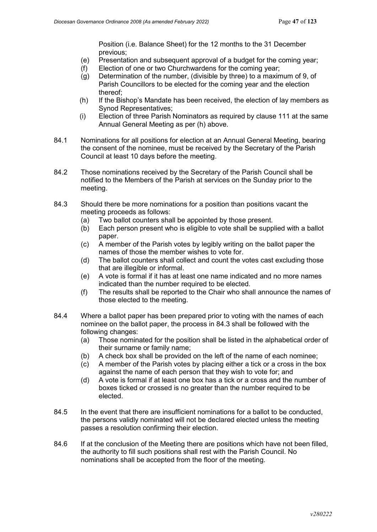Position (i.e. Balance Sheet) for the 12 months to the 31 December previous;

- (e) Presentation and subsequent approval of a budget for the coming year;
- $(f)$  Election of one or two Churchwardens for the coming year:
- (g) Determination of the number, (divisible by three) to a maximum of 9, of Parish Councillors to be elected for the coming year and the election thereof;
- (h) If the Bishop's Mandate has been received, the election of lay members as Synod Representatives;
- (i) Election of three Parish Nominators as required by clause 111 at the same Annual General Meeting as per (h) above.
- 84.1 Nominations for all positions for election at an Annual General Meeting, bearing the consent of the nominee, must be received by the Secretary of the Parish Council at least 10 days before the meeting.
- 84.2 Those nominations received by the Secretary of the Parish Council shall be notified to the Members of the Parish at services on the Sunday prior to the meeting.
- 84.3 Should there be more nominations for a position than positions vacant the meeting proceeds as follows:
	- (a) Two ballot counters shall be appointed by those present.
	- (b) Each person present who is eligible to vote shall be supplied with a ballot paper.
	- (c) A member of the Parish votes by legibly writing on the ballot paper the names of those the member wishes to vote for.
	- (d) The ballot counters shall collect and count the votes cast excluding those that are illegible or informal.
	- (e) A vote is formal if it has at least one name indicated and no more names indicated than the number required to be elected.
	- (f) The results shall be reported to the Chair who shall announce the names of those elected to the meeting.
- 84.4 Where a ballot paper has been prepared prior to voting with the names of each nominee on the ballot paper, the process in 84.3 shall be followed with the following changes:
	- (a) Those nominated for the position shall be listed in the alphabetical order of their surname or family name;
	- (b) A check box shall be provided on the left of the name of each nominee;
	- (c) A member of the Parish votes by placing either a tick or a cross in the box against the name of each person that they wish to vote for; and
	- (d) A vote is formal if at least one box has a tick or a cross and the number of boxes ticked or crossed is no greater than the number required to be elected.
- 84.5 In the event that there are insufficient nominations for a ballot to be conducted, the persons validly nominated will not be declared elected unless the meeting passes a resolution confirming their election.
- 84.6 If at the conclusion of the Meeting there are positions which have not been filled, the authority to fill such positions shall rest with the Parish Council. No nominations shall be accepted from the floor of the meeting.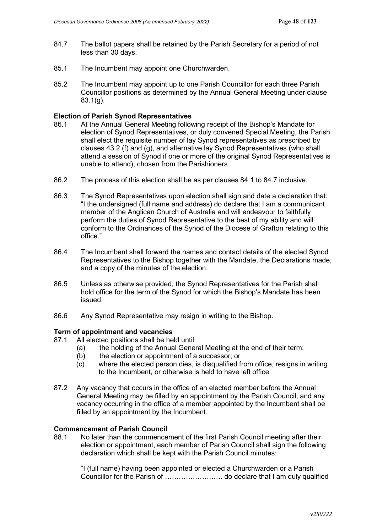- 84.7 The ballot papers shall be retained by the Parish Secretary for a period of not less than 30 days.
- 85.1 The Incumbent may appoint one Churchwarden.
- 85.2 The Incumbent may appoint up to one Parish Councillor for each three Parish Councillor positions as determined by the Annual General Meeting under clause 83.1(g).

#### **Election of Parish Synod Representatives**

- 86.1 At the Annual General Meeting following receipt of the Bishop's Mandate for election of Synod Representatives, or duly convened Special Meeting, the Parish shall elect the requisite number of lay Synod representatives as prescribed by clauses 43.2 (f) and (g), and alternative lay Synod Representatives (who shall attend a session of Synod if one or more of the original Synod Representatives is unable to attend), chosen from the Parishioners.
- 86.2 The process of this election shall be as per clauses 84.1 to 84.7 inclusive.
- 86.3 The Synod Representatives upon election shall sign and date a declaration that: "I the undersigned (full name and address) do declare that I am a communicant member of the Anglican Church of Australia and will endeavour to faithfully perform the duties of Synod Representative to the best of my ability and will conform to the Ordinances of the Synod of the Diocese of Grafton relating to this office."
- 86.4 The Incumbent shall forward the names and contact details of the elected Synod Representatives to the Bishop together with the Mandate, the Declarations made, and a copy of the minutes of the election.
- 86.5 Unless as otherwise provided, the Synod Representatives for the Parish shall hold office for the term of the Synod for which the Bishop's Mandate has been issued.
- 86.6 Any Synod Representative may resign in writing to the Bishop.

#### **Term of appointment and vacancies**

- 87.1 All elected positions shall be held until:
	- (a) the holding of the Annual General Meeting at the end of their term;
		- (b) the election or appointment of a successor; or  $(c)$  where the elected person dies, is disqualified fit
		- where the elected person dies, is disqualified from office, resigns in writing to the Incumbent, or otherwise is held to have left office.
- 87.2 Any vacancy that occurs in the office of an elected member before the Annual General Meeting may be filled by an appointment by the Parish Council, and any vacancy occurring in the office of a member appointed by the Incumbent shall be filled by an appointment by the Incumbent.

### **Commencement of Parish Council**

88.1 No later than the commencement of the first Parish Council meeting after their election or appointment, each member of Parish Council shall sign the following declaration which shall be kept with the Parish Council minutes:

"I (full name) having been appointed or elected a Churchwarden or a Parish Councillor for the Parish of ……………………. do declare that I am duly qualified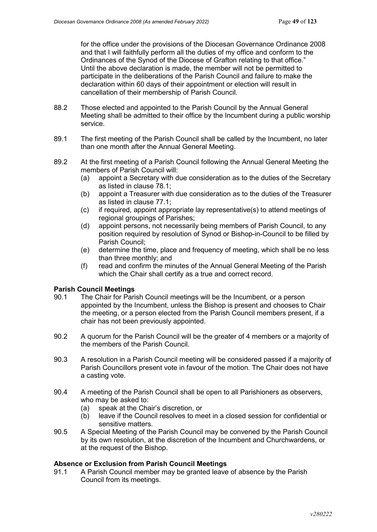for the office under the provisions of the Diocesan Governance Ordinance 2008 and that I will faithfully perform all the duties of my office and conform to the Ordinances of the Synod of the Diocese of Grafton relating to that office." Until the above declaration is made, the member will not be permitted to participate in the deliberations of the Parish Council and failure to make the declaration within 60 days of their appointment or election will result in cancellation of their membership of Parish Council.

- 88.2 Those elected and appointed to the Parish Council by the Annual General Meeting shall be admitted to their office by the Incumbent during a public worship service.
- 89.1 The first meeting of the Parish Council shall be called by the Incumbent, no later than one month after the Annual General Meeting.
- 89.2 At the first meeting of a Parish Council following the Annual General Meeting the members of Parish Council will:<br>(a) appoint a Secretary with d
	- appoint a Secretary with due consideration as to the duties of the Secretary as listed in clause 78.1;
	- (b) appoint a Treasurer with due consideration as to the duties of the Treasurer as listed in clause 77.1;
	- (c) if required, appoint appropriate lay representative(s) to attend meetings of regional groupings of Parishes:
	- (d) appoint persons, not necessarily being members of Parish Council, to any position required by resolution of Synod or Bishop-in-Council to be filled by Parish Council;
	- (e) determine the time, place and frequency of meeting, which shall be no less than three monthly; and
	- (f) read and confirm the minutes of the Annual General Meeting of the Parish which the Chair shall certify as a true and correct record.

## **Parish Council Meetings**<br>90.1 The Chair for Pari

- The Chair for Parish Council meetings will be the Incumbent, or a person appointed by the Incumbent, unless the Bishop is present and chooses to Chair the meeting, or a person elected from the Parish Council members present, if a chair has not been previously appointed.
- 90.2 A quorum for the Parish Council will be the greater of 4 members or a majority of the members of the Parish Council.
- 90.3 A resolution in a Parish Council meeting will be considered passed if a majority of Parish Councillors present vote in favour of the motion. The Chair does not have a casting vote.
- 90.4 A meeting of the Parish Council shall be open to all Parishioners as observers, who may be asked to:
	- (a) speak at the Chair's discretion, or
	- (b) leave if the Council resolves to meet in a closed session for confidential or sensitive matters.
- 90.5 A Special Meeting of the Parish Council may be convened by the Parish Council by its own resolution, at the discretion of the Incumbent and Churchwardens, or at the request of the Bishop.

### **Absence or Exclusion from Parish Council Meetings**

91.1 A Parish Council member may be granted leave of absence by the Parish Council from its meetings.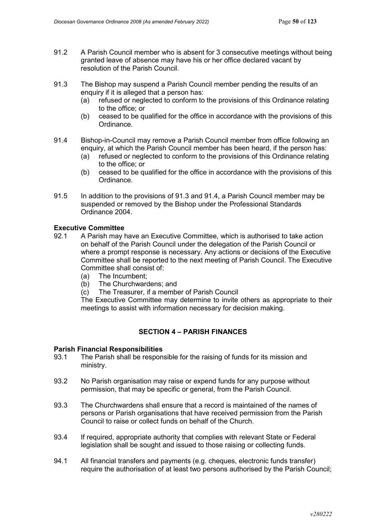- 91.2 A Parish Council member who is absent for 3 consecutive meetings without being granted leave of absence may have his or her office declared vacant by resolution of the Parish Council.
- 91.3 The Bishop may suspend a Parish Council member pending the results of an enquiry if it is alleged that a person has:
	- (a) refused or neglected to conform to the provisions of this Ordinance relating to the office; or
	- (b) ceased to be qualified for the office in accordance with the provisions of this Ordinance.
- 91.4 Bishop-in-Council may remove a Parish Council member from office following an enquiry, at which the Parish Council member has been heard, if the person has:
	- (a) refused or neglected to conform to the provisions of this Ordinance relating to the office; or
	- (b) ceased to be qualified for the office in accordance with the provisions of this Ordinance.
- 91.5 In addition to the provisions of 91.3 and 91.4, a Parish Council member may be suspended or removed by the Bishop under the Professional Standards Ordinance 2004.

### **Executive Committee**

- 92.1 A Parish may have an Executive Committee, which is authorised to take action on behalf of the Parish Council under the delegation of the Parish Council or where a prompt response is necessary. Any actions or decisions of the Executive Committee shall be reported to the next meeting of Parish Council. The Executive Committee shall consist of:
	- (a) The Incumbent;
	- (b) The Churchwardens; and
	- (c) The Treasurer, if a member of Parish Council

The Executive Committee may determine to invite others as appropriate to their meetings to assist with information necessary for decision making.

### **SECTION 4 – PARISH FINANCES**

### **Parish Financial Responsibilities**

- 93.1 The Parish shall be responsible for the raising of funds for its mission and ministry.
- 93.2 No Parish organisation may raise or expend funds for any purpose without permission, that may be specific or general, from the Parish Council.
- 93.3 The Churchwardens shall ensure that a record is maintained of the names of persons or Parish organisations that have received permission from the Parish Council to raise or collect funds on behalf of the Church.
- 93.4 If required, appropriate authority that complies with relevant State or Federal legislation shall be sought and issued to those raising or collecting funds.
- 94.1 All financial transfers and payments (e.g. cheques, electronic funds transfer) require the authorisation of at least two persons authorised by the Parish Council;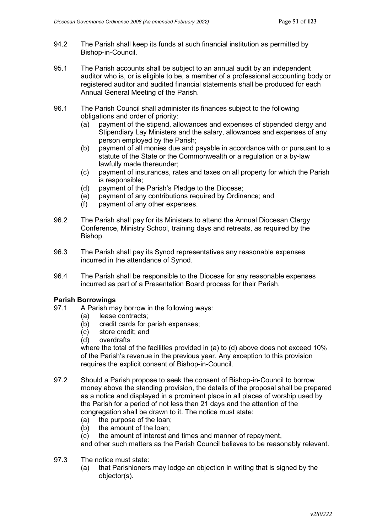- 94.2 The Parish shall keep its funds at such financial institution as permitted by Bishop-in-Council.
- 95.1 The Parish accounts shall be subject to an annual audit by an independent auditor who is, or is eligible to be, a member of a professional accounting body or registered auditor and audited financial statements shall be produced for each Annual General Meeting of the Parish.
- 96.1 The Parish Council shall administer its finances subject to the following obligations and order of priority:<br>(a) payment of the stipend, all
	- payment of the stipend, allowances and expenses of stipended clergy and Stipendiary Lay Ministers and the salary, allowances and expenses of any person employed by the Parish;
	- (b) payment of all monies due and payable in accordance with or pursuant to a statute of the State or the Commonwealth or a regulation or a by-law lawfully made thereunder;
	- (c) payment of insurances, rates and taxes on all property for which the Parish is responsible;
	- (d) payment of the Parish's Pledge to the Diocese;
	- (e) payment of any contributions required by Ordinance; and
	- (f) payment of any other expenses.
- 96.2 The Parish shall pay for its Ministers to attend the Annual Diocesan Clergy Conference, Ministry School, training days and retreats, as required by the Bishop.
- 96.3 The Parish shall pay its Synod representatives any reasonable expenses incurred in the attendance of Synod.
- 96.4 The Parish shall be responsible to the Diocese for any reasonable expenses incurred as part of a Presentation Board process for their Parish.

# **Parish Borrowings**

- A Parish may borrow in the following ways:
	- (a) lease contracts;
	- (b) credit cards for parish expenses;
	- (c) store credit; and
	- (d) overdrafts

where the total of the facilities provided in (a) to (d) above does not exceed 10% of the Parish's revenue in the previous year. Any exception to this provision requires the explicit consent of Bishop-in-Council.

- 97.2 Should a Parish propose to seek the consent of Bishop-in-Council to borrow money above the standing provision, the details of the proposal shall be prepared as a notice and displayed in a prominent place in all places of worship used by the Parish for a period of not less than 21 days and the attention of the congregation shall be drawn to it. The notice must state:
	- (a) the purpose of the loan;
	- (b) the amount of the loan;
	- (c) the amount of interest and times and manner of repayment,

and other such matters as the Parish Council believes to be reasonably relevant.

- 97.3 The notice must state:
	- (a) that Parishioners may lodge an objection in writing that is signed by the objector(s).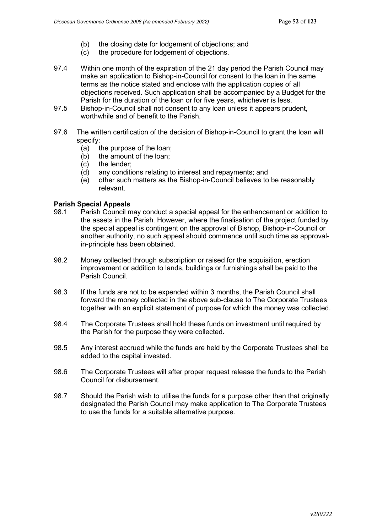- (b) the closing date for lodgement of objections; and
- (c) the procedure for lodgement of objections.
- 97.4 Within one month of the expiration of the 21 day period the Parish Council may make an application to Bishop-in-Council for consent to the loan in the same terms as the notice stated and enclose with the application copies of all objections received. Such application shall be accompanied by a Budget for the Parish for the duration of the loan or for five years, whichever is less.
- 97.5 Bishop-in-Council shall not consent to any loan unless it appears prudent, worthwhile and of benefit to the Parish.
- 97.6 The written certification of the decision of Bishop-in-Council to grant the loan will specify:
	- (a) the purpose of the loan;
	- (b) the amount of the loan;
	- (c) the lender;
	- (d) any conditions relating to interest and repayments; and
	- (e) other such matters as the Bishop-in-Council believes to be reasonably relevant.

### **Parish Special Appeals**

- 98.1 Parish Council may conduct a special appeal for the enhancement or addition to the assets in the Parish. However, where the finalisation of the project funded by the special appeal is contingent on the approval of Bishop, Bishop-in-Council or another authority, no such appeal should commence until such time as approvalin-principle has been obtained.
- 98.2 Money collected through subscription or raised for the acquisition, erection improvement or addition to lands, buildings or furnishings shall be paid to the Parish Council.
- 98.3 If the funds are not to be expended within 3 months, the Parish Council shall forward the money collected in the above sub-clause to The Corporate Trustees together with an explicit statement of purpose for which the money was collected.
- 98.4 The Corporate Trustees shall hold these funds on investment until required by the Parish for the purpose they were collected.
- 98.5 Any interest accrued while the funds are held by the Corporate Trustees shall be added to the capital invested.
- 98.6 The Corporate Trustees will after proper request release the funds to the Parish Council for disbursement.
- 98.7 Should the Parish wish to utilise the funds for a purpose other than that originally designated the Parish Council may make application to The Corporate Trustees to use the funds for a suitable alternative purpose.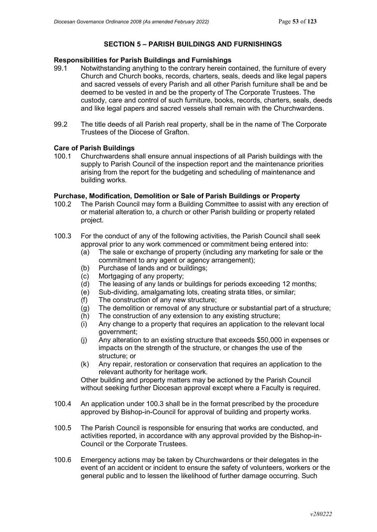### **SECTION 5 – PARISH BUILDINGS AND FURNISHINGS**

## **Responsibilities for Parish Buildings and Furnishings**

- Notwithstanding anything to the contrary herein contained, the furniture of every Church and Church books, records, charters, seals, deeds and like legal papers and sacred vessels of every Parish and all other Parish furniture shall be and be deemed to be vested in and be the property of The Corporate Trustees. The custody, care and control of such furniture, books, records, charters, seals, deeds and like legal papers and sacred vessels shall remain with the Churchwardens.
- 99.2 The title deeds of all Parish real property, shall be in the name of The Corporate Trustees of the Diocese of Grafton.

### **Care of Parish Buildings**

100.1 Churchwardens shall ensure annual inspections of all Parish buildings with the supply to Parish Council of the inspection report and the maintenance priorities arising from the report for the budgeting and scheduling of maintenance and building works.

### **Purchase, Modification, Demolition or Sale of Parish Buildings or Property**

- 100.2 The Parish Council may form a Building Committee to assist with any erection of or material alteration to, a church or other Parish building or property related project.
- 100.3 For the conduct of any of the following activities, the Parish Council shall seek approval prior to any work commenced or commitment being entered into:
	- (a) The sale or exchange of property (including any marketing for sale or the commitment to any agent or agency arrangement);
	- (b) Purchase of lands and or buildings;
	- (c) Mortgaging of any property;
	- (d) The leasing of any lands or buildings for periods exceeding 12 months;
	- (e) Sub-dividing, amalgamating lots, creating strata titles, or similar;
	- (f) The construction of any new structure;
	- $(q)$  The demolition or removal of any structure or substantial part of a structure;
	- (h) The construction of any extension to any existing structure;
	- (i) Any change to a property that requires an application to the relevant local government;
	- (j) Any alteration to an existing structure that exceeds \$50,000 in expenses or impacts on the strength of the structure, or changes the use of the structure; or
	- (k) Any repair, restoration or conservation that requires an application to the relevant authority for heritage work.

Other building and property matters may be actioned by the Parish Council without seeking further Diocesan approval except where a Faculty is required.

- 100.4 An application under 100.3 shall be in the format prescribed by the procedure approved by Bishop-in-Council for approval of building and property works.
- 100.5 The Parish Council is responsible for ensuring that works are conducted, and activities reported, in accordance with any approval provided by the Bishop-in-Council or the Corporate Trustees.
- 100.6 Emergency actions may be taken by Churchwardens or their delegates in the event of an accident or incident to ensure the safety of volunteers, workers or the general public and to lessen the likelihood of further damage occurring. Such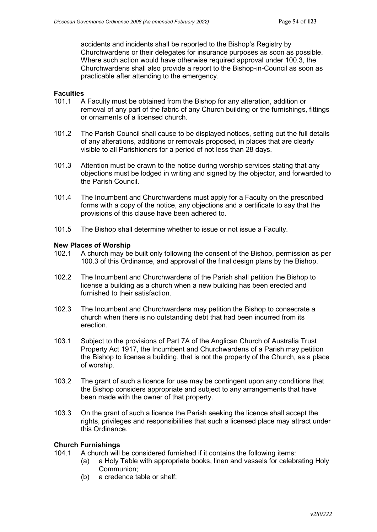accidents and incidents shall be reported to the Bishop's Registry by Churchwardens or their delegates for insurance purposes as soon as possible. Where such action would have otherwise required approval under 100.3, the Churchwardens shall also provide a report to the Bishop-in-Council as soon as practicable after attending to the emergency.

# **Faculties**

- A Faculty must be obtained from the Bishop for any alteration, addition or removal of any part of the fabric of any Church building or the furnishings, fittings or ornaments of a licensed church.
- 101.2 The Parish Council shall cause to be displayed notices, setting out the full details of any alterations, additions or removals proposed, in places that are clearly visible to all Parishioners for a period of not less than 28 days.
- 101.3 Attention must be drawn to the notice during worship services stating that any objections must be lodged in writing and signed by the objector, and forwarded to the Parish Council.
- 101.4 The Incumbent and Churchwardens must apply for a Faculty on the prescribed forms with a copy of the notice, any objections and a certificate to say that the provisions of this clause have been adhered to.
- 101.5 The Bishop shall determine whether to issue or not issue a Faculty.

### **New Places of Worship**

- 102.1 A church may be built only following the consent of the Bishop, permission as per 100.3 of this Ordinance, and approval of the final design plans by the Bishop.
- 102.2 The Incumbent and Churchwardens of the Parish shall petition the Bishop to license a building as a church when a new building has been erected and furnished to their satisfaction.
- 102.3 The Incumbent and Churchwardens may petition the Bishop to consecrate a church when there is no outstanding debt that had been incurred from its erection.
- 103.1 Subject to the provisions of Part 7A of the Anglican Church of Australia Trust Property Act 1917, the Incumbent and Churchwardens of a Parish may petition the Bishop to license a building, that is not the property of the Church, as a place of worship.
- 103.2 The grant of such a licence for use may be contingent upon any conditions that the Bishop considers appropriate and subject to any arrangements that have been made with the owner of that property.
- 103.3 On the grant of such a licence the Parish seeking the licence shall accept the rights, privileges and responsibilities that such a licensed place may attract under this Ordinance.

## **Church Furnishings**

- A church will be considered furnished if it contains the following items:
	- (a) a Holy Table with appropriate books, linen and vessels for celebrating Holy Communion;
	- (b) a credence table or shelf;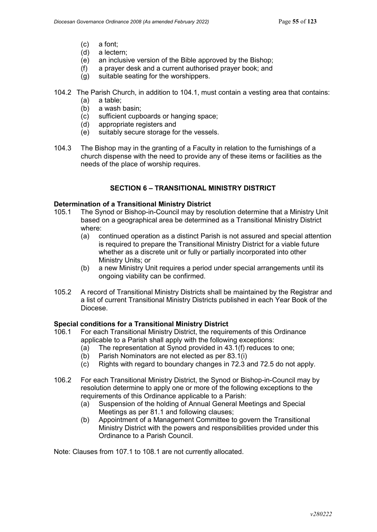- (c) a font;
- (d) a lectern;<br>(e) an inclusi
- an inclusive version of the Bible approved by the Bishop:
- $(f)$  a prayer desk and a current authorised prayer book; and
- (g) suitable seating for the worshippers.
- 104.2 The Parish Church, in addition to 104.1, must contain a vesting area that contains:
	- (a) a table;
	- (b) a wash basin;<br>(c) sufficient cupb
	- sufficient cupboards or hanging space;
	- (d) appropriate registers and
	- (e) suitably secure storage for the vessels.
- 104.3 The Bishop may in the granting of a Faculty in relation to the furnishings of a church dispense with the need to provide any of these items or facilities as the needs of the place of worship requires.

### **SECTION 6 – TRANSITIONAL MINISTRY DISTRICT**

### **Determination of a Transitional Ministry District**

- 105.1 The Synod or Bishop-in-Council may by resolution determine that a Ministry Unit based on a geographical area be determined as a Transitional Ministry District where:
	- (a) continued operation as a distinct Parish is not assured and special attention is required to prepare the Transitional Ministry District for a viable future whether as a discrete unit or fully or partially incorporated into other Ministry Units; or
	- (b) a new Ministry Unit requires a period under special arrangements until its ongoing viability can be confirmed.
- 105.2 A record of Transitional Ministry Districts shall be maintained by the Registrar and a list of current Transitional Ministry Districts published in each Year Book of the Diocese.

### **Special conditions for a Transitional Ministry District**

- 106.1 For each Transitional Ministry District, the requirements of this Ordinance applicable to a Parish shall apply with the following exceptions:
	- (a) The representation at Synod provided in 43.1(f) reduces to one;
	- (b) Parish Nominators are not elected as per 83.1(i)
	- (c) Rights with regard to boundary changes in 72.3 and 72.5 do not apply.
- 106.2 For each Transitional Ministry District, the Synod or Bishop-in-Council may by resolution determine to apply one or more of the following exceptions to the requirements of this Ordinance applicable to a Parish:
	- (a) Suspension of the holding of Annual General Meetings and Special Meetings as per 81.1 and following clauses;
	- (b) Appointment of a Management Committee to govern the Transitional Ministry District with the powers and responsibilities provided under this Ordinance to a Parish Council.

Note: Clauses from 107.1 to 108.1 are not currently allocated.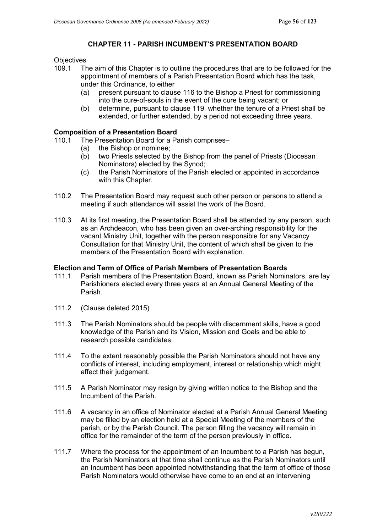### **CHAPTER 11 - PARISH INCUMBENT'S PRESENTATION BOARD**

## Objectives<br>109.1 Th

- The aim of this Chapter is to outline the procedures that are to be followed for the appointment of members of a Parish Presentation Board which has the task, under this Ordinance, to either
	- (a) present pursuant to clause 116 to the Bishop a Priest for commissioning into the cure-of-souls in the event of the cure being vacant; or
	- (b) determine, pursuant to clause 119, whether the tenure of a Priest shall be extended, or further extended, by a period not exceeding three years.

### **Composition of a Presentation Board**

- 110.1 The Presentation Board for a Parish comprises–
	- (a) the Bishop or nominee;
	- (b) two Priests selected by the Bishop from the panel of Priests (Diocesan Nominators) elected by the Synod;
	- (c) the Parish Nominators of the Parish elected or appointed in accordance with this Chapter.
- 110.2 The Presentation Board may request such other person or persons to attend a meeting if such attendance will assist the work of the Board.
- 110.3 At its first meeting, the Presentation Board shall be attended by any person, such as an Archdeacon, who has been given an over-arching responsibility for the vacant Ministry Unit, together with the person responsible for any Vacancy Consultation for that Ministry Unit, the content of which shall be given to the members of the Presentation Board with explanation.

### **Election and Term of Office of Parish Members of Presentation Boards**

- 111.1 Parish members of the Presentation Board, known as Parish Nominators, are lay Parishioners elected every three years at an Annual General Meeting of the Parish.
- 111.2 (Clause deleted 2015)
- 111.3 The Parish Nominators should be people with discernment skills, have a good knowledge of the Parish and its Vision, Mission and Goals and be able to research possible candidates.
- 111.4 To the extent reasonably possible the Parish Nominators should not have any conflicts of interest, including employment, interest or relationship which might affect their judgement.
- 111.5 A Parish Nominator may resign by giving written notice to the Bishop and the Incumbent of the Parish.
- 111.6 A vacancy in an office of Nominator elected at a Parish Annual General Meeting may be filled by an election held at a Special Meeting of the members of the parish, or by the Parish Council. The person filling the vacancy will remain in office for the remainder of the term of the person previously in office.
- 111.7 Where the process for the appointment of an Incumbent to a Parish has begun, the Parish Nominators at that time shall continue as the Parish Nominators until an Incumbent has been appointed notwithstanding that the term of office of those Parish Nominators would otherwise have come to an end at an intervening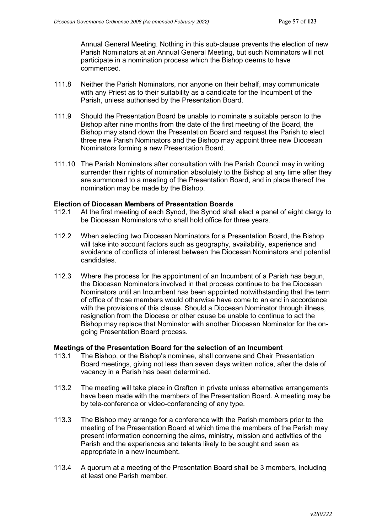Annual General Meeting. Nothing in this sub-clause prevents the election of new Parish Nominators at an Annual General Meeting, but such Nominators will not participate in a nomination process which the Bishop deems to have commenced.

- 111.8 Neither the Parish Nominators, nor anyone on their behalf, may communicate with any Priest as to their suitability as a candidate for the Incumbent of the Parish, unless authorised by the Presentation Board.
- 111.9 Should the Presentation Board be unable to nominate a suitable person to the Bishop after nine months from the date of the first meeting of the Board, the Bishop may stand down the Presentation Board and request the Parish to elect three new Parish Nominators and the Bishop may appoint three new Diocesan Nominators forming a new Presentation Board.
- 111.10 The Parish Nominators after consultation with the Parish Council may in writing surrender their rights of nomination absolutely to the Bishop at any time after they are summoned to a meeting of the Presentation Board, and in place thereof the nomination may be made by the Bishop.

#### **Election of Diocesan Members of Presentation Boards**

- 112.1 At the first meeting of each Synod, the Synod shall elect a panel of eight clergy to be Diocesan Nominators who shall hold office for three years.
- 112.2 When selecting two Diocesan Nominators for a Presentation Board, the Bishop will take into account factors such as geography, availability, experience and avoidance of conflicts of interest between the Diocesan Nominators and potential candidates.
- 112.3 Where the process for the appointment of an Incumbent of a Parish has begun, the Diocesan Nominators involved in that process continue to be the Diocesan Nominators until an Incumbent has been appointed notwithstanding that the term of office of those members would otherwise have come to an end in accordance with the provisions of this clause. Should a Diocesan Nominator through illness, resignation from the Diocese or other cause be unable to continue to act the Bishop may replace that Nominator with another Diocesan Nominator for the ongoing Presentation Board process.

### **Meetings of the Presentation Board for the selection of an Incumbent**

- 113.1 The Bishop, or the Bishop's nominee, shall convene and Chair Presentation Board meetings, giving not less than seven days written notice, after the date of vacancy in a Parish has been determined.
- 113.2 The meeting will take place in Grafton in private unless alternative arrangements have been made with the members of the Presentation Board. A meeting may be by tele-conference or video-conferencing of any type.
- 113.3 The Bishop may arrange for a conference with the Parish members prior to the meeting of the Presentation Board at which time the members of the Parish may present information concerning the aims, ministry, mission and activities of the Parish and the experiences and talents likely to be sought and seen as appropriate in a new incumbent.
- 113.4 A quorum at a meeting of the Presentation Board shall be 3 members, including at least one Parish member.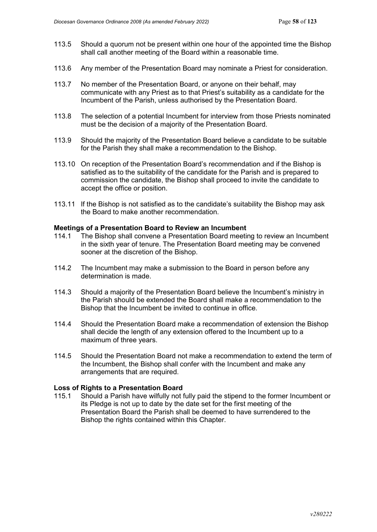- 113.5 Should a quorum not be present within one hour of the appointed time the Bishop shall call another meeting of the Board within a reasonable time.
- 113.6 Any member of the Presentation Board may nominate a Priest for consideration.
- 113.7 No member of the Presentation Board, or anyone on their behalf, may communicate with any Priest as to that Priest's suitability as a candidate for the Incumbent of the Parish, unless authorised by the Presentation Board.
- 113.8 The selection of a potential Incumbent for interview from those Priests nominated must be the decision of a majority of the Presentation Board.
- 113.9 Should the majority of the Presentation Board believe a candidate to be suitable for the Parish they shall make a recommendation to the Bishop.
- 113.10 On reception of the Presentation Board's recommendation and if the Bishop is satisfied as to the suitability of the candidate for the Parish and is prepared to commission the candidate, the Bishop shall proceed to invite the candidate to accept the office or position.
- 113.11 If the Bishop is not satisfied as to the candidate's suitability the Bishop may ask the Board to make another recommendation.

#### **Meetings of a Presentation Board to Review an Incumbent**

- 114.1 The Bishop shall convene a Presentation Board meeting to review an Incumbent in the sixth year of tenure. The Presentation Board meeting may be convened sooner at the discretion of the Bishop.
- 114.2 The Incumbent may make a submission to the Board in person before any determination is made.
- 114.3 Should a majority of the Presentation Board believe the Incumbent's ministry in the Parish should be extended the Board shall make a recommendation to the Bishop that the Incumbent be invited to continue in office.
- 114.4 Should the Presentation Board make a recommendation of extension the Bishop shall decide the length of any extension offered to the Incumbent up to a maximum of three years.
- 114.5 Should the Presentation Board not make a recommendation to extend the term of the Incumbent, the Bishop shall confer with the Incumbent and make any arrangements that are required.

#### **Loss of Rights to a Presentation Board**

115.1 Should a Parish have wilfully not fully paid the stipend to the former Incumbent or its Pledge is not up to date by the date set for the first meeting of the Presentation Board the Parish shall be deemed to have surrendered to the Bishop the rights contained within this Chapter.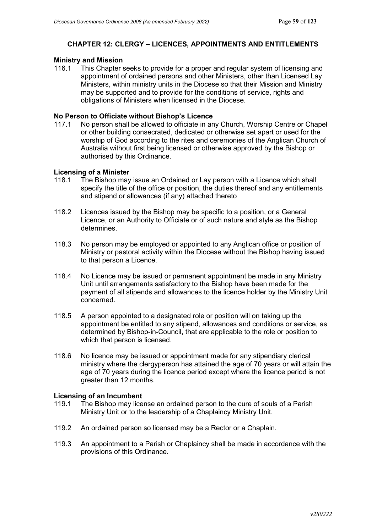### **CHAPTER 12: CLERGY – LICENCES, APPOINTMENTS AND ENTITLEMENTS**

## **Ministry and Mission**

This Chapter seeks to provide for a proper and regular system of licensing and appointment of ordained persons and other Ministers, other than Licensed Lay Ministers, within ministry units in the Diocese so that their Mission and Ministry may be supported and to provide for the conditions of service, rights and obligations of Ministers when licensed in the Diocese.

### **No Person to Officiate without Bishop's Licence**

117.1 No person shall be allowed to officiate in any Church, Worship Centre or Chapel or other building consecrated, dedicated or otherwise set apart or used for the worship of God according to the rites and ceremonies of the Anglican Church of Australia without first being licensed or otherwise approved by the Bishop or authorised by this Ordinance.

### **Licensing of a Minister**

- 118.1 The Bishop may issue an Ordained or Lay person with a Licence which shall specify the title of the office or position, the duties thereof and any entitlements and stipend or allowances (if any) attached thereto
- 118.2 Licences issued by the Bishop may be specific to a position, or a General Licence, or an Authority to Officiate or of such nature and style as the Bishop determines.
- 118.3 No person may be employed or appointed to any Anglican office or position of Ministry or pastoral activity within the Diocese without the Bishop having issued to that person a Licence.
- 118.4 No Licence may be issued or permanent appointment be made in any Ministry Unit until arrangements satisfactory to the Bishop have been made for the payment of all stipends and allowances to the licence holder by the Ministry Unit concerned.
- 118.5 A person appointed to a designated role or position will on taking up the appointment be entitled to any stipend, allowances and conditions or service, as determined by Bishop-in-Council, that are applicable to the role or position to which that person is licensed.
- 118.6 No licence may be issued or appointment made for any stipendiary clerical ministry where the clergyperson has attained the age of 70 years or will attain the age of 70 years during the licence period except where the licence period is not greater than 12 months.

### **Licensing of an Incumbent**

- 119.1 The Bishop may license an ordained person to the cure of souls of a Parish Ministry Unit or to the leadership of a Chaplaincy Ministry Unit.
- 119.2 An ordained person so licensed may be a Rector or a Chaplain.
- 119.3 An appointment to a Parish or Chaplaincy shall be made in accordance with the provisions of this Ordinance.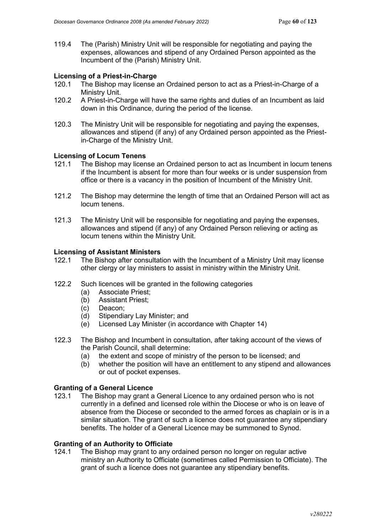119.4 The (Parish) Ministry Unit will be responsible for negotiating and paying the expenses, allowances and stipend of any Ordained Person appointed as the Incumbent of the (Parish) Ministry Unit.

### **Licensing of a Priest-in-Charge**

- 120.1 The Bishop may license an Ordained person to act as a Priest-in-Charge of a Ministry Unit.
- 120.2 A Priest-in-Charge will have the same rights and duties of an Incumbent as laid down in this Ordinance, during the period of the license.
- 120.3 The Ministry Unit will be responsible for negotiating and paying the expenses, allowances and stipend (if any) of any Ordained person appointed as the Priestin-Charge of the Ministry Unit.

#### **Licensing of Locum Tenens**

- 121.1 The Bishop may license an Ordained person to act as Incumbent in locum tenens if the Incumbent is absent for more than four weeks or is under suspension from office or there is a vacancy in the position of Incumbent of the Ministry Unit.
- 121.2 The Bishop may determine the length of time that an Ordained Person will act as locum tenens.
- 121.3 The Ministry Unit will be responsible for negotiating and paying the expenses, allowances and stipend (if any) of any Ordained Person relieving or acting as locum tenens within the Ministry Unit.

#### **Licensing of Assistant Ministers**

- 122.1 The Bishop after consultation with the Incumbent of a Ministry Unit may license other clergy or lay ministers to assist in ministry within the Ministry Unit.
- 122.2 Such licences will be granted in the following categories
	- (a) Associate Priest;
	- (b) Assistant Priest;<br>(c) Deacon:
	- Deacon:
	- (d) Stipendiary Lay Minister; and
	- (e) Licensed Lay Minister (in accordance with Chapter 14)
- 122.3 The Bishop and Incumbent in consultation, after taking account of the views of the Parish Council, shall determine:
	- (a) the extent and scope of ministry of the person to be licensed; and
	- (b) whether the position will have an entitlement to any stipend and allowances or out of pocket expenses.

#### **Granting of a General Licence**

123.1 The Bishop may grant a General Licence to any ordained person who is not currently in a defined and licensed role within the Diocese or who is on leave of absence from the Diocese or seconded to the armed forces as chaplain or is in a similar situation. The grant of such a licence does not guarantee any stipendiary benefits. The holder of a General Licence may be summoned to Synod.

#### **Granting of an Authority to Officiate**

124.1 The Bishop may grant to any ordained person no longer on regular active ministry an Authority to Officiate (sometimes called Permission to Officiate). The grant of such a licence does not guarantee any stipendiary benefits.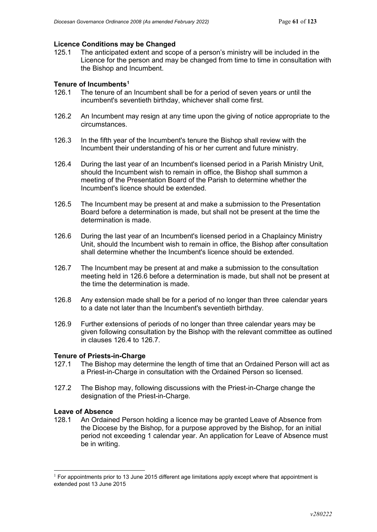# **Licence Conditions may be Changed**

The anticipated extent and scope of a person's ministry will be included in the Licence for the person and may be changed from time to time in consultation with the Bishop and Incumbent.

### **Tenure of Incumbents[1](#page-60-0)**

- 126.1 The tenure of an Incumbent shall be for a period of seven years or until the incumbent's seventieth birthday, whichever shall come first.
- 126.2 An Incumbent may resign at any time upon the giving of notice appropriate to the circumstances.
- 126.3 In the fifth year of the Incumbent's tenure the Bishop shall review with the Incumbent their understanding of his or her current and future ministry.
- 126.4 During the last year of an Incumbent's licensed period in a Parish Ministry Unit, should the Incumbent wish to remain in office, the Bishop shall summon a meeting of the Presentation Board of the Parish to determine whether the Incumbent's licence should be extended.
- 126.5 The Incumbent may be present at and make a submission to the Presentation Board before a determination is made, but shall not be present at the time the determination is made.
- 126.6 During the last year of an Incumbent's licensed period in a Chaplaincy Ministry Unit, should the Incumbent wish to remain in office, the Bishop after consultation shall determine whether the Incumbent's licence should be extended.
- 126.7 The Incumbent may be present at and make a submission to the consultation meeting held in 126.6 before a determination is made, but shall not be present at the time the determination is made.
- 126.8 Any extension made shall be for a period of no longer than three calendar years to a date not later than the Incumbent's seventieth birthday.
- 126.9 Further extensions of periods of no longer than three calendar years may be given following consultation by the Bishop with the relevant committee as outlined in clauses 126.4 to 126.7.

## **Tenure of Priests-in-Charge**<br>127.1 The Bishop may dete

- The Bishop may determine the length of time that an Ordained Person will act as a Priest-in-Charge in consultation with the Ordained Person so licensed.
- 127.2 The Bishop may, following discussions with the Priest-in-Charge change the designation of the Priest-in-Charge.

### **Leave of Absence**

128.1 An Ordained Person holding a licence may be granted Leave of Absence from the Diocese by the Bishop, for a purpose approved by the Bishop, for an initial period not exceeding 1 calendar year. An application for Leave of Absence must be in writing.

<span id="page-60-0"></span> $1$  For appointments prior to 13 June 2015 different age limitations apply except where that appointment is extended post 13 June 2015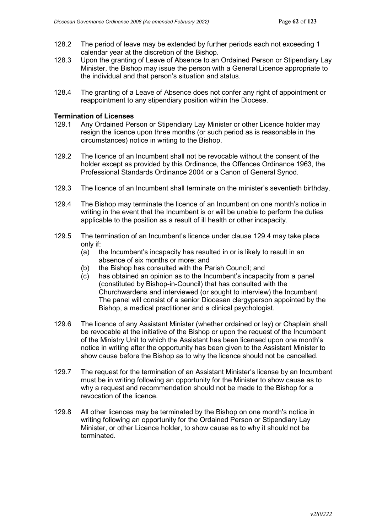- 128.2 The period of leave may be extended by further periods each not exceeding 1 calendar year at the discretion of the Bishop.
- 128.3 Upon the granting of Leave of Absence to an Ordained Person or Stipendiary Lay Minister, the Bishop may issue the person with a General Licence appropriate to the individual and that person's situation and status.
- 128.4 The granting of a Leave of Absence does not confer any right of appointment or reappointment to any stipendiary position within the Diocese.

## **Termination of Licenses**

- Any Ordained Person or Stipendiary Lay Minister or other Licence holder may resign the licence upon three months (or such period as is reasonable in the circumstances) notice in writing to the Bishop.
- 129.2 The licence of an Incumbent shall not be revocable without the consent of the holder except as provided by this Ordinance, the Offences Ordinance 1963, the Professional Standards Ordinance 2004 or a Canon of General Synod.
- 129.3 The licence of an Incumbent shall terminate on the minister's seventieth birthday.
- 129.4 The Bishop may terminate the licence of an Incumbent on one month's notice in writing in the event that the Incumbent is or will be unable to perform the duties applicable to the position as a result of ill health or other incapacity.
- 129.5 The termination of an Incumbent's licence under clause 129.4 may take place only if:
	- (a) the Incumbent's incapacity has resulted in or is likely to result in an absence of six months or more; and
	- (b) the Bishop has consulted with the Parish Council; and
	- (c) has obtained an opinion as to the Incumbent's incapacity from a panel (constituted by Bishop-in-Council) that has consulted with the Churchwardens and interviewed (or sought to interview) the Incumbent. The panel will consist of a senior Diocesan clergyperson appointed by the Bishop, a medical practitioner and a clinical psychologist.
- 129.6 The licence of any Assistant Minister (whether ordained or lay) or Chaplain shall be revocable at the initiative of the Bishop or upon the request of the Incumbent of the Ministry Unit to which the Assistant has been licensed upon one month's notice in writing after the opportunity has been given to the Assistant Minister to show cause before the Bishop as to why the licence should not be cancelled.
- 129.7 The request for the termination of an Assistant Minister's license by an Incumbent must be in writing following an opportunity for the Minister to show cause as to why a request and recommendation should not be made to the Bishop for a revocation of the licence.
- 129.8 All other licences may be terminated by the Bishop on one month's notice in writing following an opportunity for the Ordained Person or Stipendiary Lay Minister, or other Licence holder, to show cause as to why it should not be terminated.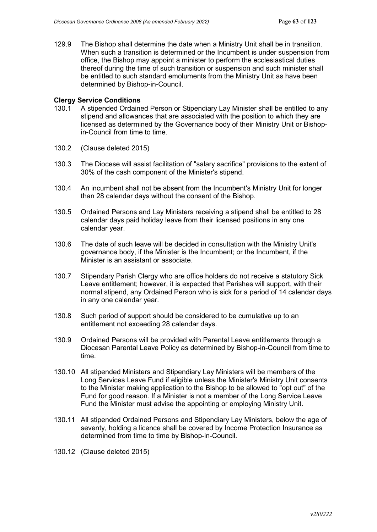129.9 The Bishop shall determine the date when a Ministry Unit shall be in transition. When such a transition is determined or the Incumbent is under suspension from office, the Bishop may appoint a minister to perform the ecclesiastical duties thereof during the time of such transition or suspension and such minister shall be entitled to such standard emoluments from the Ministry Unit as have been determined by Bishop-in-Council.

### **Clergy Service Conditions**

- 130.1 A stipended Ordained Person or Stipendiary Lay Minister shall be entitled to any stipend and allowances that are associated with the position to which they are licensed as determined by the Governance body of their Ministry Unit or Bishopin-Council from time to time.
- 130.2 (Clause deleted 2015)
- 130.3 The Diocese will assist facilitation of "salary sacrifice" provisions to the extent of 30% of the cash component of the Minister's stipend.
- 130.4 An incumbent shall not be absent from the Incumbent's Ministry Unit for longer than 28 calendar days without the consent of the Bishop.
- 130.5 Ordained Persons and Lay Ministers receiving a stipend shall be entitled to 28 calendar days paid holiday leave from their licensed positions in any one calendar year.
- 130.6 The date of such leave will be decided in consultation with the Ministry Unit's governance body, if the Minister is the Incumbent; or the Incumbent, if the Minister is an assistant or associate.
- 130.7 Stipendary Parish Clergy who are office holders do not receive a statutory Sick Leave entitlement; however, it is expected that Parishes will support, with their normal stipend, any Ordained Person who is sick for a period of 14 calendar days in any one calendar year.
- 130.8 Such period of support should be considered to be cumulative up to an entitlement not exceeding 28 calendar days.
- 130.9 Ordained Persons will be provided with Parental Leave entitlements through a Diocesan Parental Leave Policy as determined by Bishop-in-Council from time to time.
- 130.10 All stipended Ministers and Stipendiary Lay Ministers will be members of the Long Services Leave Fund if eligible unless the Minister's Ministry Unit consents to the Minister making application to the Bishop to be allowed to "opt out" of the Fund for good reason. If a Minister is not a member of the Long Service Leave Fund the Minister must advise the appointing or employing Ministry Unit.
- 130.11 All stipended Ordained Persons and Stipendiary Lay Ministers, below the age of seventy, holding a licence shall be covered by Income Protection Insurance as determined from time to time by Bishop-in-Council.
- 130.12 (Clause deleted 2015)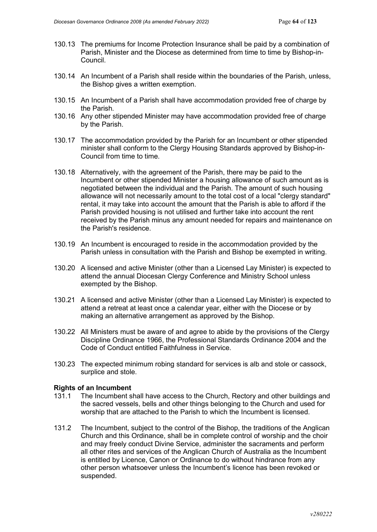- 130.13 The premiums for Income Protection Insurance shall be paid by a combination of Parish, Minister and the Diocese as determined from time to time by Bishop-in-Council.
- 130.14 An Incumbent of a Parish shall reside within the boundaries of the Parish, unless, the Bishop gives a written exemption.
- 130.15 An Incumbent of a Parish shall have accommodation provided free of charge by the Parish.
- 130.16 Any other stipended Minister may have accommodation provided free of charge by the Parish.
- 130.17 The accommodation provided by the Parish for an Incumbent or other stipended minister shall conform to the Clergy Housing Standards approved by Bishop-in-Council from time to time.
- 130.18 Alternatively, with the agreement of the Parish, there may be paid to the Incumbent or other stipended Minister a housing allowance of such amount as is negotiated between the individual and the Parish. The amount of such housing allowance will not necessarily amount to the total cost of a local "clergy standard" rental, it may take into account the amount that the Parish is able to afford if the Parish provided housing is not utilised and further take into account the rent received by the Parish minus any amount needed for repairs and maintenance on the Parish's residence.
- 130.19 An Incumbent is encouraged to reside in the accommodation provided by the Parish unless in consultation with the Parish and Bishop be exempted in writing.
- 130.20 A licensed and active Minister (other than a Licensed Lay Minister) is expected to attend the annual Diocesan Clergy Conference and Ministry School unless exempted by the Bishop.
- 130.21 A licensed and active Minister (other than a Licensed Lay Minister) is expected to attend a retreat at least once a calendar year, either with the Diocese or by making an alternative arrangement as approved by the Bishop.
- 130.22 All Ministers must be aware of and agree to abide by the provisions of the Clergy Discipline Ordinance 1966, the Professional Standards Ordinance 2004 and the Code of Conduct entitled Faithfulness in Service.
- 130.23 The expected minimum robing standard for services is alb and stole or cassock, surplice and stole.

### **Rights of an Incumbent**

- 131.1 The Incumbent shall have access to the Church, Rectory and other buildings and the sacred vessels, bells and other things belonging to the Church and used for worship that are attached to the Parish to which the Incumbent is licensed.
- 131.2 The Incumbent, subject to the control of the Bishop, the traditions of the Anglican Church and this Ordinance, shall be in complete control of worship and the choir and may freely conduct Divine Service, administer the sacraments and perform all other rites and services of the Anglican Church of Australia as the Incumbent is entitled by Licence, Canon or Ordinance to do without hindrance from any other person whatsoever unless the Incumbent's licence has been revoked or suspended.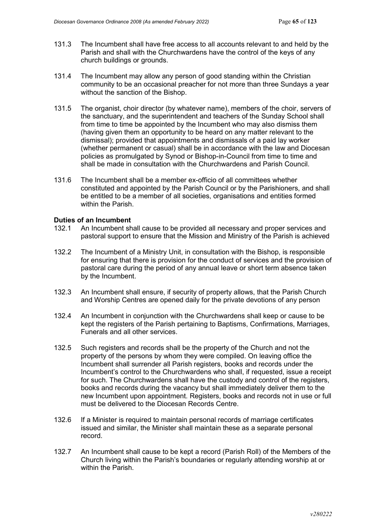- 131.3 The Incumbent shall have free access to all accounts relevant to and held by the Parish and shall with the Churchwardens have the control of the keys of any church buildings or grounds.
- 131.4 The Incumbent may allow any person of good standing within the Christian community to be an occasional preacher for not more than three Sundays a year without the sanction of the Bishop.
- 131.5 The organist, choir director (by whatever name), members of the choir, servers of the sanctuary, and the superintendent and teachers of the Sunday School shall from time to time be appointed by the Incumbent who may also dismiss them (having given them an opportunity to be heard on any matter relevant to the dismissal); provided that appointments and dismissals of a paid lay worker (whether permanent or casual) shall be in accordance with the law and Diocesan policies as promulgated by Synod or Bishop-in-Council from time to time and shall be made in consultation with the Churchwardens and Parish Council.
- 131.6 The Incumbent shall be a member ex-officio of all committees whether constituted and appointed by the Parish Council or by the Parishioners, and shall be entitled to be a member of all societies, organisations and entities formed within the Parish.

#### **Duties of an Incumbent**

- 132.1 An Incumbent shall cause to be provided all necessary and proper services and pastoral support to ensure that the Mission and Ministry of the Parish is achieved
- 132.2 The Incumbent of a Ministry Unit, in consultation with the Bishop, is responsible for ensuring that there is provision for the conduct of services and the provision of pastoral care during the period of any annual leave or short term absence taken by the Incumbent.
- 132.3 An Incumbent shall ensure, if security of property allows, that the Parish Church and Worship Centres are opened daily for the private devotions of any person
- 132.4 An Incumbent in conjunction with the Churchwardens shall keep or cause to be kept the registers of the Parish pertaining to Baptisms, Confirmations, Marriages, Funerals and all other services.
- 132.5 Such registers and records shall be the property of the Church and not the property of the persons by whom they were compiled. On leaving office the Incumbent shall surrender all Parish registers, books and records under the Incumbent's control to the Churchwardens who shall, if requested, issue a receipt for such. The Churchwardens shall have the custody and control of the registers, books and records during the vacancy but shall immediately deliver them to the new Incumbent upon appointment. Registers, books and records not in use or full must be delivered to the Diocesan Records Centre.
- 132.6 If a Minister is required to maintain personal records of marriage certificates issued and similar, the Minister shall maintain these as a separate personal record.
- 132.7 An Incumbent shall cause to be kept a record (Parish Roll) of the Members of the Church living within the Parish's boundaries or regularly attending worship at or within the Parish.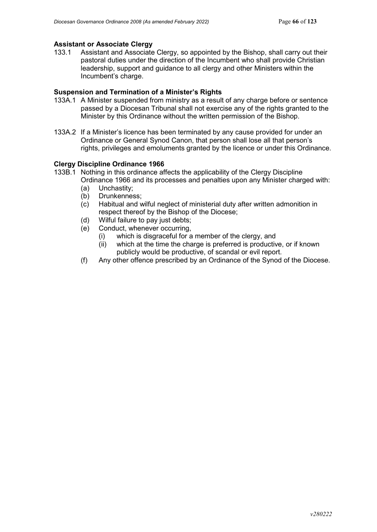### **Assistant or Associate Clergy**

133.1 Assistant and Associate Clergy, so appointed by the Bishop, shall carry out their pastoral duties under the direction of the Incumbent who shall provide Christian leadership, support and guidance to all clergy and other Ministers within the Incumbent's charge.

### **Suspension and Termination of a Minister's Rights**

- 133A.1 A Minister suspended from ministry as a result of any charge before or sentence passed by a Diocesan Tribunal shall not exercise any of the rights granted to the Minister by this Ordinance without the written permission of the Bishop.
- 133A.2 If a Minister's licence has been terminated by any cause provided for under an Ordinance or General Synod Canon, that person shall lose all that person's rights, privileges and emoluments granted by the licence or under this Ordinance.

### **Clergy Discipline Ordinance 1966**

- 133B.1 Nothing in this ordinance affects the applicability of the Clergy Discipline Ordinance 1966 and its processes and penalties upon any Minister charged with:
	- (a) Unchastity;
	- (b) Drunkenness;
	- (c) Habitual and wilful neglect of ministerial duty after written admonition in respect thereof by the Bishop of the Diocese;
	- (d) Wilful failure to pay just debts;
	- (e) Conduct, whenever occurring,
		- (i) which is disgraceful for a member of the clergy, and
		- (ii) which at the time the charge is preferred is productive, or if known publicly would be productive, of scandal or evil report.
	- (f) Any other offence prescribed by an Ordinance of the Synod of the Diocese.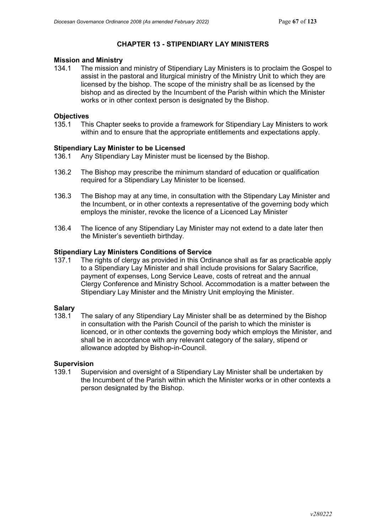### **CHAPTER 13 - STIPENDIARY LAY MINISTERS**

# **Mission and Ministry**

The mission and ministry of Stipendiary Lay Ministers is to proclaim the Gospel to assist in the pastoral and liturgical ministry of the Ministry Unit to which they are licensed by the bishop. The scope of the ministry shall be as licensed by the bishop and as directed by the Incumbent of the Parish within which the Minister works or in other context person is designated by the Bishop.

# **Objectives**<br>135.1 Thi

135.1 This Chapter seeks to provide a framework for Stipendiary Lay Ministers to work within and to ensure that the appropriate entitlements and expectations apply.

### **Stipendiary Lay Minister to be Licensed**

- 136.1 Any Stipendiary Lay Minister must be licensed by the Bishop.
- 136.2 The Bishop may prescribe the minimum standard of education or qualification required for a Stipendiary Lay Minister to be licensed.
- 136.3 The Bishop may at any time, in consultation with the Stipendary Lay Minister and the Incumbent, or in other contexts a representative of the governing body which employs the minister, revoke the licence of a Licenced Lay Minister
- 136.4 The licence of any Stipendiary Lay Minister may not extend to a date later then the Minister's seventieth birthday.

### **Stipendiary Lay Ministers Conditions of Service**

137.1 The rights of clergy as provided in this Ordinance shall as far as practicable apply to a Stipendiary Lay Minister and shall include provisions for Salary Sacrifice, payment of expenses, Long Service Leave, costs of retreat and the annual Clergy Conference and Ministry School. Accommodation is a matter between the Stipendiary Lay Minister and the Ministry Unit employing the Minister.

## **Salary**<br>138.1

The salary of any Stipendiary Lay Minister shall be as determined by the Bishop in consultation with the Parish Council of the parish to which the minister is licenced, or in other contexts the governing body which employs the Minister, and shall be in accordance with any relevant category of the salary, stipend or allowance adopted by Bishop-in-Council.

# **Supervision**

Supervision and oversight of a Stipendiary Lay Minister shall be undertaken by the Incumbent of the Parish within which the Minister works or in other contexts a person designated by the Bishop.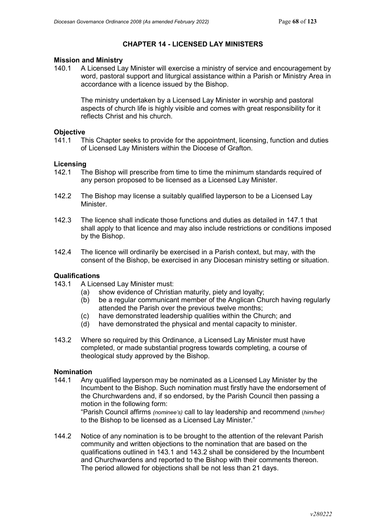### **CHAPTER 14 - LICENSED LAY MINISTERS**

## **Mission and Ministry**<br>140.1 A Licensed La

140.1 A Licensed Lay Minister will exercise a ministry of service and encouragement by word, pastoral support and liturgical assistance within a Parish or Ministry Area in accordance with a licence issued by the Bishop.

The ministry undertaken by a Licensed Lay Minister in worship and pastoral aspects of church life is highly visible and comes with great responsibility for it reflects Christ and his church.

### **Objective**

141.1 This Chapter seeks to provide for the appointment, licensing, function and duties of Licensed Lay Ministers within the Diocese of Grafton.

### **Licensing**

- 142.1 The Bishop will prescribe from time to time the minimum standards required of any person proposed to be licensed as a Licensed Lay Minister.
- 142.2 The Bishop may license a suitably qualified layperson to be a Licensed Lay **Minister**
- 142.3 The licence shall indicate those functions and duties as detailed in 147.1 that shall apply to that licence and may also include restrictions or conditions imposed by the Bishop.
- 142.4 The licence will ordinarily be exercised in a Parish context, but may, with the consent of the Bishop, be exercised in any Diocesan ministry setting or situation.

### **Qualifications**

- 143.1 A Licensed Lay Minister must:
	- (a) show evidence of Christian maturity, piety and loyalty;
	- (b) be a regular communicant member of the Anglican Church having regularly attended the Parish over the previous twelve months;
	- (c) have demonstrated leadership qualities within the Church; and
	- (d) have demonstrated the physical and mental capacity to minister.
- 143.2 Where so required by this Ordinance, a Licensed Lay Minister must have completed, or made substantial progress towards completing, a course of theological study approved by the Bishop.

### **Nomination**

- 144.1 Any qualified layperson may be nominated as a Licensed Lay Minister by the Incumbent to the Bishop. Such nomination must firstly have the endorsement of the Churchwardens and, if so endorsed, by the Parish Council then passing a motion in the following form: "Parish Council affirms *(nominee's)* call to lay leadership and recommend (*him/her)* to the Bishop to be licensed as a Licensed Lay Minister."
- 144.2 Notice of any nomination is to be brought to the attention of the relevant Parish community and written objections to the nomination that are based on the qualifications outlined in 143.1 and 143.2 shall be considered by the Incumbent and Churchwardens and reported to the Bishop with their comments thereon. The period allowed for objections shall be not less than 21 days.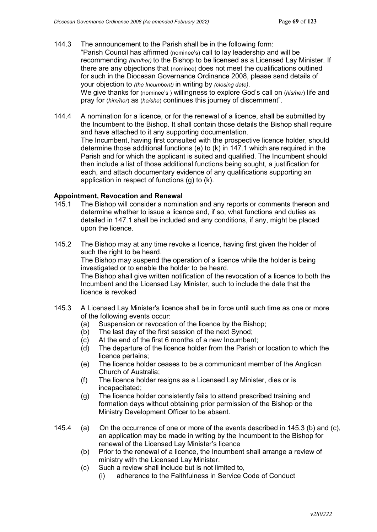- 144.3 The announcement to the Parish shall be in the following form: "Parish Council has affirmed (nominee's) call to lay leadership and will be recommending *(him/her)* to the Bishop to be licensed as a Licensed Lay Minister*.* If there are any objections that (nominee) does not meet the qualifications outlined for such in the Diocesan Governance Ordinance 2008, please send details of your objection to *(the Incumbent)* in writing by *(closing date)*. We give thanks for (nominee's ) willingness to explore God's call on (*his/her*) life and pray for (*him/her*) as (*he/she*) continues this journey of discernment".
- 144.4 A nomination for a licence, or for the renewal of a licence, shall be submitted by the Incumbent to the Bishop. It shall contain those details the Bishop shall require and have attached to it any supporting documentation. The Incumbent, having first consulted with the prospective licence holder, should determine those additional functions (e) to (k) in 147.1 which are required in the Parish and for which the applicant is suited and qualified. The Incumbent should then include a list of those additional functions being sought, a justification for each, and attach documentary evidence of any qualifications supporting an application in respect of functions (g) to (k).

### **Appointment, Revocation and Renewal**

- 145.1 The Bishop will consider a nomination and any reports or comments thereon and determine whether to issue a licence and, if so, what functions and duties as detailed in 147.1 shall be included and any conditions, if any, might be placed upon the licence.
- 145.2 The Bishop may at any time revoke a licence, having first given the holder of such the right to be heard. The Bishop may suspend the operation of a licence while the holder is being investigated or to enable the holder to be heard. The Bishop shall give written notification of the revocation of a licence to both the Incumbent and the Licensed Lay Minister, such to include the date that the licence is revoked
- 145.3 A Licensed Lay Minister's licence shall be in force until such time as one or more of the following events occur:
	- (a) Suspension or revocation of the licence by the Bishop;
	- (b) The last day of the first session of the next Synod;
	- (c) At the end of the first 6 months of a new Incumbent;
	- (d) The departure of the licence holder from the Parish or location to which the licence pertains;
	- (e) The licence holder ceases to be a communicant member of the Anglican Church of Australia;
	- (f) The licence holder resigns as a Licensed Lay Minister, dies or is incapacitated;
	- (g) The licence holder consistently fails to attend prescribed training and formation days without obtaining prior permission of the Bishop or the Ministry Development Officer to be absent.
- 145.4 (a) On the occurrence of one or more of the events described in 145.3 (b) and (c), an application may be made in writing by the Incumbent to the Bishop for renewal of the Licensed Lay Minister's licence
	- (b) Prior to the renewal of a licence, the Incumbent shall arrange a review of ministry with the Licensed Lay Minister.
	- (c) Such a review shall include but is not limited to,
		- (i) adherence to the Faithfulness in Service Code of Conduct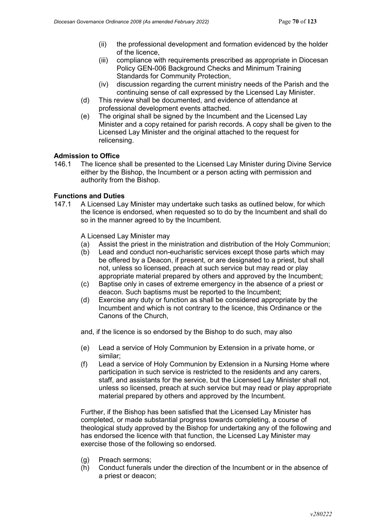- (ii) the professional development and formation evidenced by the holder of the licence,
- (iii) compliance with requirements prescribed as appropriate in Diocesan Policy GEN-006 Background Checks and Minimum Training Standards for Community Protection,
- (iv) discussion regarding the current ministry needs of the Parish and the continuing sense of call expressed by the Licensed Lay Minister.
- (d) This review shall be documented, and evidence of attendance at professional development events attached.
- (e) The original shall be signed by the Incumbent and the Licensed Lay Minister and a copy retained for parish records. A copy shall be given to the Licensed Lay Minister and the original attached to the request for relicensing.

### **Admission to Office**

146.1 The licence shall be presented to the Licensed Lay Minister during Divine Service either by the Bishop, the Incumbent or a person acting with permission and authority from the Bishop.

### **Functions and Duties**

147.1 A Licensed Lay Minister may undertake such tasks as outlined below, for which the licence is endorsed, when requested so to do by the Incumbent and shall do so in the manner agreed to by the Incumbent.

A Licensed Lay Minister may

- (a) Assist the priest in the ministration and distribution of the Holy Communion;
- (b) Lead and conduct non-eucharistic services except those parts which may be offered by a Deacon, if present, or are designated to a priest, but shall not, unless so licensed, preach at such service but may read or play appropriate material prepared by others and approved by the Incumbent;
- (c) Baptise only in cases of extreme emergency in the absence of a priest or deacon. Such baptisms must be reported to the Incumbent;
- (d) Exercise any duty or function as shall be considered appropriate by the Incumbent and which is not contrary to the licence, this Ordinance or the Canons of the Church,

and, if the licence is so endorsed by the Bishop to do such, may also

- (e) Lead a service of Holy Communion by Extension in a private home, or similar;
- (f) Lead a service of Holy Communion by Extension in a Nursing Home where participation in such service is restricted to the residents and any carers, staff, and assistants for the service, but the Licensed Lay Minister shall not, unless so licensed, preach at such service but may read or play appropriate material prepared by others and approved by the Incumbent.

Further, if the Bishop has been satisfied that the Licensed Lay Minister has completed, or made substantial progress towards completing, a course of theological study approved by the Bishop for undertaking any of the following and has endorsed the licence with that function, the Licensed Lay Minister may exercise those of the following so endorsed.

- (g) Preach sermons;
- (h) Conduct funerals under the direction of the Incumbent or in the absence of a priest or deacon;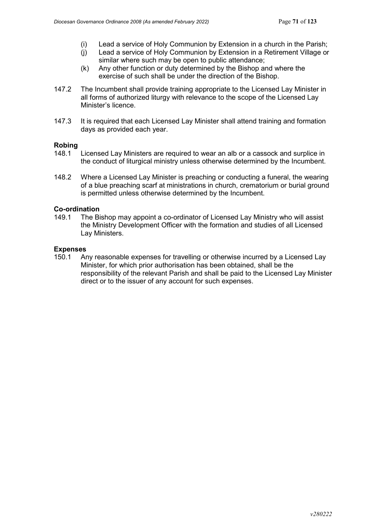- (i) Lead a service of Holy Communion by Extension in a church in the Parish;
- (j) Lead a service of Holy Communion by Extension in a Retirement Village or
- similar where such may be open to public attendance; (k) Any other function or duty determined by the Bishop and where the exercise of such shall be under the direction of the Bishop.
- 147.2 The Incumbent shall provide training appropriate to the Licensed Lay Minister in all forms of authorized liturgy with relevance to the scope of the Licensed Lay Minister's licence.
- 147.3 It is required that each Licensed Lay Minister shall attend training and formation days as provided each year.

### **Robing**

- 148.1 Licensed Lay Ministers are required to wear an alb or a cassock and surplice in the conduct of liturgical ministry unless otherwise determined by the Incumbent.
- 148.2 Where a Licensed Lay Minister is preaching or conducting a funeral, the wearing of a blue preaching scarf at ministrations in church, crematorium or burial ground is permitted unless otherwise determined by the Incumbent.

### **Co-ordination**

149.1 The Bishop may appoint a co-ordinator of Licensed Lay Ministry who will assist the Ministry Development Officer with the formation and studies of all Licensed Lay Ministers.

#### **Expenses**

150.1 Any reasonable expenses for travelling or otherwise incurred by a Licensed Lay Minister, for which prior authorisation has been obtained, shall be the responsibility of the relevant Parish and shall be paid to the Licensed Lay Minister direct or to the issuer of any account for such expenses.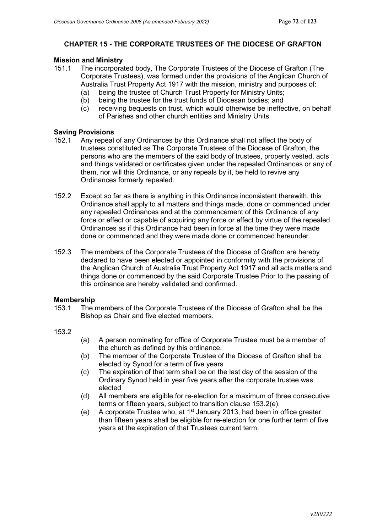### **CHAPTER 15 - THE CORPORATE TRUSTEES OF THE DIOCESE OF GRAFTON**

# **Mission and Ministry**

- The incorporated body. The Corporate Trustees of the Diocese of Grafton (The Corporate Trustees), was formed under the provisions of the Anglican Church of Australia Trust Property Act 1917 with the mission, ministry and purposes of:
	- (a) being the trustee of Church Trust Property for Ministry Units;
	- (b) being the trustee for the trust funds of Diocesan bodies; and
	- (c) receiving bequests on trust, which would otherwise be ineffective, on behalf of Parishes and other church entities and Ministry Units.

### **Saving Provisions**

- 152.1 Any repeal of any Ordinances by this Ordinance shall not affect the body of trustees constituted as The Corporate Trustees of the Diocese of Grafton, the persons who are the members of the said body of trustees, property vested, acts and things validated or certificates given under the repealed Ordinances or any of them, nor will this Ordinance, or any repeals by it, be held to revive any Ordinances formerly repealed.
- 152.2 Except so far as there is anything in this Ordinance inconsistent therewith, this Ordinance shall apply to all matters and things made, done or commenced under any repealed Ordinances and at the commencement of this Ordinance of any force or effect or capable of acquiring any force or effect by virtue of the repealed Ordinances as if this Ordinance had been in force at the time they were made done or commenced and they were made done or commenced hereunder.
- 152.3 The members of the Corporate Trustees of the Diocese of Grafton are hereby declared to have been elected or appointed in conformity with the provisions of the Anglican Church of Australia Trust Property Act 1917 and all acts matters and things done or commenced by the said Corporate Trustee Prior to the passing of this ordinance are hereby validated and confirmed.

# **Membership**<br>153.1 The r

- The members of the Corporate Trustees of the Diocese of Grafton shall be the Bishop as Chair and five elected members.
- 153.2
- (a) A person nominating for office of Corporate Trustee must be a member of the church as defined by this ordinance.
- (b) The member of the Corporate Trustee of the Diocese of Grafton shall be elected by Synod for a term of five years
- (c) The expiration of that term shall be on the last day of the session of the Ordinary Synod held in year five years after the corporate trustee was elected
- (d) All members are eligible for re-election for a maximum of three consecutive terms or fifteen years, subject to transition clause 153.2(e).
- (e) A corporate Trustee who, at 1<sup>st</sup> January 2013, had been in office greater than fifteen years shall be eligible for re-election for one further term of five years at the expiration of that Trustees current term.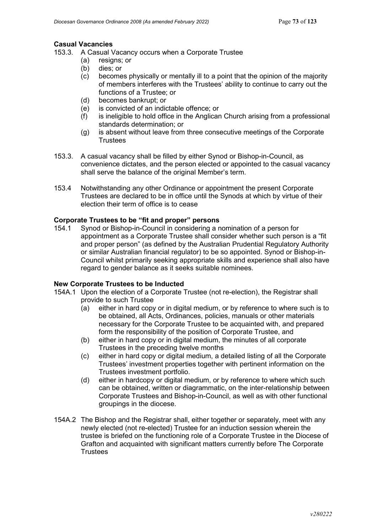#### **Casual Vacancies**

- 153.3. A Casual Vacancy occurs when a Corporate Trustee
	- (a) resigns; or
		- (b) dies; or
		- (c) becomes physically or mentally ill to a point that the opinion of the majority of members interferes with the Trustees' ability to continue to carry out the functions of a Trustee; or
		- (d) becomes bankrupt; or
		- (e) is convicted of an indictable offence; or
		- (f) is ineligible to hold office in the Anglican Church arising from a professional standards determination; or
		- (g) is absent without leave from three consecutive meetings of the Corporate **Trustees**
- 153.3. A casual vacancy shall be filled by either Synod or Bishop-in-Council, as convenience dictates, and the person elected or appointed to the casual vacancy shall serve the balance of the original Member's term.
- 153.4 Notwithstanding any other Ordinance or appointment the present Corporate Trustees are declared to be in office until the Synods at which by virtue of their election their term of office is to cease

#### **Corporate Trustees to be "fit and proper" persons**

154.1 Synod or Bishop-in-Council in considering a nomination of a person for appointment as a Corporate Trustee shall consider whether such person is a "fit and proper person" (as defined by the Australian Prudential Regulatory Authority or similar Australian financial regulator) to be so appointed. Synod or Bishop-in-Council whilst primarily seeking appropriate skills and experience shall also have regard to gender balance as it seeks suitable nominees.

### **New Corporate Trustees to be Inducted**

- 154A.1 Upon the election of a Corporate Trustee (not re-election), the Registrar shall provide to such Trustee
	- $(a)$  either in hard copy or in digital medium, or by reference to where such is to be obtained, all Acts, Ordinances, policies, manuals or other materials necessary for the Corporate Trustee to be acquainted with, and prepared form the responsibility of the position of Corporate Trustee, and
	- (b) either in hard copy or in digital medium, the minutes of all corporate Trustees in the preceding twelve months
	- (c) either in hard copy or digital medium, a detailed listing of all the Corporate Trustees' investment properties together with pertinent information on the Trustees investment portfolio.
	- (d) either in hardcopy or digital medium, or by reference to where which such can be obtained, written or diagrammatic, on the inter-relationship between Corporate Trustees and Bishop-in-Council, as well as with other functional groupings in the diocese.
- 154A.2 The Bishop and the Registrar shall, either together or separately, meet with any newly elected (not re-elected) Trustee for an induction session wherein the trustee is briefed on the functioning role of a Corporate Trustee in the Diocese of Grafton and acquainted with significant matters currently before The Corporate **Trustees**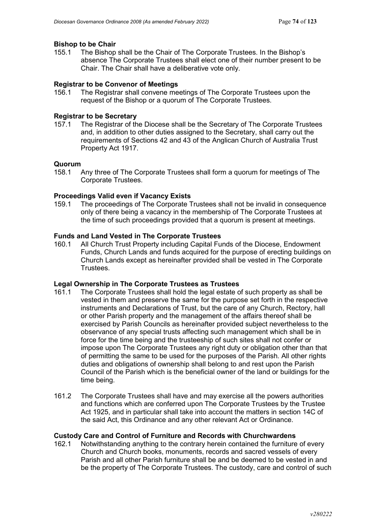# **Bishop to be Chair**<br>155.1 The Bishop

The Bishop shall be the Chair of The Corporate Trustees. In the Bishop's absence The Corporate Trustees shall elect one of their number present to be Chair. The Chair shall have a deliberative vote only.

### **Registrar to be Convenor of Meetings**

156.1 The Registrar shall convene meetings of The Corporate Trustees upon the request of the Bishop or a quorum of The Corporate Trustees.

### **Registrar to be Secretary**

157.1 The Registrar of the Diocese shall be the Secretary of The Corporate Trustees and, in addition to other duties assigned to the Secretary, shall carry out the requirements of Sections 42 and 43 of the Anglican Church of Australia Trust Property Act 1917.

#### **Quorum**

158.1 Any three of The Corporate Trustees shall form a quorum for meetings of The Corporate Trustees.

### **Proceedings Valid even if Vacancy Exists**

159.1 The proceedings of The Corporate Trustees shall not be invalid in consequence only of there being a vacancy in the membership of The Corporate Trustees at the time of such proceedings provided that a quorum is present at meetings.

# **Funds and Land Vested in The Corporate Trustees**

All Church Trust Property including Capital Funds of the Diocese, Endowment Funds, Church Lands and funds acquired for the purpose of erecting buildings on Church Lands except as hereinafter provided shall be vested in The Corporate Trustees.

#### **Legal Ownership in The Corporate Trustees as Trustees**

- 161.1 The Corporate Trustees shall hold the legal estate of such property as shall be vested in them and preserve the same for the purpose set forth in the respective instruments and Declarations of Trust, but the care of any Church, Rectory, hall or other Parish property and the management of the affairs thereof shall be exercised by Parish Councils as hereinafter provided subject nevertheless to the observance of any special trusts affecting such management which shall be in force for the time being and the trusteeship of such sites shall not confer or impose upon The Corporate Trustees any right duty or obligation other than that of permitting the same to be used for the purposes of the Parish. All other rights duties and obligations of ownership shall belong to and rest upon the Parish Council of the Parish which is the beneficial owner of the land or buildings for the time being.
- 161.2 The Corporate Trustees shall have and may exercise all the powers authorities and functions which are conferred upon The Corporate Trustees by the Trustee Act 1925, and in particular shall take into account the matters in section 14C of the said Act, this Ordinance and any other relevant Act or Ordinance.

#### **Custody Care and Control of Furniture and Records with Churchwardens**

162.1 Notwithstanding anything to the contrary herein contained the furniture of every Church and Church books, monuments, records and sacred vessels of every Parish and all other Parish furniture shall be and be deemed to be vested in and be the property of The Corporate Trustees. The custody, care and control of such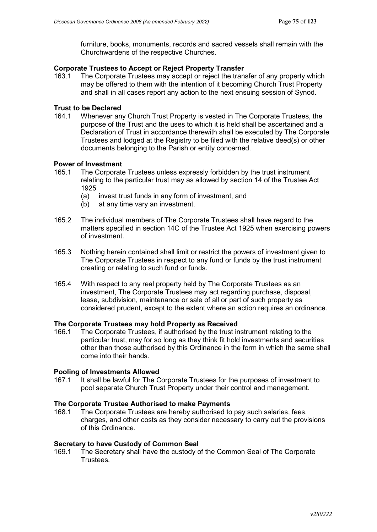furniture, books, monuments, records and sacred vessels shall remain with the Churchwardens of the respective Churches.

#### **Corporate Trustees to Accept or Reject Property Transfer**

163.1 The Corporate Trustees may accept or reject the transfer of any property which may be offered to them with the intention of it becoming Church Trust Property and shall in all cases report any action to the next ensuing session of Synod.

# **Trust to be Declared**<br>164.1 Whenever and

164.1 Whenever any Church Trust Property is vested in The Corporate Trustees, the purpose of the Trust and the uses to which it is held shall be ascertained and a Declaration of Trust in accordance therewith shall be executed by The Corporate Trustees and lodged at the Registry to be filed with the relative deed(s) or other documents belonging to the Parish or entity concerned.

### **Power of Investment**

- 165.1 The Corporate Trustees unless expressly forbidden by the trust instrument relating to the particular trust may as allowed by section 14 of the Trustee Act 1925
	- (a) invest trust funds in any form of investment, and
	- (b) at any time vary an investment.
- 165.2 The individual members of The Corporate Trustees shall have regard to the matters specified in section 14C of the Trustee Act 1925 when exercising powers of investment.
- 165.3 Nothing herein contained shall limit or restrict the powers of investment given to The Corporate Trustees in respect to any fund or funds by the trust instrument creating or relating to such fund or funds.
- 165.4 With respect to any real property held by The Corporate Trustees as an investment, The Corporate Trustees may act regarding purchase, disposal, lease, subdivision, maintenance or sale of all or part of such property as considered prudent, except to the extent where an action requires an ordinance.

#### **The Corporate Trustees may hold Property as Received**

166.1 The Corporate Trustees, if authorised by the trust instrument relating to the particular trust, may for so long as they think fit hold investments and securities other than those authorised by this Ordinance in the form in which the same shall come into their hands.

#### **Pooling of Investments Allowed**

167.1 It shall be lawful for The Corporate Trustees for the purposes of investment to pool separate Church Trust Property under their control and management.

#### **The Corporate Trustee Authorised to make Payments**

168.1 The Corporate Trustees are hereby authorised to pay such salaries, fees, charges, and other costs as they consider necessary to carry out the provisions of this Ordinance.

#### **Secretary to have Custody of Common Seal**

169.1 The Secretary shall have the custody of the Common Seal of The Corporate **Trustees**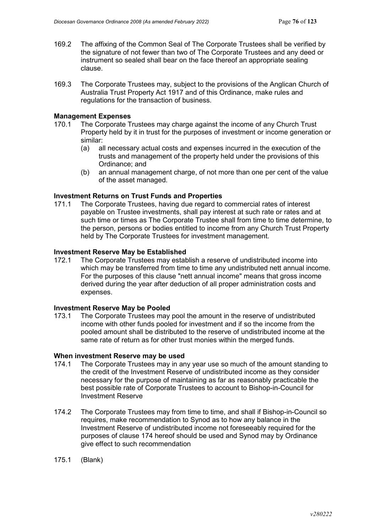- 169.2 The affixing of the Common Seal of The Corporate Trustees shall be verified by the signature of not fewer than two of The Corporate Trustees and any deed or instrument so sealed shall bear on the face thereof an appropriate sealing clause.
- 169.3 The Corporate Trustees may, subject to the provisions of the Anglican Church of Australia Trust Property Act 1917 and of this Ordinance, make rules and regulations for the transaction of business.

#### **Management Expenses**

- 170.1 The Corporate Trustees may charge against the income of any Church Trust Property held by it in trust for the purposes of investment or income generation or similar:
	- (a) all necessary actual costs and expenses incurred in the execution of the trusts and management of the property held under the provisions of this Ordinance; and
	- (b) an annual management charge, of not more than one per cent of the value of the asset managed.

#### **Investment Returns on Trust Funds and Properties**

171.1 The Corporate Trustees, having due regard to commercial rates of interest payable on Trustee investments, shall pay interest at such rate or rates and at such time or times as The Corporate Trustee shall from time to time determine, to the person, persons or bodies entitled to income from any Church Trust Property held by The Corporate Trustees for investment management.

#### **Investment Reserve May be Established**

172.1 The Corporate Trustees may establish a reserve of undistributed income into which may be transferred from time to time any undistributed nett annual income. For the purposes of this clause "nett annual income" means that gross income derived during the year after deduction of all proper administration costs and expenses.

## **Investment Reserve May be Pooled**

The Corporate Trustees may pool the amount in the reserve of undistributed income with other funds pooled for investment and if so the income from the pooled amount shall be distributed to the reserve of undistributed income at the same rate of return as for other trust monies within the merged funds.

### **When investment Reserve may be used**<br>174.1 The Corporate Trustees may in an

- The Corporate Trustees may in any year use so much of the amount standing to the credit of the Investment Reserve of undistributed income as they consider necessary for the purpose of maintaining as far as reasonably practicable the best possible rate of Corporate Trustees to account to Bishop-in-Council for Investment Reserve
- 174.2 The Corporate Trustees may from time to time, and shall if Bishop-in-Council so requires, make recommendation to Synod as to how any balance in the Investment Reserve of undistributed income not foreseeably required for the purposes of clause 174 hereof should be used and Synod may by Ordinance give effect to such recommendation
- 175.1 (Blank)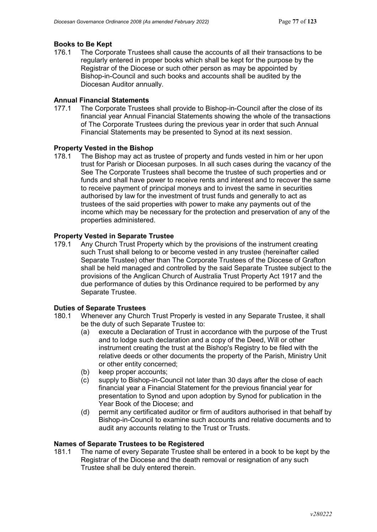# **Books to Be Kept**<br>176.1 The Corpo

The Corporate Trustees shall cause the accounts of all their transactions to be regularly entered in proper books which shall be kept for the purpose by the Registrar of the Diocese or such other person as may be appointed by Bishop-in-Council and such books and accounts shall be audited by the Diocesan Auditor annually.

#### **Annual Financial Statements**

177.1 The Corporate Trustees shall provide to Bishop-in-Council after the close of its financial year Annual Financial Statements showing the whole of the transactions of The Corporate Trustees during the previous year in order that such Annual Financial Statements may be presented to Synod at its next session.

#### **Property Vested in the Bishop**

178.1 The Bishop may act as trustee of property and funds vested in him or her upon trust for Parish or Diocesan purposes. In all such cases during the vacancy of the See The Corporate Trustees shall become the trustee of such properties and or funds and shall have power to receive rents and interest and to recover the same to receive payment of principal moneys and to invest the same in securities authorised by law for the investment of trust funds and generally to act as trustees of the said properties with power to make any payments out of the income which may be necessary for the protection and preservation of any of the properties administered.

# **Property Vested in Separate Trustee**

Any Church Trust Property which by the provisions of the instrument creating such Trust shall belong to or become vested in any trustee (hereinafter called [Separate Trustee\)](#page-8-0) other than The Corporate Trustees of the Diocese of Grafton shall be held managed and controlled by the said Separate Trustee subject to the provisions of the Anglican Church of Australia Trust Property Act 1917 and the due performance of duties by this Ordinance required to be performed by any Separate Trustee.

### **Duties of Separate Trustees**<br>180.1 Whenever any Church

- Whenever any Church Trust Properly is vested in any Separate Trustee, it shall be the duty of such Separate Trustee to:
	- (a) execute a Declaration of Trust in accordance with the purpose of the Trust and to lodge such declaration and a copy of the Deed, Will or other instrument creating the trust at the Bishop's Registry to be filed with the relative deeds or other documents the property of the Parish, Ministry Unit or other entity concerned;
	- (b) keep proper accounts;
	- (c) supply to Bishop-in-Council not later than 30 days after the close of each financial year a Financial Statement for the previous financial year for presentation to Synod and upon adoption by Synod for publication in the Year Book of the Diocese; and
	- (d) permit any certificated auditor or firm of auditors authorised in that behalf by Bishop-in-Council to examine such accounts and relative documents and to audit any accounts relating to the Trust or Trusts.

#### **Names of Separate Trustees to be Registered**

181.1 The name of every Separate Trustee shall be entered in a book to be kept by the Registrar of the Diocese and the death removal or resignation of any such Trustee shall be duly entered therein.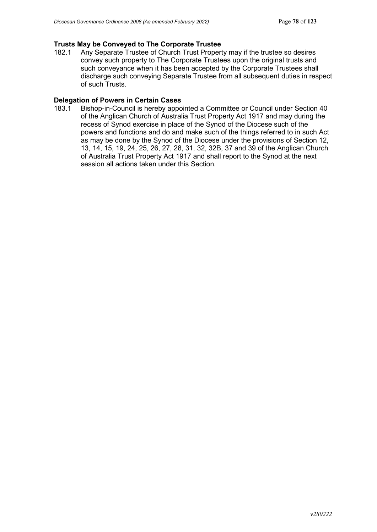# **Trusts May be Conveyed to The Corporate Trustee**

Any Separate Trustee of Church Trust Property may if the trustee so desires convey such property to The Corporate Trustees upon the original trusts and such conveyance when it has been accepted by the Corporate Trustees shall discharge such conveying Separate Trustee from all subsequent duties in respect of such Trusts.

#### **Delegation of Powers in Certain Cases**

183.1 Bishop-in-Council is hereby appointed a Committee or Council under Section 40 of the Anglican Church of Australia Trust Property Act 1917 and may during the recess of Synod exercise in place of the Synod of the Diocese such of the powers and functions and do and make such of the things referred to in such Act as may be done by the Synod of the Diocese under the provisions of Section 12, 13, 14, 15, 19, 24, 25, 26, 27, 28, 31, 32, 32B, 37 and 39 of the Anglican Church of Australia Trust Property Act 1917 and shall report to the Synod at the next session all actions taken under this Section.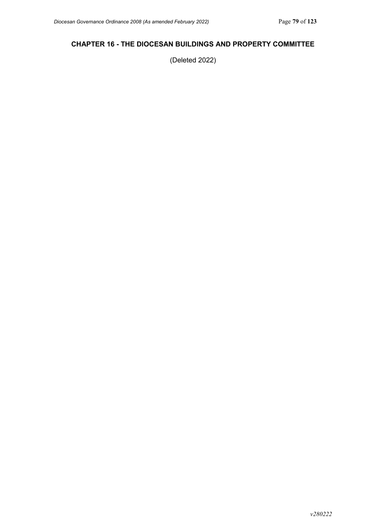### **CHAPTER 16 - THE DIOCESAN BUILDINGS AND PROPERTY COMMITTEE**

(Deleted 2022)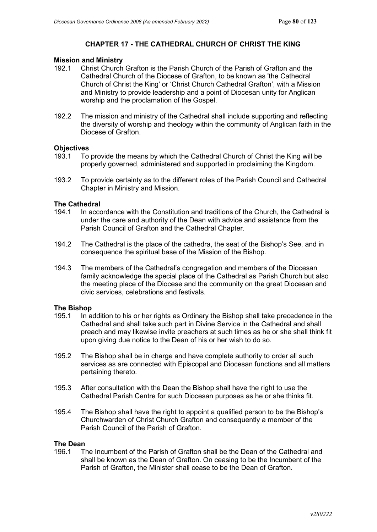### **CHAPTER 17 - THE CATHEDRAL CHURCH OF CHRIST THE KING**

# **Mission and Ministry**

- Christ Church Grafton is the Parish Church of the Parish of Grafton and the Cathedral Church of the Diocese of Grafton, to be known as 'the Cathedral Church of Christ the King' or 'Christ Church Cathedral Grafton', with a Mission and Ministry to provide leadership and a point of Diocesan unity for Anglican worship and the proclamation of the Gospel.
- 192.2 The mission and ministry of the Cathedral shall include supporting and reflecting the diversity of worship and theology within the community of Anglican faith in the Diocese of Grafton.

#### **Objectives**

- 193.1 To provide the means by which the Cathedral Church of Christ the King will be properly governed, administered and supported in proclaiming the Kingdom.
- 193.2 To provide certainty as to the different roles of the Parish Council and Cathedral Chapter in Ministry and Mission.

#### **The Cathedral**

- 194.1 In accordance with the Constitution and traditions of the Church, the Cathedral is under the care and authority of the Dean with advice and assistance from the Parish Council of Grafton and the Cathedral Chapter.
- 194.2 The Cathedral is the place of the cathedra, the seat of the Bishop's See, and in consequence the spiritual base of the Mission of the Bishop.
- 194.3 The members of the Cathedral's congregation and members of the Diocesan family acknowledge the special place of the Cathedral as Parish Church but also the meeting place of the Diocese and the community on the great Diocesan and civic services, celebrations and festivals.

## **The Bishop**<br>195.1 In a

- In addition to his or her rights as Ordinary the Bishop shall take precedence in the Cathedral and shall take such part in Divine Service in the Cathedral and shall preach and may likewise invite preachers at such times as he or she shall think fit upon giving due notice to the Dean of his or her wish to do so.
- 195.2 The Bishop shall be in charge and have complete authority to order all such services as are connected with Episcopal and Diocesan functions and all matters pertaining thereto.
- 195.3 After consultation with the Dean the Bishop shall have the right to use the Cathedral Parish Centre for such Diocesan purposes as he or she thinks fit.
- 195.4 The Bishop shall have the right to appoint a qualified person to be the Bishop's Churchwarden of Christ Church Grafton and consequently a member of the Parish Council of the Parish of Grafton.

### **The Dean**

196.1 The Incumbent of the Parish of Grafton shall be the Dean of the Cathedral and shall be known as the Dean of Grafton. On ceasing to be the Incumbent of the Parish of Grafton, the Minister shall cease to be the Dean of Grafton.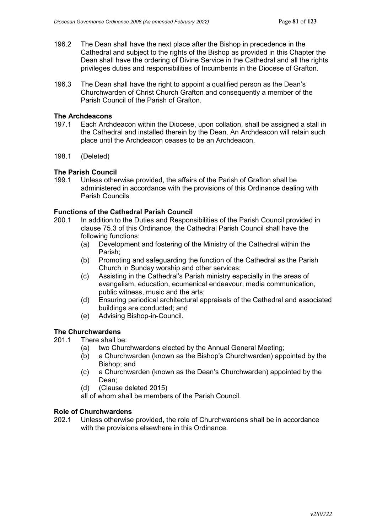- 196.2 The Dean shall have the next place after the Bishop in precedence in the Cathedral and subject to the rights of the Bishop as provided in this Chapter the Dean shall have the ordering of Divine Service in the Cathedral and all the rights privileges duties and responsibilities of Incumbents in the Diocese of Grafton.
- 196.3 The Dean shall have the right to appoint a qualified person as the Dean's Churchwarden of Christ Church Grafton and consequently a member of the Parish Council of the Parish of Grafton.

#### **The Archdeacons**

- 197.1 Each Archdeacon within the Diocese, upon collation, shall be assigned a stall in the Cathedral and installed therein by the Dean. An Archdeacon will retain such place until the Archdeacon ceases to be an Archdeacon.
- 198.1 (Deleted)

### **The Parish Council**

199.1 Unless otherwise provided, the affairs of the Parish of Grafton shall be administered in accordance with the provisions of this Ordinance dealing with Parish Councils

#### **Functions of the Cathedral Parish Council**

- 200.1 In addition to the Duties and Responsibilities of the Parish Council provided in clause 75.3 of this Ordinance, the Cathedral Parish Council shall have the following functions:
	- (a) Development and fostering of the Ministry of the Cathedral within the Parish;
	- (b) Promoting and safeguarding the function of the Cathedral as the Parish Church in Sunday worship and other services;
	- (c) Assisting in the Cathedral's Parish ministry especially in the areas of evangelism, education, ecumenical endeavour, media communication, public witness, music and the arts;
	- (d) Ensuring periodical architectural appraisals of the Cathedral and associated buildings are conducted; and
	- (e) Advising Bishop-in-Council.

#### **The Churchwardens**

- 201.1 There shall be:
	- (a) two Churchwardens elected by the Annual General Meeting;
	- (b) a Churchwarden (known as the Bishop's Churchwarden) appointed by the Bishop; and
	- (c) a Churchwarden (known as the Dean's Churchwarden) appointed by the Dean;
	- (d) (Clause deleted 2015)
	- all of whom shall be members of the Parish Council.

#### **Role of Churchwardens**

202.1 Unless otherwise provided, the role of Churchwardens shall be in accordance with the provisions elsewhere in this Ordinance.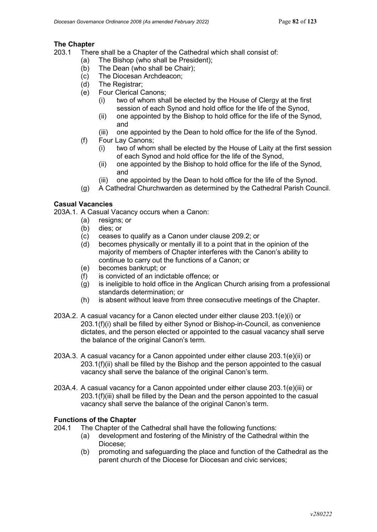# **The Chapter**<br>203.1 Then

There shall be a Chapter of the Cathedral which shall consist of:

- (a) The Bishop (who shall be President);
- (b) The Dean (who shall be Chair);
- (c) The Diocesan Archdeacon;
- (d) The Registrar;
- (e) Four Clerical Canons;
	- (i) two of whom shall be elected by the House of Clergy at the first session of each Synod and hold office for the life of the Synod,
	- (ii) one appointed by the Bishop to hold office for the life of the Synod, and
	- (iii) one appointed by the Dean to hold office for the life of the Synod.
- (f) Four Lay Canons;
	- (i) two of whom shall be elected by the House of Laity at the first session of each Synod and hold office for the life of the Synod,
	- (ii) one appointed by the Bishop to hold office for the life of the Synod, and
	- (iii) one appointed by the Dean to hold office for the life of the Synod.
- (g) A Cathedral Churchwarden as determined by the Cathedral Parish Council.

### **Casual Vacancies**

203A.1. A Casual Vacancy occurs when a Canon:

- (a) resigns; or
- (b) dies; or
- (c) ceases to qualify as a Canon under clause 209.2; or
- (d) becomes physically or mentally ill to a point that in the opinion of the majority of members of Chapter interferes with the Canon's ability to continue to carry out the functions of a Canon; or
- (e) becomes bankrupt; or
- (f) is convicted of an indictable offence; or
- (g) is ineligible to hold office in the Anglican Church arising from a professional standards determination; or
- (h) is absent without leave from three consecutive meetings of the Chapter.
- 203A.2. A casual vacancy for a Canon elected under either clause 203.1(e)(i) or 203.1(f)(i) shall be filled by either Synod or Bishop-in-Council, as convenience dictates, and the person elected or appointed to the casual vacancy shall serve the balance of the original Canon's term.
- 203A.3. A casual vacancy for a Canon appointed under either clause 203.1(e)(ii) or 203.1(f)(ii) shall be filled by the Bishop and the person appointed to the casual vacancy shall serve the balance of the original Canon's term.
- 203A.4. A casual vacancy for a Canon appointed under either clause 203.1(e)(iii) or 203.1(f)(iii) shall be filled by the Dean and the person appointed to the casual vacancy shall serve the balance of the original Canon's term.

## **Functions of the Chapter**<br>204.1 The Chapter of the

- The Chapter of the Cathedral shall have the following functions:
	- (a) development and fostering of the Ministry of the Cathedral within the Diocese;
	- (b) promoting and safeguarding the place and function of the Cathedral as the parent church of the Diocese for Diocesan and civic services;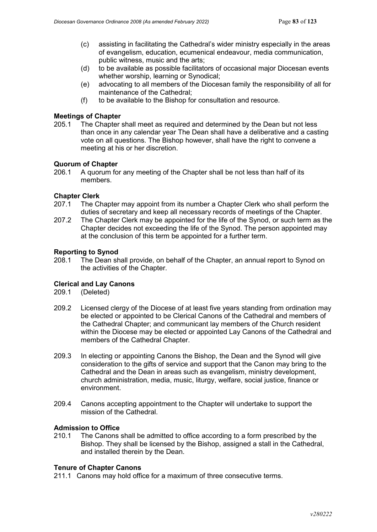- (c) assisting in facilitating the Cathedral's wider ministry especially in the areas of evangelism, education, ecumenical endeavour, media communication, public witness, music and the arts;
- (d) to be available as possible facilitators of occasional major Diocesan events whether worship, learning or Synodical;
- (e) advocating to all members of the Diocesan family the responsibility of all for maintenance of the Cathedral;
- (f) to be available to the Bishop for consultation and resource.

#### **Meetings of Chapter**

205.1 The Chapter shall meet as required and determined by the Dean but not less than once in any calendar year The Dean shall have a deliberative and a casting vote on all questions. The Bishop however, shall have the right to convene a meeting at his or her discretion.

#### **Quorum of Chapter**

206.1 A quorum for any meeting of the Chapter shall be not less than half of its members.

#### **Chapter Clerk**

- 207.1 The Chapter may appoint from its number a Chapter Clerk who shall perform the duties of secretary and keep all necessary records of meetings of the Chapter.
- 207.2 The Chapter Clerk may be appointed for the life of the Synod, or such term as the Chapter decides not exceeding the life of the Synod. The person appointed may at the conclusion of this term be appointed for a further term.

#### **Reporting to Synod**

208.1 The Dean shall provide, on behalf of the Chapter, an annual report to Synod on the activities of the Chapter.

#### **Clerical and Lay Canons**

209.1 (Deleted)

- 209.2 Licensed clergy of the Diocese of at least five years standing from ordination may be elected or appointed to be Clerical Canons of the Cathedral and members of the Cathedral Chapter; and communicant lay members of the Church resident within the Diocese may be elected or appointed Lay Canons of the Cathedral and members of the Cathedral Chapter.
- 209.3 In electing or appointing Canons the Bishop, the Dean and the Synod will give consideration to the gifts of service and support that the Canon may bring to the Cathedral and the Dean in areas such as evangelism, ministry development, church administration, media, music, liturgy, welfare, social justice, finance or environment.
- 209.4 Canons accepting appointment to the Chapter will undertake to support the mission of the Cathedral.

# **Admission to Office**

The Canons shall be admitted to office according to a form prescribed by the Bishop. They shall be licensed by the Bishop, assigned a stall in the Cathedral, and installed therein by the Dean.

#### **Tenure of Chapter Canons**

211.1 Canons may hold office for a maximum of three consecutive terms.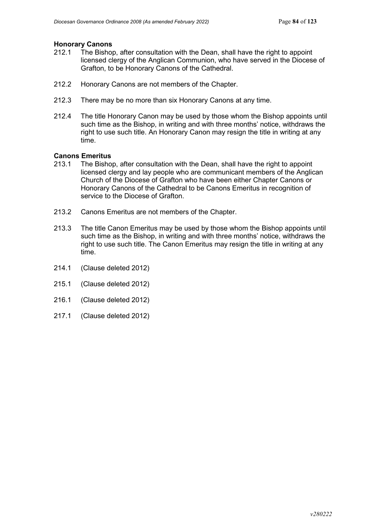# **Honorary Canons**

- The Bishop, after consultation with the Dean, shall have the right to appoint licensed clergy of the Anglican Communion, who have served in the Diocese of Grafton, to be Honorary Canons of the Cathedral.
- 212.2 Honorary Canons are not members of the Chapter.
- 212.3 There may be no more than six Honorary Canons at any time.
- 212.4 The title Honorary Canon may be used by those whom the Bishop appoints until such time as the Bishop, in writing and with three months' notice, withdraws the right to use such title. An Honorary Canon may resign the title in writing at any time.

#### **Canons Emeritus**

- 213.1 The Bishop, after consultation with the Dean, shall have the right to appoint licensed clergy and lay people who are communicant members of the Anglican Church of the Diocese of Grafton who have been either Chapter Canons or Honorary Canons of the Cathedral to be Canons Emeritus in recognition of service to the Diocese of Grafton.
- 213.2 Canons Emeritus are not members of the Chapter.
- 213.3 The title Canon Emeritus may be used by those whom the Bishop appoints until such time as the Bishop, in writing and with three months' notice, withdraws the right to use such title. The Canon Emeritus may resign the title in writing at any time.
- 214.1 (Clause deleted 2012)
- 215.1 (Clause deleted 2012)
- 216.1 (Clause deleted 2012)
- 217.1 (Clause deleted 2012)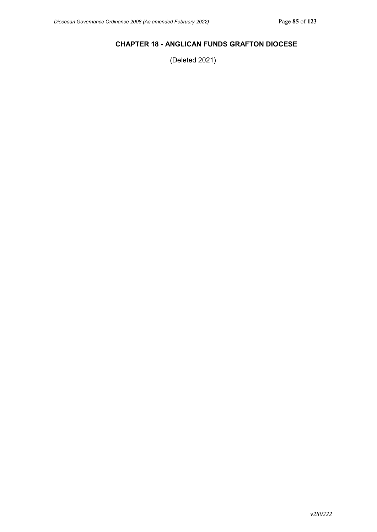### **CHAPTER 18 - ANGLICAN FUNDS GRAFTON DIOCESE**

(Deleted 2021)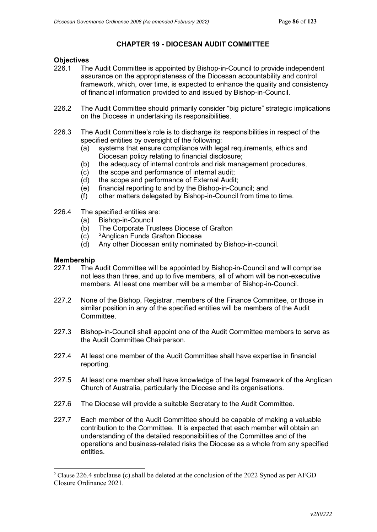### **CHAPTER 19 - DIOCESAN AUDIT COMMITTEE**

# **Objectives**<br>226.1 The

- The Audit Committee is appointed by Bishop-in-Council to provide independent assurance on the appropriateness of the Diocesan accountability and control framework, which, over time, is expected to enhance the quality and consistency of financial information provided to and issued by Bishop-in-Council.
- 226.2 The Audit Committee should primarily consider "big picture" strategic implications on the Diocese in undertaking its responsibilities.
- 226.3 The Audit Committee's role is to discharge its responsibilities in respect of the specified entities by oversight of the following:
	- (a) systems that ensure compliance with legal requirements, ethics and Diocesan policy relating to financial disclosure;
	- (b) the adequacy of internal controls and risk management procedures,
	- (c) the scope and performance of internal audit;
	- (d) the scope and performance of External Audit;
	- (e) financial reporting to and by the Bishop-in-Council; and
	- (f) other matters delegated by Bishop-in-Council from time to time.
- 226.4 The specified entities are:
	- (a) Bishop-in-Council
	- (b) The Corporate Trustees Diocese of Grafton
	- $(c)$ <sup>2</sup>Anglican Funds Grafton Diocese
	- (d) Any other Diocesan entity nominated by Bishop-in-council.

# **Membership**<br>227.1 The

- The Audit Committee will be appointed by Bishop-in-Council and will comprise not less than three, and up to five members, all of whom will be non-executive members. At least one member will be a member of Bishop-in-Council.
- 227.2 None of the Bishop, Registrar, members of the Finance Committee, or those in similar position in any of the specified entities will be members of the Audit **Committee**
- 227.3 Bishop-in-Council shall appoint one of the Audit Committee members to serve as the Audit Committee Chairperson.
- 227.4 At least one member of the Audit Committee shall have expertise in financial reporting.
- 227.5 At least one member shall have knowledge of the legal framework of the Anglican Church of Australia, particularly the Diocese and its organisations.
- 227.6 The Diocese will provide a suitable Secretary to the Audit Committee.
- 227.7 Each member of the Audit Committee should be capable of making a valuable contribution to the Committee. It is expected that each member will obtain an understanding of the detailed responsibilities of the Committee and of the operations and business-related risks the Diocese as a whole from any specified entities.

<span id="page-85-0"></span><sup>&</sup>lt;sup>2</sup> Clause 226.4 subclause (c).shall be deleted at the conclusion of the 2022 Synod as per AFGD Closure Ordinance 2021.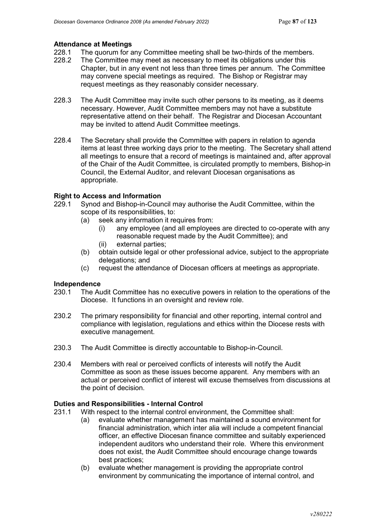#### **Attendance at Meetings**

- 228.1 The quorum for any Committee meeting shall be two-thirds of the members.<br>228.2 The Committee may meet as necessary to meet its obligations under this
- The Committee may meet as necessary to meet its obligations under this Chapter, but in any event not less than three times per annum. The Committee may convene special meetings as required. The Bishop or Registrar may request meetings as they reasonably consider necessary.
- 228.3 The Audit Committee may invite such other persons to its meeting, as it deems necessary. However, Audit Committee members may not have a substitute representative attend on their behalf. The Registrar and Diocesan Accountant may be invited to attend Audit Committee meetings.
- 228.4 The Secretary shall provide the Committee with papers in relation to agenda items at least three working days prior to the meeting. The Secretary shall attend all meetings to ensure that a record of meetings is maintained and, after approval of the Chair of the Audit Committee, is circulated promptly to members, Bishop-in Council, the External Auditor, and relevant Diocesan organisations as appropriate.

#### **Right to Access and Information**

- 229.1 Synod and Bishop-in-Council may authorise the Audit Committee, within the scope of its responsibilities, to:
	- (a) seek any information it requires from:
		- (i) any employee (and all employees are directed to co-operate with any reasonable request made by the Audit Committee); and
		- (ii) external parties;
	- (b) obtain outside legal or other professional advice, subject to the appropriate delegations; and
	- (c) request the attendance of Diocesan officers at meetings as appropriate.

#### **Independence**

- 230.1 The Audit Committee has no executive powers in relation to the operations of the Diocese. It functions in an oversight and review role.
- 230.2 The primary responsibility for financial and other reporting, internal control and compliance with legislation, regulations and ethics within the Diocese rests with executive management.
- 230.3 The Audit Committee is directly accountable to Bishop-in-Council.
- 230.4 Members with real or perceived conflicts of interests will notify the Audit Committee as soon as these issues become apparent. Any members with an actual or perceived conflict of interest will excuse themselves from discussions at the point of decision.

### **Duties and Responsibilities - Internal Control**

- 231.1 With respect to the internal control environment, the Committee shall:
	- (a) evaluate whether management has maintained a sound environment for financial administration, which inter alia will include a competent financial officer, an effective Diocesan finance committee and suitably experienced independent auditors who understand their role. Where this environment does not exist, the Audit Committee should encourage change towards best practices;
	- (b) evaluate whether management is providing the appropriate control environment by communicating the importance of internal control, and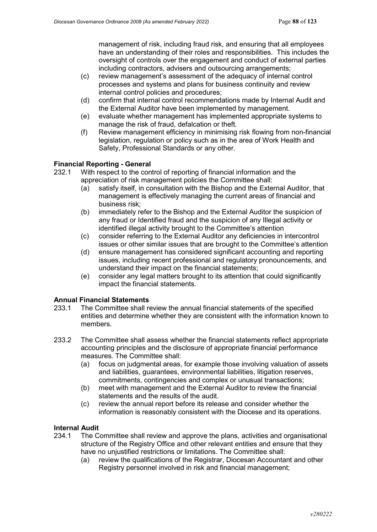management of risk, including fraud risk, and ensuring that all employees have an understanding of their roles and responsibilities. This includes the oversight of controls over the engagement and conduct of external parties including contractors, advisers and outsourcing arrangements;

- (c) review management's assessment of the adequacy of internal control processes and systems and plans for business continuity and review internal control policies and procedures;
- (d) confirm that internal control recommendations made by Internal Audit and the External Auditor have been implemented by management.
- (e) evaluate whether management has implemented appropriate systems to manage the risk of fraud, defalcation or theft.
- (f) Review management efficiency in minimising risk flowing from non-financial legislation, regulation or policy such as in the area of Work Health and Safety, Professional Standards or any other.

#### **Financial Reporting - General**

- 232.1 With respect to the control of reporting of financial information and the appreciation of risk management policies the Committee shall:
	- (a) satisfy itself, in consultation with the Bishop and the External Auditor, that management is effectively managing the current areas of financial and business risk;
	- (b) immediately refer to the Bishop and the External Auditor the suspicion of any fraud or Identified fraud and the suspicion of any Illegal activity or identified illegal activity brought to the Committee's attention
	- (c) consider referring to the External Auditor any deficiencies in intercontrol issues or other similar issues that are brought to the Committee's attention
	- (d) ensure management has considered significant accounting and reporting issues, including recent professional and regulatory pronouncements, and understand their impact on the financial statements;
	- (e) consider any legal matters brought to its attention that could significantly impact the financial statements.

# **Annual Financial Statements**

- The Committee shall review the annual financial statements of the specified entities and determine whether they are consistent with the information known to members.
- 233.2 The Committee shall assess whether the financial statements reflect appropriate accounting principles and the disclosure of appropriate financial performance measures. The Committee shall:
	- (a) focus on judgmental areas, for example those involving valuation of assets and liabilities, guarantees, environmental liabilities, litigation reserves, commitments, contingencies and complex or unusual transactions;
	- (b) meet with management and the External Auditor to review the financial statements and the results of the audit.
	- (c) review the annual report before its release and consider whether the information is reasonably consistent with the Diocese and its operations.

# **Internal Audit**

- The Committee shall review and approve the plans, activities and organisational structure of the Registry Office and other relevant entities and ensure that they have no unjustified restrictions or limitations. The Committee shall:
	- (a) review the qualifications of the Registrar, Diocesan Accountant and other Registry personnel involved in risk and financial management;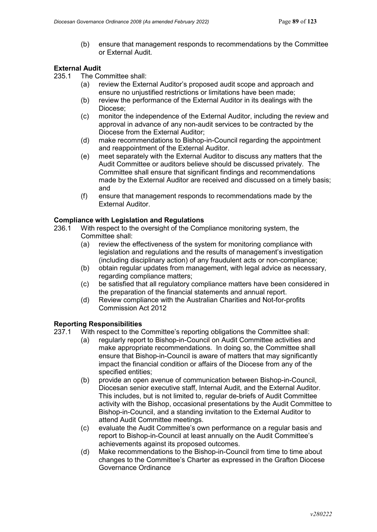(b) ensure that management responds to recommendations by the Committee or External Audit.

### **External Audit**

235.1 The Committee shall:

- (a) review the External Auditor's proposed audit scope and approach and ensure no unjustified restrictions or limitations have been made;
- (b) review the performance of the External Auditor in its dealings with the Diocese;
- (c) monitor the independence of the External Auditor, including the review and approval in advance of any non-audit services to be contracted by the Diocese from the External Auditor;
- (d) make recommendations to Bishop-in-Council regarding the appointment and reappointment of the External Auditor.
- (e) meet separately with the External Auditor to discuss any matters that the Audit Committee or auditors believe should be discussed privately. The Committee shall ensure that significant findings and recommendations made by the External Auditor are received and discussed on a timely basis; and
- (f) ensure that management responds to recommendations made by the External Auditor.

#### **Compliance with Legislation and Regulations**

- 236.1 With respect to the oversight of the Compliance monitoring system, the Committee shall:
	- (a) review the effectiveness of the system for monitoring compliance with legislation and regulations and the results of management's investigation (including disciplinary action) of any fraudulent acts or non-compliance;
	- (b) obtain regular updates from management, with legal advice as necessary, regarding compliance matters;
	- (c) be satisfied that all regulatory compliance matters have been considered in the preparation of the financial statements and annual report.
	- (d) Review compliance with the Australian Charities and Not-for-profits Commission Act 2012

#### **Reporting Responsibilities**

- 237.1 With respect to the Committee's reporting obligations the Committee shall:
	- (a) regularly report to Bishop-in-Council on Audit Committee activities and make appropriate recommendations. In doing so, the Committee shall ensure that Bishop-in-Council is aware of matters that may significantly impact the financial condition or affairs of the Diocese from any of the specified entities;
	- (b) provide an open avenue of communication between Bishop-in-Council, Diocesan senior executive staff, Internal Audit, and the External Auditor. This includes, but is not limited to, regular de-briefs of Audit Committee activity with the Bishop, occasional presentations by the Audit Committee to Bishop-in-Council, and a standing invitation to the External Auditor to attend Audit Committee meetings.
	- (c) evaluate the Audit Committee's own performance on a regular basis and report to Bishop-in-Council at least annually on the Audit Committee's achievements against its proposed outcomes.
	- (d) Make recommendations to the Bishop-in-Council from time to time about changes to the Committee's Charter as expressed in the Grafton Diocese Governance Ordinance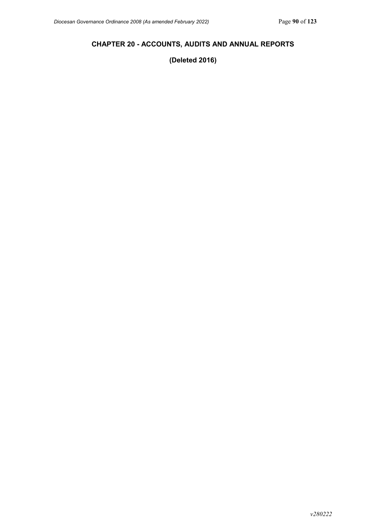### **CHAPTER 20 - ACCOUNTS, AUDITS AND ANNUAL REPORTS**

**(Deleted 2016)**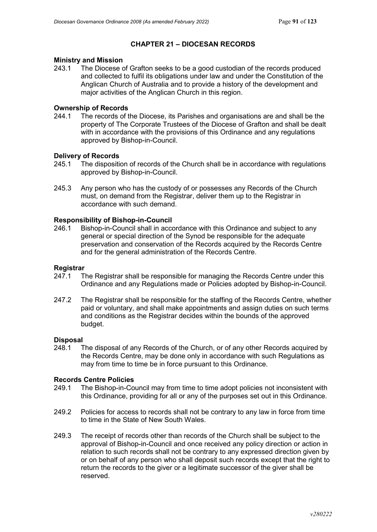### **CHAPTER 21 – DIOCESAN RECORDS**

# **Ministry and Mission**

The Diocese of Grafton seeks to be a good custodian of the records produced and collected to fulfil its obligations under law and under the Constitution of the Anglican Church of Australia and to provide a history of the development and major activities of the Anglican Church in this region.

### **Ownership of Records**<br>244.1 The records of t

The records of the Diocese, its Parishes and organisations are and shall be the property of The Corporate Trustees of the Diocese of Grafton and shall be dealt with in accordance with the provisions of this Ordinance and any regulations approved by Bishop-in-Council.

#### **Delivery of Records**

- 245.1 The disposition of records of the Church shall be in accordance with regulations approved by Bishop-in-Council.
- 245.3 Any person who has the custody of or possesses any Records of the Church must, on demand from the Registrar, deliver them up to the Registrar in accordance with such demand.

#### **Responsibility of Bishop-in-Council**

246.1 Bishop-in-Council shall in accordance with this Ordinance and subject to any general or special direction of the Synod be responsible for the adequate preservation and conservation of the Records acquired by the Records Centre and for the general administration of the Records Centre.

#### **Registrar**

- 247.1 The Registrar shall be responsible for managing the Records Centre under this Ordinance and any Regulations made or Policies adopted by Bishop-in-Council.
- 247.2 The Registrar shall be responsible for the staffing of the Records Centre, whether paid or voluntary, and shall make appointments and assign duties on such terms and conditions as the Registrar decides within the bounds of the approved budget.

#### **Disposal**

248.1 The disposal of any Records of the Church, or of any other Records acquired by the Records Centre, may be done only in accordance with such Regulations as may from time to time be in force pursuant to this Ordinance.

#### **Records Centre Policies**

- 249.1 The Bishop-in-Council may from time to time adopt policies not inconsistent with this Ordinance, providing for all or any of the purposes set out in this Ordinance.
- 249.2 Policies for access to records shall not be contrary to any law in force from time to time in the State of New South Wales.
- 249.3 The receipt of records other than records of the Church shall be subject to the approval of Bishop-in-Council and once received any policy direction or action in relation to such records shall not be contrary to any expressed direction given by or on behalf of any person who shall deposit such records except that the right to return the records to the giver or a legitimate successor of the giver shall be reserved.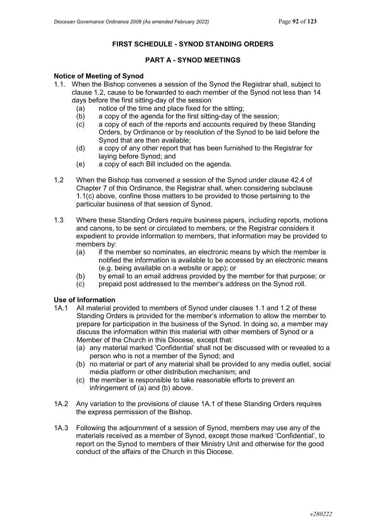### **FIRST SCHEDULE - SYNOD STANDING ORDERS**

### **PART A - SYNOD MEETINGS**

#### **Notice of Meeting of Synod**

- 1.1. When the Bishop convenes a session of the Synod the Registrar shall, subject to clause 1.2, cause to be forwarded to each member of the Synod not less than 14 days before the first sitting-day of the session
	- (a) notice of the time and place fixed for the sitting;<br>(b) a copy of the agenda for the first sitting-day of the
	- a copy of the agenda for the first sitting-day of the session;
	- (c) a copy of each of the reports and accounts required by these Standing Orders, by Ordinance or by resolution of the Synod to be laid before the Synod that are then available;
	- (d) a copy of any other report that has been furnished to the Registrar for laying before Synod; and
	- (e) a copy of each Bill included on the agenda.
- 1.2 When the Bishop has convened a session of the Synod under clause 42.4 of Chapter 7 of this Ordinance, the Registrar shall, when considering subclause 1.1(c) above, confine those matters to be provided to those pertaining to the particular business of that session of Synod.
- 1.3 Where these Standing Orders require business papers, including reports, motions and canons, to be sent or circulated to members, or the Registrar considers it expedient to provide information to members, that information may be provided to members by:
	- (a) if the member so nominates, an electronic means by which the member is notified the information is available to be accessed by an electronic means (e.g. being available on a website or app); or
	- (b) by email to an email address provided by the member for that purpose; or
	- (c) prepaid post addressed to the member's address on the Synod roll.

# **Use of Information**

- All material provided to members of Synod under clauses 1.1 and 1.2 of these Standing Orders is provided for the member's information to allow the member to prepare for participation in the business of the Synod. In doing so, a member may discuss the information within this material with other members of Synod or a Member of the Church in this Diocese, except that:
	- (a) any material marked 'Confidential' shall not be discussed with or revealed to a person who is not a member of the Synod; and
	- (b) no material or part of any material shall be provided to any media outlet, social media platform or other distribution mechanism; and
	- (c) the member is responsible to take reasonable efforts to prevent an infringement of (a) and (b) above.
- 1A.2 Any variation to the provisions of clause 1A.1 of these Standing Orders requires the express permission of the Bishop.
- 1A.3 Following the adjournment of a session of Synod, members may use any of the materials received as a member of Synod, except those marked 'Confidential', to report on the Synod to members of their Ministry Unit and otherwise for the good conduct of the affairs of the Church in this Diocese.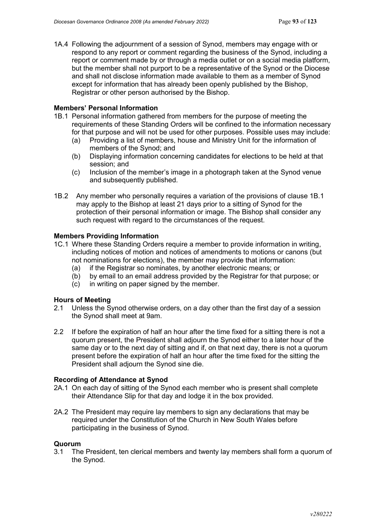1A.4 Following the adjournment of a session of Synod, members may engage with or respond to any report or comment regarding the business of the Synod, including a report or comment made by or through a media outlet or on a social media platform, but the member shall not purport to be a representative of the Synod or the Diocese and shall not disclose information made available to them as a member of Synod except for information that has already been openly published by the Bishop, Registrar or other person authorised by the Bishop.

#### **Members' Personal Information**

- 1B.1 Personal information gathered from members for the purpose of meeting the requirements of these Standing Orders will be confined to the information necessary for that purpose and will not be used for other purposes. Possible uses may include:
	- (a) Providing a list of members, house and Ministry Unit for the information of members of the Synod; and
	- (b) Displaying information concerning candidates for elections to be held at that session; and
	- (c) Inclusion of the member's image in a photograph taken at the Synod venue and subsequently published.
- 1B.2 Any member who personally requires a variation of the provisions of clause 1B.1 may apply to the Bishop at least 21 days prior to a sitting of Synod for the protection of their personal information or image. The Bishop shall consider any such request with regard to the circumstances of the request.

#### **Members Providing Information**

- 1C.1 Where these Standing Orders require a member to provide information in writing, including notices of motion and notices of amendments to motions or canons (but not nominations for elections), the member may provide that information:
	- (a) if the Registrar so nominates, by another electronic means; or
	- (b) by email to an email address provided by the Registrar for that purpose; or
	- (c) in writing on paper signed by the member.

#### **Hours of Meeting**

- 2.1 Unless the Synod otherwise orders, on a day other than the first day of a session the Synod shall meet at 9am.
- 2.2 If before the expiration of half an hour after the time fixed for a sitting there is not a quorum present, the President shall adjourn the Synod either to a later hour of the same day or to the next day of sitting and if, on that next day, there is not a quorum present before the expiration of half an hour after the time fixed for the sitting the President shall adjourn the Synod sine die.

#### **Recording of Attendance at Synod**

- 2A.1 On each day of sitting of the Synod each member who is present shall complete their Attendance Slip for that day and lodge it in the box provided.
- 2A.2 The President may require lay members to sign any declarations that may be required under the Constitution of the Church in New South Wales before participating in the business of Synod.

#### **Quorum**

3.1 The President, ten clerical members and twenty lay members shall form a quorum of the Synod.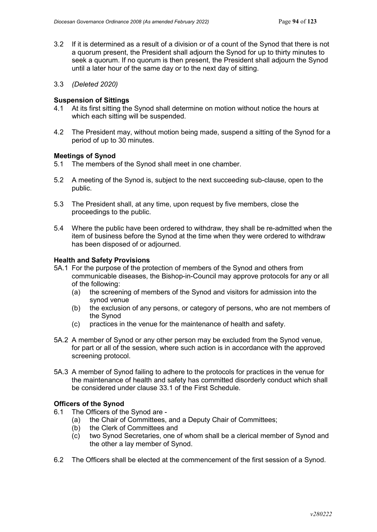- 3.2 If it is determined as a result of a division or of a count of the Synod that there is not a quorum present, the President shall adjourn the Synod for up to thirty minutes to seek a quorum. If no quorum is then present, the President shall adjourn the Synod until a later hour of the same day or to the next day of sitting.
- 3.3 *(Deleted 2020)*

#### **Suspension of Sittings**

- 4.1 At its first sitting the Synod shall determine on motion without notice the hours at which each sitting will be suspended.
- 4.2 The President may, without motion being made, suspend a sitting of the Synod for a period of up to 30 minutes.

#### **Meetings of Synod**

- 5.1 The members of the Synod shall meet in one chamber.
- 5.2 A meeting of the Synod is, subject to the next succeeding sub-clause, open to the public.
- 5.3 The President shall, at any time, upon request by five members, close the proceedings to the public.
- 5.4 Where the public have been ordered to withdraw, they shall be re-admitted when the item of business before the Synod at the time when they were ordered to withdraw has been disposed of or adjourned.

#### **Health and Safety Provisions**

- 5A.1 For the purpose of the protection of members of the Synod and others from communicable diseases, the Bishop-in-Council may approve protocols for any or all of the following:
	- (a) the screening of members of the Synod and visitors for admission into the synod venue
	- (b) the exclusion of any persons, or category of persons, who are not members of the Synod
	- (c) practices in the venue for the maintenance of health and safety.
- 5A.2 A member of Synod or any other person may be excluded from the Synod venue, for part or all of the session, where such action is in accordance with the approved screening protocol.
- 5A.3 A member of Synod failing to adhere to the protocols for practices in the venue for the maintenance of health and safety has committed disorderly conduct which shall be considered under clause 33.1 of the First Schedule.

#### **Officers of the Synod**

- 6.1 The Officers of the Synod are
	- (a) the Chair of Committees, and a Deputy Chair of Committees;<br>(b) the Clerk of Committees and
	- the Clerk of Committees and
	- (c) two Synod Secretaries, one of whom shall be a clerical member of Synod and the other a lay member of Synod.
- 6.2 The Officers shall be elected at the commencement of the first session of a Synod.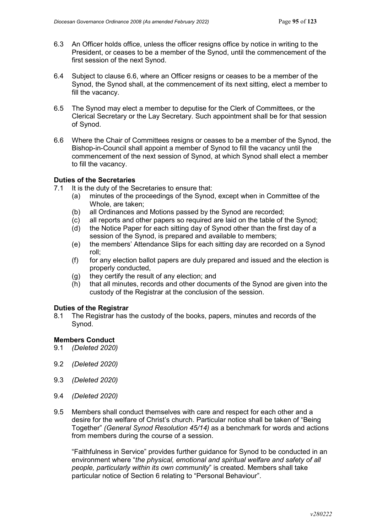- 6.3 An Officer holds office, unless the officer resigns office by notice in writing to the President, or ceases to be a member of the Synod, until the commencement of the first session of the next Synod.
- 6.4 Subject to clause 6.6, where an Officer resigns or ceases to be a member of the Synod, the Synod shall, at the commencement of its next sitting, elect a member to fill the vacancy.
- 6.5 The Synod may elect a member to deputise for the Clerk of Committees, or the Clerical Secretary or the Lay Secretary. Such appointment shall be for that session of Synod.
- 6.6 Where the Chair of Committees resigns or ceases to be a member of the Synod, the Bishop-in-Council shall appoint a member of Synod to fill the vacancy until the commencement of the next session of Synod, at which Synod shall elect a member to fill the vacancy.

#### **Duties of the Secretaries**

- 7.1 It is the duty of the Secretaries to ensure that:
	- (a) minutes of the proceedings of the Synod, except when in Committee of the Whole, are taken;
	- (b) all Ordinances and Motions passed by the Synod are recorded;
	- (c) all reports and other papers so required are laid on the table of the Synod;
	- (d) the Notice Paper for each sitting day of Synod other than the first day of a session of the Synod, is prepared and available to members;
	- (e) the members' Attendance Slips for each sitting day are recorded on a Synod roll;
	- $(f)$  for any election ballot papers are duly prepared and issued and the election is properly conducted,
	- (g) they certify the result of any election; and
	- (h) that all minutes, records and other documents of the Synod are given into the custody of the Registrar at the conclusion of the session.

#### **Duties of the Registrar**

8.1 The Registrar has the custody of the books, papers, minutes and records of the Synod.

#### **Members Conduct**

- 9.1 *(Deleted 2020)*
- 9.2 *(Deleted 2020)*
- 9.3 *(Deleted 2020)*
- 9.4 *(Deleted 2020)*
- 9.5 Members shall conduct themselves with care and respect for each other and a desire for the welfare of Christ's church. Particular notice shall be taken of "Being Together" *(General Synod Resolution 45/14)* as a benchmark for words and actions from members during the course of a session.

"Faithfulness in Service" provides further guidance for Synod to be conducted in an environment where "*the physical, emotional and spiritual welfare and safety of all people, particularly within its own community*" is created. Members shall take particular notice of Section 6 relating to "Personal Behaviour".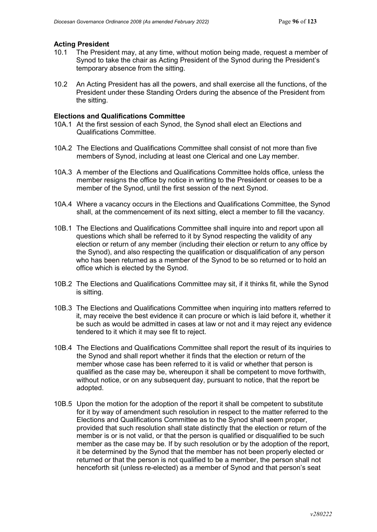# **Acting President**<br>10.1 The Preside

- The President may, at any time, without motion being made, request a member of Synod to take the chair as Acting President of the Synod during the President's temporary absence from the sitting.
- 10.2 An Acting President has all the powers, and shall exercise all the functions, of the President under these Standing Orders during the absence of the President from the sitting.

### **Elections and Qualifications Committee**

- 10A.1 At the first session of each Synod, the Synod shall elect an Elections and Qualifications Committee.
- 10A.2 The Elections and Qualifications Committee shall consist of not more than five members of Synod, including at least one Clerical and one Lay member.
- 10A.3 A member of the Elections and Qualifications Committee holds office, unless the member resigns the office by notice in writing to the President or ceases to be a member of the Synod, until the first session of the next Synod.
- 10A.4 Where a vacancy occurs in the Elections and Qualifications Committee, the Synod shall, at the commencement of its next sitting, elect a member to fill the vacancy.
- 10B.1 The Elections and Qualifications Committee shall inquire into and report upon all questions which shall be referred to it by Synod respecting the validity of any election or return of any member (including their election or return to any office by the Synod), and also respecting the qualification or disqualification of any person who has been returned as a member of the Synod to be so returned or to hold an office which is elected by the Synod.
- 10B.2 The Elections and Qualifications Committee may sit, if it thinks fit, while the Synod is sitting.
- 10B.3 The Elections and Qualifications Committee when inquiring into matters referred to it, may receive the best evidence it can procure or which is laid before it, whether it be such as would be admitted in cases at law or not and it may reject any evidence tendered to it which it may see fit to reject.
- 10B.4 The Elections and Qualifications Committee shall report the result of its inquiries to the Synod and shall report whether it finds that the election or return of the member whose case has been referred to it is valid or whether that person is qualified as the case may be, whereupon it shall be competent to move forthwith, without notice, or on any subsequent day, pursuant to notice, that the report be adopted.
- 10B.5 Upon the motion for the adoption of the report it shall be competent to substitute for it by way of amendment such resolution in respect to the matter referred to the Elections and Qualifications Committee as to the Synod shall seem proper, provided that such resolution shall state distinctly that the election or return of the member is or is not valid, or that the person is qualified or disqualified to be such member as the case may be. If by such resolution or by the adoption of the report, it be determined by the Synod that the member has not been properly elected or returned or that the person is not qualified to be a member, the person shall not henceforth sit (unless re-elected) as a member of Synod and that person's seat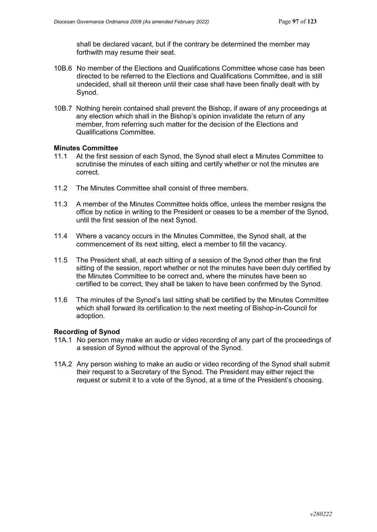shall be declared vacant, but if the contrary be determined the member may forthwith may resume their seat.

- 10B.6 No member of the Elections and Qualifications Committee whose case has been directed to be referred to the Elections and Qualifications Committee, and is still undecided, shall sit thereon until their case shall have been finally dealt with by Synod.
- 10B.7 Nothing herein contained shall prevent the Bishop, if aware of any proceedings at any election which shall in the Bishop's opinion invalidate the return of any member, from referring such matter for the decision of the Elections and Qualifications Committee.

#### **Minutes Committee**

- 11.1 At the first session of each Synod, the Synod shall elect a Minutes Committee to scrutinise the minutes of each sitting and certify whether or not the minutes are correct.
- 11.2 The Minutes Committee shall consist of three members.
- 11.3 A member of the Minutes Committee holds office, unless the member resigns the office by notice in writing to the President or ceases to be a member of the Synod, until the first session of the next Synod.
- 11.4 Where a vacancy occurs in the Minutes Committee, the Synod shall, at the commencement of its next sitting, elect a member to fill the vacancy.
- 11.5 The President shall, at each sitting of a session of the Synod other than the first sitting of the session, report whether or not the minutes have been duly certified by the Minutes Committee to be correct and, where the minutes have been so certified to be correct, they shall be taken to have been confirmed by the Synod.
- 11.6 The minutes of the Synod's last sitting shall be certified by the Minutes Committee which shall forward its certification to the next meeting of Bishop-in-Council for adoption.

### **Recording of Synod**

- 11A.1 No person may make an audio or video recording of any part of the proceedings of a session of Synod without the approval of the Synod.
- 11A.2 Any person wishing to make an audio or video recording of the Synod shall submit their request to a Secretary of the Synod. The President may either reject the request or submit it to a vote of the Synod, at a time of the President's choosing.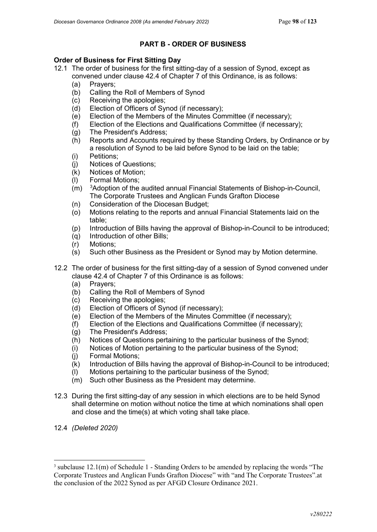### **PART B - ORDER OF BUSINESS**

#### **Order of Business for First Sitting Day**

- 12.1 The order of business for the first sitting-day of a session of Synod, except as convened under clause 42.4 of Chapter 7 of this Ordinance, is as follows:
	- (a) Prayers;
	- (b) Calling the Roll of Members of Synod
	- (c) Receiving the apologies;
	- (d) Election of Officers of Synod (if necessary);
	- (e) Election of the Members of the Minutes Committee (if necessary);
	- (f) Election of the Elections and Qualifications Committee (if necessary);
	- (g) The President's Address;
	- (h) Reports and Accounts required by these Standing Orders, by Ordinance or by a resolution of Synod to be laid before Synod to be laid on the table;
	- (i) Petitions;
	- (j) Notices of Questions;
	- (k) Notices of Motion;
	- (l) Formal Motions;
	- $(m)$ <sup>3</sup>Adoption of the audited annual Financial Statements of Bishop-in-Council, The Corporate Trustees and Anglican Funds Grafton Diocese
	- (n) Consideration of the Diocesan Budget;
	- (o) Motions relating to the reports and annual Financial Statements laid on the table;
	- (p) Introduction of Bills having the approval of Bishop-in-Council to be introduced;
	- (q) Introduction of other Bills;
	- (r) Motions;
	- (s) Such other Business as the President or Synod may by Motion determine.
- 12.2 The order of business for the first sitting-day of a session of Synod convened under clause 42.4 of Chapter 7 of this Ordinance is as follows:
	- (a) Prayers;
	- (b) Calling the Roll of Members of Synod
	- (c) Receiving the apologies;
	- Election of Officers of Synod (if necessary);
	- (e) Election of the Members of the Minutes Committee (if necessary);
	- (f) Election of the Elections and Qualifications Committee (if necessary);
	- (g) The President's Address;
	- (h) Notices of Questions pertaining to the particular business of the Synod;
	- (i) Notices of Motion pertaining to the particular business of the Synod;
	- (j) Formal Motions;
	- (k) Introduction of Bills having the approval of Bishop-in-Council to be introduced;
	- (l) Motions pertaining to the particular business of the Synod;
	- (m) Such other Business as the President may determine.
- 12.3 During the first sitting-day of any session in which elections are to be held Synod shall determine on motion without notice the time at which nominations shall open and close and the time(s) at which voting shall take place.
- 12.4 *(Deleted 2020)*

<span id="page-97-0"></span> $3$  subclause 12.1(m) of Schedule 1 - Standing Orders to be amended by replacing the words "The Corporate Trustees and Anglican Funds Grafton Diocese" with "and The Corporate Trustees".at the conclusion of the 2022 Synod as per AFGD Closure Ordinance 2021.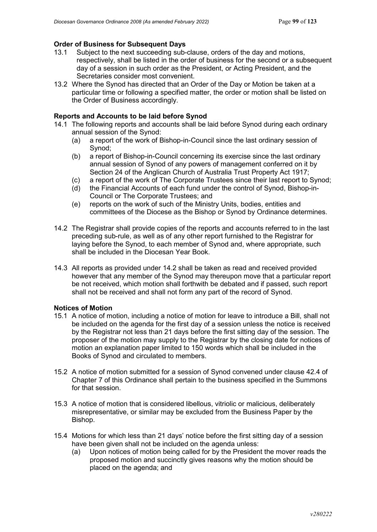#### **Order of Business for Subsequent Days**

- 13.1 Subject to the next succeeding sub-clause, orders of the day and motions, respectively, shall be listed in the order of business for the second or a subsequent day of a session in such order as the President, or Acting President, and the Secretaries consider most convenient.
- 13.2 Where the Synod has directed that an Order of the Day or Motion be taken at a particular time or following a specified matter, the order or motion shall be listed on the Order of Business accordingly.

#### **Reports and Accounts to be laid before Synod**

- 14.1 The following reports and accounts shall be laid before Synod during each ordinary annual session of the Synod:
	- (a) a report of the work of Bishop-in-Council since the last ordinary session of Synod;
	- (b) a report of Bishop-in-Council concerning its exercise since the last ordinary annual session of Synod of any powers of management conferred on it by Section 24 of the Anglican Church of Australia Trust Property Act 1917;
	- (c) a report of the work of The Corporate Trustees since their last report to Synod;
	- (d) the Financial Accounts of each fund under the control of Synod, Bishop-in-Council or The Corporate Trustees; and
	- (e) reports on the work of such of the Ministry Units, bodies, entities and committees of the Diocese as the Bishop or Synod by Ordinance determines.
- 14.2 The Registrar shall provide copies of the reports and accounts referred to in the last preceding sub-rule, as well as of any other report furnished to the Registrar for laying before the Synod, to each member of Synod and, where appropriate, such shall be included in the Diocesan Year Book.
- 14.3 All reports as provided under 14.2 shall be taken as read and received provided however that any member of the Synod may thereupon move that a particular report be not received, which motion shall forthwith be debated and if passed, such report shall not be received and shall not form any part of the record of Synod.

#### **Notices of Motion**

- 15.1 A notice of motion, including a notice of motion for leave to introduce a Bill, shall not be included on the agenda for the first day of a session unless the notice is received by the Registrar not less than 21 days before the first sitting day of the session. The proposer of the motion may supply to the Registrar by the closing date for notices of motion an explanation paper limited to 150 words which shall be included in the Books of Synod and circulated to members.
- 15.2 A notice of motion submitted for a session of Synod convened under clause 42.4 of Chapter 7 of this Ordinance shall pertain to the business specified in the Summons for that session.
- 15.3 A notice of motion that is considered libellous, vitriolic or malicious, deliberately misrepresentative, or similar may be excluded from the Business Paper by the Bishop.
- 15.4 Motions for which less than 21 days' notice before the first sitting day of a session have been given shall not be included on the agenda unless:
	- (a) Upon notices of motion being called for by the President the mover reads the proposed motion and succinctly gives reasons why the motion should be placed on the agenda; and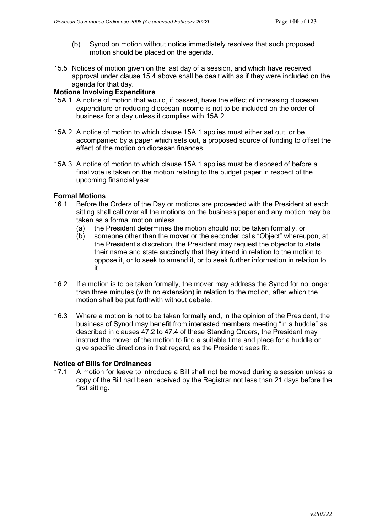- (b) Synod on motion without notice immediately resolves that such proposed motion should be placed on the agenda.
- 15.5 Notices of motion given on the last day of a session, and which have received approval under clause 15.4 above shall be dealt with as if they were included on the agenda for that day.

### **Motions Involving Expenditure**

- 15A.1 A notice of motion that would, if passed, have the effect of increasing diocesan expenditure or reducing diocesan income is not to be included on the order of business for a day unless it complies with 15A.2.
- 15A.2 A notice of motion to which clause 15A.1 applies must either set out, or be accompanied by a paper which sets out, a proposed source of funding to offset the effect of the motion on diocesan finances.
- 15A.3 A notice of motion to which clause 15A.1 applies must be disposed of before a final vote is taken on the motion relating to the budget paper in respect of the upcoming financial year.

#### **Formal Motions**

- 16.1 Before the Orders of the Day or motions are proceeded with the President at each sitting shall call over all the motions on the business paper and any motion may be taken as a formal motion unless
	- (a) the President determines the motion should not be taken formally, or
	- (b) someone other than the mover or the seconder calls "Object" whereupon, at the President's discretion, the President may request the objector to state their name and state succinctly that they intend in relation to the motion to oppose it, or to seek to amend it, or to seek further information in relation to it.
- 16.2 If a motion is to be taken formally, the mover may address the Synod for no longer than three minutes (with no extension) in relation to the motion, after which the motion shall be put forthwith without debate.
- 16.3 Where a motion is not to be taken formally and, in the opinion of the President, the business of Synod may benefit from interested members meeting "in a huddle" as described in clauses 47.2 to 47.4 of these Standing Orders, the President may instruct the mover of the motion to find a suitable time and place for a huddle or give specific directions in that regard, as the President sees fit.

## **Notice of Bills for Ordinances**<br>17.1 A motion for leave to intr

A motion for leave to introduce a Bill shall not be moved during a session unless a copy of the Bill had been received by the Registrar not less than 21 days before the first sitting.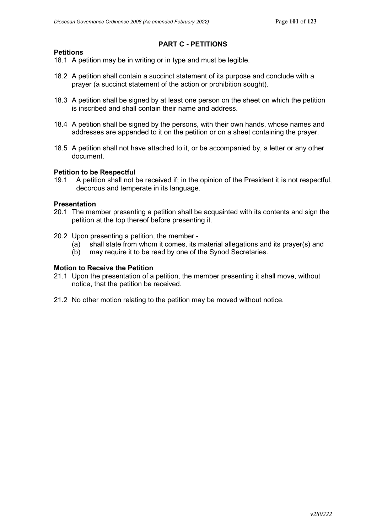### **PART C - PETITIONS**

- 18.1 A petition may be in writing or in type and must be legible.
- 18.2 A petition shall contain a succinct statement of its purpose and conclude with a prayer (a succinct statement of the action or prohibition sought).
- 18.3 A petition shall be signed by at least one person on the sheet on which the petition is inscribed and shall contain their name and address.
- 18.4 A petition shall be signed by the persons, with their own hands, whose names and addresses are appended to it on the petition or on a sheet containing the prayer.
- 18.5 A petition shall not have attached to it, or be accompanied by, a letter or any other document.

#### **Petition to be Respectful**

19.1 A petition shall not be received if; in the opinion of the President it is not respectful, decorous and temperate in its language.

#### **Presentation**

**Petitions**

- 20.1 The member presenting a petition shall be acquainted with its contents and sign the petition at the top thereof before presenting it.
- 20.2 Upon presenting a petition, the member
	- (a) shall state from whom it comes, its material allegations and its prayer(s) and
	- (b) may require it to be read by one of the Synod Secretaries.

#### **Motion to Receive the Petition**

- 21.1 Upon the presentation of a petition, the member presenting it shall move, without notice, that the petition be received.
- 21.2 No other motion relating to the petition may be moved without notice.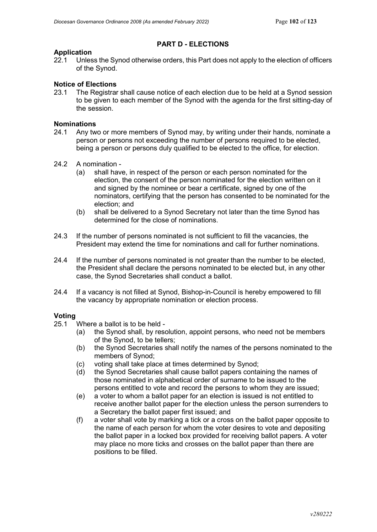### **PART D - ELECTIONS**

# **Application**<br>22.1 Unles

Unless the Synod otherwise orders, this Part does not apply to the election of officers of the Synod.

### **Notice of Elections**

23.1 The Registrar shall cause notice of each election due to be held at a Synod session to be given to each member of the Synod with the agenda for the first sitting-day of the session.

# **Nominations**<br>24.1 Any tw

- Any two or more members of Synod may, by writing under their hands, nominate a person or persons not exceeding the number of persons required to be elected, being a person or persons duly qualified to be elected to the office, for election.
- 24.2 A nomination
	- (a) shall have, in respect of the person or each person nominated for the election, the consent of the person nominated for the election written on it and signed by the nominee or bear a certificate, signed by one of the nominators, certifying that the person has consented to be nominated for the election; and
	- (b) shall be delivered to a Synod Secretary not later than the time Synod has determined for the close of nominations.
- 24.3 If the number of persons nominated is not sufficient to fill the vacancies, the President may extend the time for nominations and call for further nominations.
- 24.4 If the number of persons nominated is not greater than the number to be elected, the President shall declare the persons nominated to be elected but, in any other case, the Synod Secretaries shall conduct a ballot.
- 24.4 If a vacancy is not filled at Synod, Bishop-in-Council is hereby empowered to fill the vacancy by appropriate nomination or election process.

# **Voting**

- Where a ballot is to be held -
	- (a) the Synod shall, by resolution, appoint persons, who need not be members of the Synod, to be tellers;
	- (b) the Synod Secretaries shall notify the names of the persons nominated to the members of Synod;
	- (c) voting shall take place at times determined by Synod;
	- (d) the Synod Secretaries shall cause ballot papers containing the names of those nominated in alphabetical order of surname to be issued to the persons entitled to vote and record the persons to whom they are issued;
	- (e) a voter to whom a ballot paper for an election is issued is not entitled to receive another ballot paper for the election unless the person surrenders to a Secretary the ballot paper first issued; and
	- (f) a voter shall vote by marking a tick or a cross on the ballot paper opposite to the name of each person for whom the voter desires to vote and depositing the ballot paper in a locked box provided for receiving ballot papers. A voter may place no more ticks and crosses on the ballot paper than there are positions to be filled.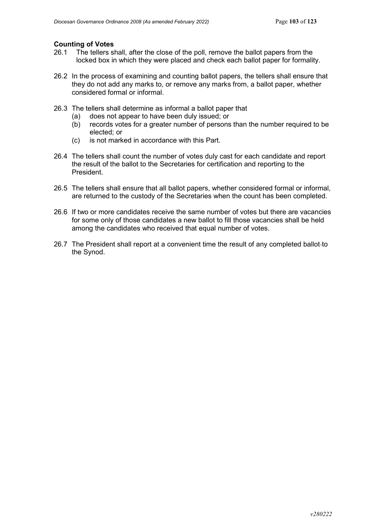# **Counting of Votes**

- The tellers shall, after the close of the poll, remove the ballot papers from the locked box in which they were placed and check each ballot paper for formality.
- 26.2 In the process of examining and counting ballot papers, the tellers shall ensure that they do not add any marks to, or remove any marks from, a ballot paper, whether considered formal or informal.
- 26.3 The tellers shall determine as informal a ballot paper that
	- (a) does not appear to have been duly issued; or
	- (b) records votes for a greater number of persons than the number required to be elected; or
	- (c) is not marked in accordance with this Part.
- 26.4 The tellers shall count the number of votes duly cast for each candidate and report the result of the ballot to the Secretaries for certification and reporting to the President.
- 26.5 The tellers shall ensure that all ballot papers, whether considered formal or informal, are returned to the custody of the Secretaries when the count has been completed.
- 26.6 If two or more candidates receive the same number of votes but there are vacancies for some only of those candidates a new ballot to fill those vacancies shall be held among the candidates who received that equal number of votes.
- 26.7 The President shall report at a convenient time the result of any completed ballot to the Synod.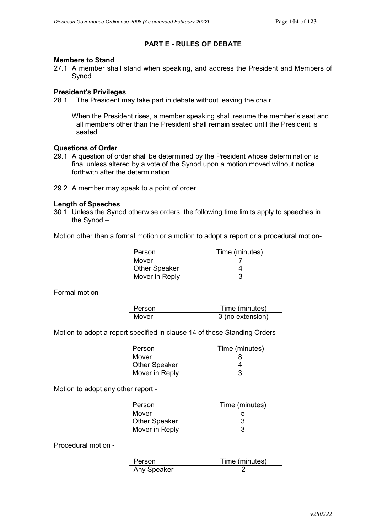### **PART E - RULES OF DEBATE**

#### **Members to Stand**

27.1 A member shall stand when speaking, and address the President and Members of Synod.

#### **President's Privileges**

28.1 The President may take part in debate without leaving the chair.

When the President rises, a member speaking shall resume the member's seat and all members other than the President shall remain seated until the President is seated.

### **Questions of Order**

- 29.1 A question of order shall be determined by the President whose determination is final unless altered by a vote of the Synod upon a motion moved without notice forthwith after the determination.
- 29.2 A member may speak to a point of order.

#### **Length of Speeches**

30.1 Unless the Synod otherwise orders, the following time limits apply to speeches in the Synod –

Motion other than a formal motion or a motion to adopt a report or a procedural motion-

| Person               | Time (minutes) |
|----------------------|----------------|
| Mover                |                |
| <b>Other Speaker</b> |                |
| Mover in Reply       |                |

Formal motion -

| Person | Time (minutes)   |
|--------|------------------|
| Mover  | 3 (no extension) |

Motion to adopt a report specified in clause 14 of these Standing Orders

| Person               | Time (minutes) |
|----------------------|----------------|
| Mover                |                |
| <b>Other Speaker</b> |                |
| Mover in Reply       |                |

Motion to adopt any other report -

| Person               | Time (minutes) |
|----------------------|----------------|
| Mover                |                |
| <b>Other Speaker</b> |                |
| Mover in Reply       |                |

Procedural motion -

| Person      | Time (minutes) |
|-------------|----------------|
| Any Speaker |                |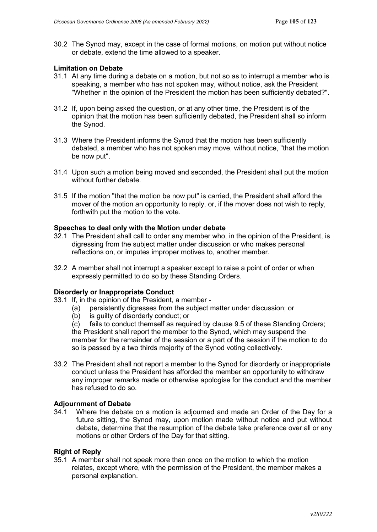30.2 The Synod may, except in the case of formal motions, on motion put without notice or debate, extend the time allowed to a speaker.

#### **Limitation on Debate**

- 31.1 At any time during a debate on a motion, but not so as to interrupt a member who is speaking, a member who has not spoken may, without notice, ask the President "Whether in the opinion of the President the motion has been sufficiently debated?".
- 31.2 If, upon being asked the question, or at any other time, the President is of the opinion that the motion has been sufficiently debated, the President shall so inform the Synod.
- 31.3 Where the President informs the Synod that the motion has been sufficiently debated, a member who has not spoken may move, without notice, "that the motion be now put".
- 31.4 Upon such a motion being moved and seconded, the President shall put the motion without further debate.
- 31.5 If the motion "that the motion be now put" is carried, the President shall afford the mover of the motion an opportunity to reply, or, if the mover does not wish to reply, forthwith put the motion to the vote.

#### **Speeches to deal only with the Motion under debate**

- 32.1 The President shall call to order any member who, in the opinion of the President, is digressing from the subject matter under discussion or who makes personal reflections on, or imputes improper motives to, another member.
- 32.2 A member shall not interrupt a speaker except to raise a point of order or when expressly permitted to do so by these Standing Orders.

#### **Disorderly or Inappropriate Conduct**

- 33.1 If, in the opinion of the President, a member
	- (a) persistently digresses from the subject matter under discussion; or
	- (b) is guilty of disorderly conduct; or

(c) fails to conduct themself as required by clause 9.5 of these Standing Orders; the President shall report the member to the Synod, which may suspend the member for the remainder of the session or a part of the session if the motion to do so is passed by a two thirds majority of the Synod voting collectively.

33.2 The President shall not report a member to the Synod for disorderly or inappropriate conduct unless the President has afforded the member an opportunity to withdraw any improper remarks made or otherwise apologise for the conduct and the member has refused to do so.

#### **Adjournment of Debate**

34.1 Where the debate on a motion is adjourned and made an Order of the Day for a future sitting, the Synod may, upon motion made without notice and put without debate, determine that the resumption of the debate take preference over all or any motions or other Orders of the Day for that sitting.

#### **Right of Reply**

35.1 A member shall not speak more than once on the motion to which the motion relates, except where, with the permission of the President, the member makes a personal explanation.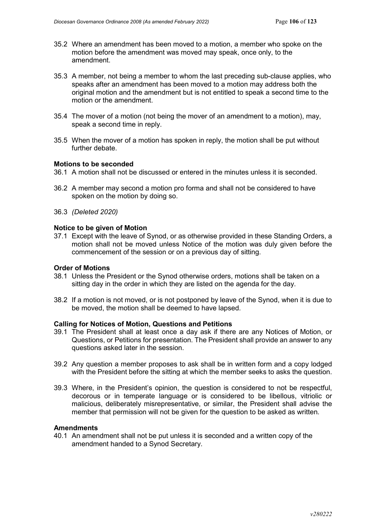- 35.2 Where an amendment has been moved to a motion, a member who spoke on the motion before the amendment was moved may speak, once only, to the amendment.
- 35.3 A member, not being a member to whom the last preceding sub-clause applies, who speaks after an amendment has been moved to a motion may address both the original motion and the amendment but is not entitled to speak a second time to the motion or the amendment.
- 35.4 The mover of a motion (not being the mover of an amendment to a motion), may, speak a second time in reply.
- 35.5 When the mover of a motion has spoken in reply, the motion shall be put without further debate.

#### **Motions to be seconded**

- 36.1 A motion shall not be discussed or entered in the minutes unless it is seconded.
- 36.2 A member may second a motion pro forma and shall not be considered to have spoken on the motion by doing so.
- 36.3 *(Deleted 2020)*

#### **Notice to be given of Motion**

37.1 Except with the leave of Synod, or as otherwise provided in these Standing Orders, a motion shall not be moved unless Notice of the motion was duly given before the commencement of the session or on a previous day of sitting.

#### **Order of Motions**

- 38.1 Unless the President or the Synod otherwise orders, motions shall be taken on a sitting day in the order in which they are listed on the agenda for the day.
- 38.2 If a motion is not moved, or is not postponed by leave of the Synod, when it is due to be moved, the motion shall be deemed to have lapsed.

#### **Calling for Notices of Motion, Questions and Petitions**

- 39.1 The President shall at least once a day ask if there are any Notices of Motion, or Questions, or Petitions for presentation. The President shall provide an answer to any questions asked later in the session.
- 39.2 Any question a member proposes to ask shall be in written form and a copy lodged with the President before the sitting at which the member seeks to asks the question.
- 39.3 Where, in the President's opinion, the question is considered to not be respectful, decorous or in temperate language or is considered to be libellous, vitriolic or malicious, deliberately misrepresentative, or similar, the President shall advise the member that permission will not be given for the question to be asked as written.

#### **Amendments**

40.1 An amendment shall not be put unless it is seconded and a written copy of the amendment handed to a Synod Secretary.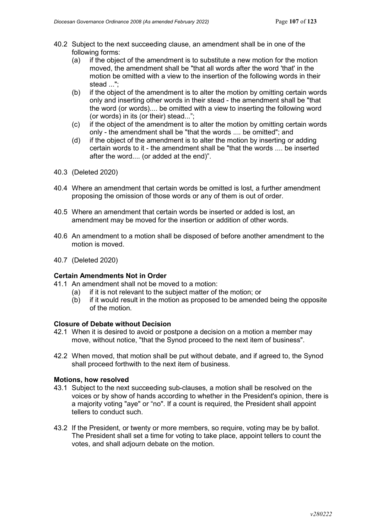- 40.2 Subject to the next succeeding clause, an amendment shall be in one of the following forms:
	- (a) if the object of the amendment is to substitute a new motion for the motion moved, the amendment shall be "that all words after the word 'that' in the motion be omitted with a view to the insertion of the following words in their stead ...";
	- (b) if the object of the amendment is to alter the motion by omitting certain words only and inserting other words in their stead - the amendment shall be "that the word (or words).... be omitted with a view to inserting the following word (or words) in its (or their) stead...";
	- (c) if the object of the amendment is to alter the motion by omitting certain words only - the amendment shall be "that the words .... be omitted"; and
	- (d) if the object of the amendment is to alter the motion by inserting or adding certain words to it - the amendment shall be "that the words .... be inserted after the word.... (or added at the end)".
- 40.3 (Deleted 2020)
- 40.4 Where an amendment that certain words be omitted is lost, a further amendment proposing the omission of those words or any of them is out of order.
- 40.5 Where an amendment that certain words be inserted or added is lost, an amendment may be moved for the insertion or addition of other words.
- 40.6 An amendment to a motion shall be disposed of before another amendment to the motion is moved.
- 40.7 (Deleted 2020)

#### **Certain Amendments Not in Order**

- 41.1 An amendment shall not be moved to a motion:
	- (a) if it is not relevant to the subject matter of the motion; or
	- (b) if it would result in the motion as proposed to be amended being the opposite of the motion.

#### **Closure of Debate without Decision**

- 42.1 When it is desired to avoid or postpone a decision on a motion a member may move, without notice, "that the Synod proceed to the next item of business".
- 42.2 When moved, that motion shall be put without debate, and if agreed to, the Synod shall proceed forthwith to the next item of business.

### **Motions, how resolved**

- 43.1 Subject to the next succeeding sub-clauses, a motion shall be resolved on the voices or by show of hands according to whether in the President's opinion, there is a majority voting "aye" or "no". If a count is required, the President shall appoint tellers to conduct such.
- 43.2 If the President, or twenty or more members, so require, voting may be by ballot. The President shall set a time for voting to take place, appoint tellers to count the votes, and shall adjourn debate on the motion.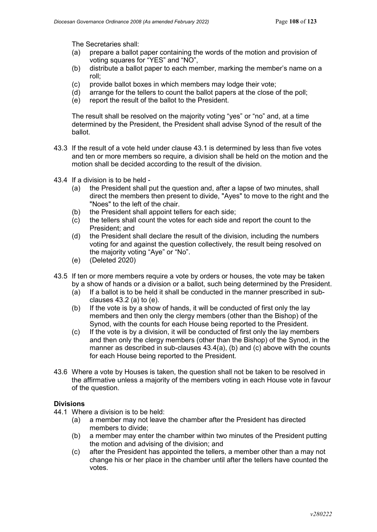The Secretaries shall:

- (a) prepare a ballot paper containing the words of the motion and provision of voting squares for "YES" and "NO",
- (b) distribute a ballot paper to each member, marking the member's name on a roll;
- (c) provide ballot boxes in which members may lodge their vote;
- (d) arrange for the tellers to count the ballot papers at the close of the poll;
- (e) report the result of the ballot to the President.

The result shall be resolved on the majority voting "yes" or "no" and, at a time determined by the President, the President shall advise Synod of the result of the ballot.

- 43.3 If the result of a vote held under clause 43.1 is determined by less than five votes and ten or more members so require, a division shall be held on the motion and the motion shall be decided according to the result of the division.
- 43.4 If a division is to be held
	- (a) the President shall put the question and, after a lapse of two minutes, shall direct the members then present to divide, "Ayes" to move to the right and the "Noes" to the left of the chair.
	- (b) the President shall appoint tellers for each side;
	- (c) the tellers shall count the votes for each side and report the count to the President; and
	- (d) the President shall declare the result of the division, including the numbers voting for and against the question collectively, the result being resolved on the majority voting "Aye" or "No".
	- (e) (Deleted 2020)
- 43.5 If ten or more members require a vote by orders or houses, the vote may be taken by a show of hands or a division or a ballot, such being determined by the President.
	- (a) If a ballot is to be held it shall be conducted in the manner prescribed in subclauses 43.2 (a) to (e).
	- (b) If the vote is by a show of hands, it will be conducted of first only the lay members and then only the clergy members (other than the Bishop) of the Synod, with the counts for each House being reported to the President.
	- (c) If the vote is by a division, it will be conducted of first only the lay members and then only the clergy members (other than the Bishop) of the Synod, in the manner as described in sub-clauses 43.4(a), (b) and (c) above with the counts for each House being reported to the President.
- 43.6 Where a vote by Houses is taken, the question shall not be taken to be resolved in the affirmative unless a majority of the members voting in each House vote in favour of the question.

#### **Divisions**

- 44.1 Where a division is to be held:
	- (a) a member may not leave the chamber after the President has directed members to divide;
	- (b) a member may enter the chamber within two minutes of the President putting the motion and advising of the division; and
	- (c) after the President has appointed the tellers, a member other than a may not change his or her place in the chamber until after the tellers have counted the votes.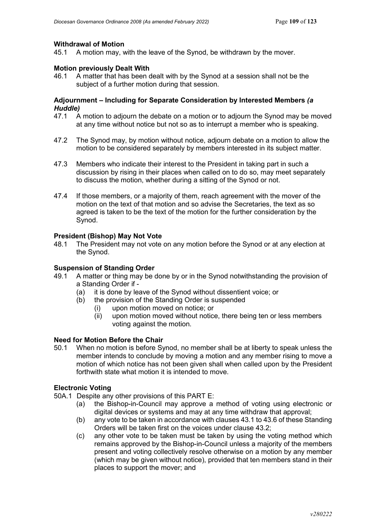#### **Withdrawal of Motion**

45.1 A motion may, with the leave of the Synod, be withdrawn by the mover.

### **Motion previously Dealt With**

46.1 A matter that has been dealt with by the Synod at a session shall not be the subject of a further motion during that session.

# **Adjournment – Including for Separate Consideration by Interested Members** *(a Huddle)*

- A motion to adjourn the debate on a motion or to adjourn the Synod may be moved at any time without notice but not so as to interrupt a member who is speaking.
- 47.2 The Synod may, by motion without notice, adjourn debate on a motion to allow the motion to be considered separately by members interested in its subject matter.
- 47.3 Members who indicate their interest to the President in taking part in such a discussion by rising in their places when called on to do so, may meet separately to discuss the motion, whether during a sitting of the Synod or not.
- 47.4 If those members, or a majority of them, reach agreement with the mover of the motion on the text of that motion and so advise the Secretaries, the text as so agreed is taken to be the text of the motion for the further consideration by the Synod.

#### **President (Bishop) May Not Vote**

48.1 The President may not vote on any motion before the Synod or at any election at the Synod.

### **Suspension of Standing Order**

- 49.1 A matter or thing may be done by or in the Synod notwithstanding the provision of a Standing Order if -
	- (a) it is done by leave of the Synod without dissentient voice; or
	- (b) the provision of the Standing Order is suspended
		- (i) upon motion moved on notice; or
		- $(iii)$  upon motion moved without notice, there being ten or less members voting against the motion.

#### **Need for Motion Before the Chair**

50.1 When no motion is before Synod, no member shall be at liberty to speak unless the member intends to conclude by moving a motion and any member rising to move a motion of which notice has not been given shall when called upon by the President forthwith state what motion it is intended to move.

## **Electronic Voting**

- 50A.1 Despite any other provisions of this PART E:
	- (a) the Bishop-in-Council may approve a method of voting using electronic or digital devices or systems and may at any time withdraw that approval;
	- (b) any vote to be taken in accordance with clauses 43.1 to 43.6 of these Standing Orders will be taken first on the voices under clause 43.2;
	- (c) any other vote to be taken must be taken by using the voting method which remains approved by the Bishop-in-Council unless a majority of the members present and voting collectively resolve otherwise on a motion by any member (which may be given without notice), provided that ten members stand in their places to support the mover; and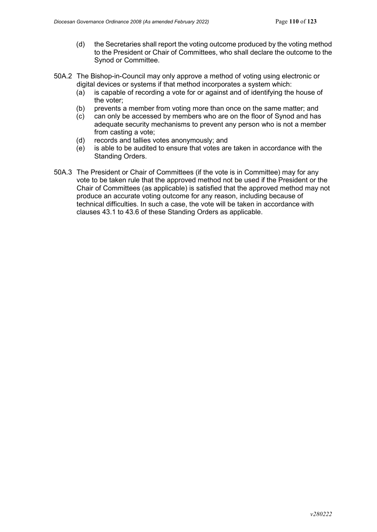- (d) the Secretaries shall report the voting outcome produced by the voting method to the President or Chair of Committees, who shall declare the outcome to the Synod or Committee.
- 50A.2 The Bishop-in-Council may only approve a method of voting using electronic or digital devices or systems if that method incorporates a system which:
	- (a) is capable of recording a vote for or against and of identifying the house of the voter;
	- (b) prevents a member from voting more than once on the same matter; and
	- (c) can only be accessed by members who are on the floor of Synod and has adequate security mechanisms to prevent any person who is not a member from casting a vote;
	- (d) records and tallies votes anonymously; and
	- (e) is able to be audited to ensure that votes are taken in accordance with the Standing Orders.
- 50A.3 The President or Chair of Committees (if the vote is in Committee) may for any vote to be taken rule that the approved method not be used if the President or the Chair of Committees (as applicable) is satisfied that the approved method may not produce an accurate voting outcome for any reason, including because of technical difficulties. In such a case, the vote will be taken in accordance with clauses 43.1 to 43.6 of these Standing Orders as applicable.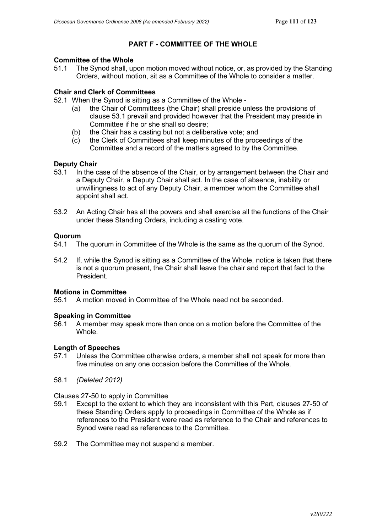# **PART F - COMMITTEE OF THE WHOLE**

# **Committee of the Whole**<br>51.1 The Synod shall ur

The Synod shall, upon motion moved without notice, or, as provided by the Standing Orders, without motion, sit as a Committee of the Whole to consider a matter.

## **Chair and Clerk of Committees**

- 52.1 When the Synod is sitting as a Committee of the Whole
	- (a) the Chair of Committees (the Chair) shall preside unless the provisions of clause 53.1 prevail and provided however that the President may preside in Committee if he or she shall so desire;
	- (b) the Chair has a casting but not a deliberative vote; and
	- (c) the Clerk of Committees shall keep minutes of the proceedings of the Committee and a record of the matters agreed to by the Committee.

## **Deputy Chair**

- 53.1 In the case of the absence of the Chair, or by arrangement between the Chair and a Deputy Chair, a Deputy Chair shall act. In the case of absence, inability or unwillingness to act of any Deputy Chair, a member whom the Committee shall appoint shall act.
- 53.2 An Acting Chair has all the powers and shall exercise all the functions of the Chair under these Standing Orders, including a casting vote.

# **Quorum**<br>54.1 T

- The quorum in Committee of the Whole is the same as the quorum of the Synod.
- 54.2 If, while the Synod is sitting as a Committee of the Whole, notice is taken that there is not a quorum present, the Chair shall leave the chair and report that fact to the President.

#### **Motions in Committee**

55.1 A motion moved in Committee of the Whole need not be seconded.

# **Speaking in Committee**<br>56.1 A member may sp

56.1 A member may speak more than once on a motion before the Committee of the Whole.

#### **Length of Speeches**

- 57.1 Unless the Committee otherwise orders, a member shall not speak for more than five minutes on any one occasion before the Committee of the Whole.
- 58.1 *(Deleted 2012)*

Clauses 27-50 to apply in Committee

- 59.1 Except to the extent to which they are inconsistent with this Part, clauses 27-50 of these Standing Orders apply to proceedings in Committee of the Whole as if references to the President were read as reference to the Chair and references to Synod were read as references to the Committee.
- 59.2 The Committee may not suspend a member.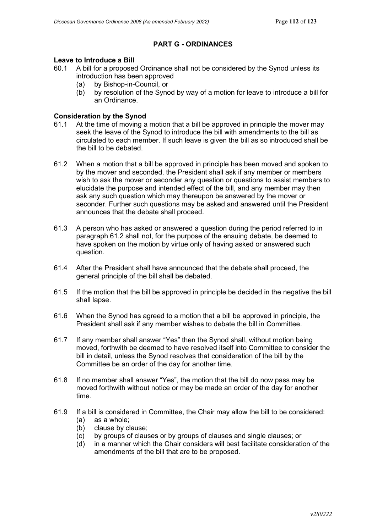# **PART G - ORDINANCES**

# **Leave to Introduce a Bill**<br>60.1 A bill for a proposed

- 60.1 A bill for a proposed Ordinance shall not be considered by the Synod unless its introduction has been approved
	- (a) by Bishop-in-Council, or
	- (b) by resolution of the Synod by way of a motion for leave to introduce a bill for an Ordinance.

#### **Consideration by the Synod**

- 61.1 At the time of moving a motion that a bill be approved in principle the mover may seek the leave of the Synod to introduce the bill with amendments to the bill as circulated to each member. If such leave is given the bill as so introduced shall be the bill to be debated.
- 61.2 When a motion that a bill be approved in principle has been moved and spoken to by the mover and seconded, the President shall ask if any member or members wish to ask the mover or seconder any question or questions to assist members to elucidate the purpose and intended effect of the bill, and any member may then ask any such question which may thereupon be answered by the mover or seconder. Further such questions may be asked and answered until the President announces that the debate shall proceed.
- 61.3 A person who has asked or answered a question during the period referred to in paragraph 61.2 shall not, for the purpose of the ensuing debate, be deemed to have spoken on the motion by virtue only of having asked or answered such question.
- 61.4 After the President shall have announced that the debate shall proceed, the general principle of the bill shall be debated.
- 61.5 If the motion that the bill be approved in principle be decided in the negative the bill shall lapse.
- 61.6 When the Synod has agreed to a motion that a bill be approved in principle, the President shall ask if any member wishes to debate the bill in Committee.
- 61.7 If any member shall answer "Yes" then the Synod shall, without motion being moved, forthwith be deemed to have resolved itself into Committee to consider the bill in detail, unless the Synod resolves that consideration of the bill by the Committee be an order of the day for another time.
- 61.8 If no member shall answer "Yes", the motion that the bill do now pass may be moved forthwith without notice or may be made an order of the day for another time.
- 61.9 If a bill is considered in Committee, the Chair may allow the bill to be considered:
	- (a) as a whole;<br>(b) clause by cl
	- clause by clause:
	- (c) by groups of clauses or by groups of clauses and single clauses; or
	- (d) in a manner which the Chair considers will best facilitate consideration of the amendments of the bill that are to be proposed.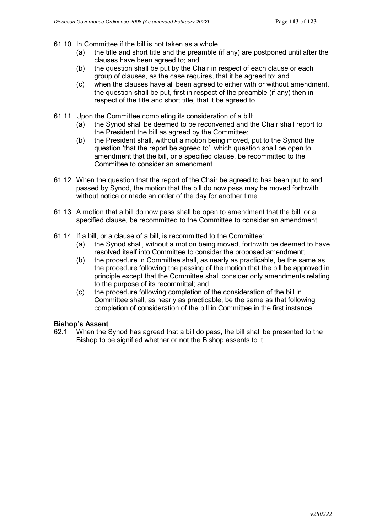- 61.10 In Committee if the bill is not taken as a whole:
	- (a) the title and short title and the preamble (if any) are postponed until after the clauses have been agreed to; and
	- (b) the question shall be put by the Chair in respect of each clause or each group of clauses, as the case requires, that it be agreed to; and
	- (c) when the clauses have all been agreed to either with or without amendment, the question shall be put, first in respect of the preamble (if any) then in respect of the title and short title, that it be agreed to.
- 61.11 Upon the Committee completing its consideration of a bill:
	- (a) the Synod shall be deemed to be reconvened and the Chair shall report to the President the bill as agreed by the Committee;
	- (b) the President shall, without a motion being moved, put to the Synod the question 'that the report be agreed to': which question shall be open to amendment that the bill, or a specified clause, be recommitted to the Committee to consider an amendment.
- 61.12 When the question that the report of the Chair be agreed to has been put to and passed by Synod, the motion that the bill do now pass may be moved forthwith without notice or made an order of the day for another time.
- 61.13 A motion that a bill do now pass shall be open to amendment that the bill, or a specified clause, be recommitted to the Committee to consider an amendment.
- 61.14 If a bill, or a clause of a bill, is recommitted to the Committee:
	- (a) the Synod shall, without a motion being moved, forthwith be deemed to have resolved itself into Committee to consider the proposed amendment;
	- (b) the procedure in Committee shall, as nearly as practicable, be the same as the procedure following the passing of the motion that the bill be approved in principle except that the Committee shall consider only amendments relating to the purpose of its recommittal; and
	- (c) the procedure following completion of the consideration of the bill in Committee shall, as nearly as practicable, be the same as that following completion of consideration of the bill in Committee in the first instance.

#### **Bishop's Assent**

62.1 When the Synod has agreed that a bill do pass, the bill shall be presented to the Bishop to be signified whether or not the Bishop assents to it.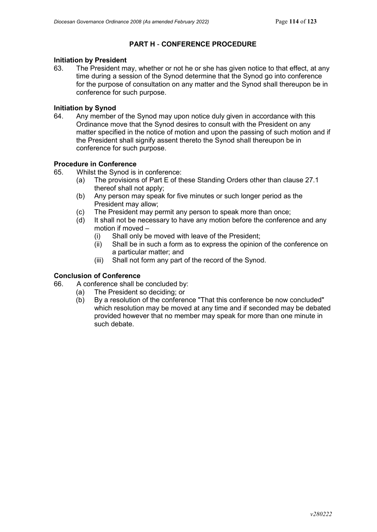# **PART H** - **CONFERENCE PROCEDURE**

# **Initiation by President**

The President may, whether or not he or she has given notice to that effect, at any time during a session of the Synod determine that the Synod go into conference for the purpose of consultation on any matter and the Synod shall thereupon be in conference for such purpose.

# **Initiation by Synod**<br>64. Any member

Any member of the Synod may upon notice duly given in accordance with this Ordinance move that the Synod desires to consult with the President on any matter specified in the notice of motion and upon the passing of such motion and if the President shall signify assent thereto the Synod shall thereupon be in conference for such purpose.

## **Procedure in Conference**

- 65. Whilst the Synod is in conference:
	- (a) The provisions of Part E of these Standing Orders other than clause 27.1 thereof shall not apply;
	- (b) Any person may speak for five minutes or such longer period as the President may allow;
	- (c) The President may permit any person to speak more than once;
	- (d) It shall not be necessary to have any motion before the conference and any motion if moved –
		- (i) Shall only be moved with leave of the President;
		- (ii) Shall be in such a form as to express the opinion of the conference on a particular matter; and
		- (iii) Shall not form any part of the record of the Synod.

## **Conclusion of Conference**

- 66. A conference shall be concluded by:
	- (a) The President so deciding; or
	- (b) By a resolution of the conference "That this conference be now concluded" which resolution may be moved at any time and if seconded may be debated provided however that no member may speak for more than one minute in such debate.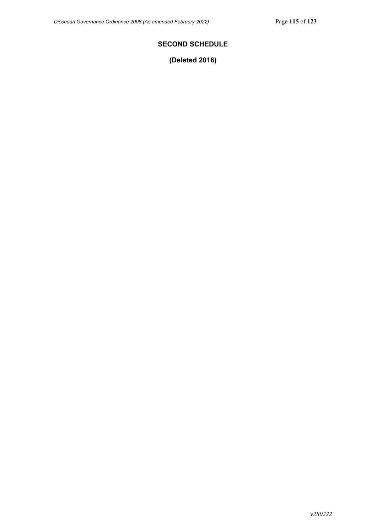# **SECOND SCHEDULE**

**(Deleted 2016)**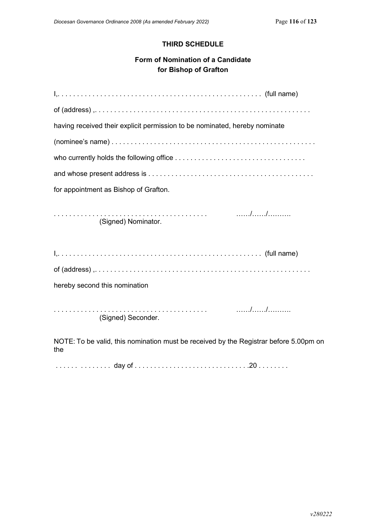# **THIRD SCHEDULE**

# **Form of Nomination of a Candidate for Bishop of Grafton**

| having received their explicit permission to be nominated, hereby nominate                        |
|---------------------------------------------------------------------------------------------------|
|                                                                                                   |
|                                                                                                   |
|                                                                                                   |
| for appointment as Bishop of Grafton.                                                             |
| (Signed) Nominator.                                                                               |
|                                                                                                   |
|                                                                                                   |
| hereby second this nomination                                                                     |
| (Signed) Seconder.                                                                                |
| $MOTF$ , $T_2$ be valid this nomination must be resolved by the Degistrer before $E.00 \text{nm}$ |

NOTE: To be valid, this nomination must be received by the Registrar before 5.00pm on the

. . . . . . . . . . . . . . day of . . . . . . . . . . . . . . . . . . . . . . . . . . . . . .20 . . . . . . . .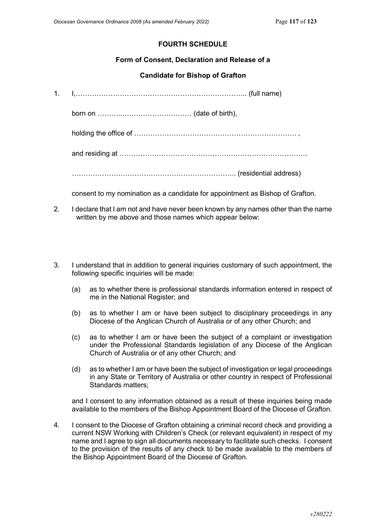# **FOURTH SCHEDULE**

### **Form of Consent, Declaration and Release of a**

## **Candidate for Bishop of Grafton**

1. I,……………………………………………………………….. (full name)

born on ………..………………………… (date of birth),

holding the office of ……………………………………………………………. ,

and residing at ………………………………………………………………………

…………………………………………………………….. (residential address)

consent to my nomination as a candidate for appointment as Bishop of Grafton.

- 2. I declare that I am not and have never been known by any names other than the name written by me above and those names which appear below:
- 3. I understand that in addition to general inquiries customary of such appointment, the following specific inquiries will be made:
	- (a) as to whether there is professional standards information entered in respect of me in the National Register; and
	- (b) as to whether I am or have been subject to disciplinary proceedings in any Diocese of the Anglican Church of Australia or of any other Church; and
	- (c) as to whether I am or have been the subject of a complaint or investigation under the Professional Standards legislation of any Diocese of the Anglican Church of Australia or of any other Church; and
	- (d) as to whether I am or have been the subject of investigation or legal proceedings in any State or Territory of Australia or other country in respect of Professional Standards matters;

and I consent to any information obtained as a result of these inquiries being made available to the members of the Bishop Appointment Board of the Diocese of Grafton.

4. I consent to the Diocese of Grafton obtaining a criminal record check and providing a current NSW Working with Children's Check (or relevant equivalent) in respect of my name and I agree to sign all documents necessary to facilitate such checks. I consent to the provision of the results of any check to be made available to the members of the Bishop Appointment Board of the Diocese of Grafton.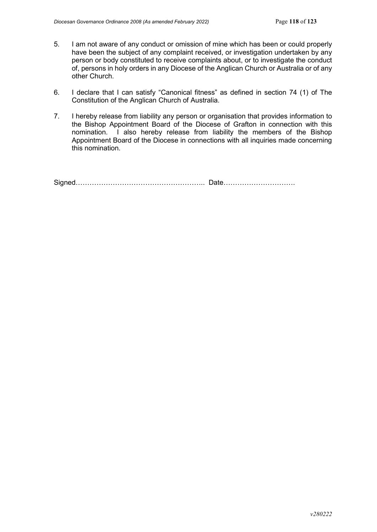- 5. I am not aware of any conduct or omission of mine which has been or could properly have been the subject of any complaint received, or investigation undertaken by any person or body constituted to receive complaints about, or to investigate the conduct of, persons in holy orders in any Diocese of the Anglican Church or Australia or of any other Church.
- 6. I declare that I can satisfy "Canonical fitness" as defined in section 74 (1) of The Constitution of the Anglican Church of Australia.
- 7. I hereby release from liability any person or organisation that provides information to the Bishop Appointment Board of the Diocese of Grafton in connection with this nomination. I also hereby release from liability the members of the Bishop Appointment Board of the Diocese in connections with all inquiries made concerning this nomination.

Signed……………………………………………….. Date………………………….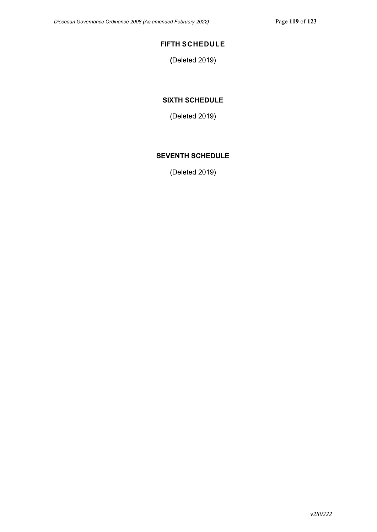# **FIFTH SCHEDULE**

**(**Deleted 2019)

## **SIXTH SCHEDULE**

(Deleted 2019)

# **SEVENTH SCHEDULE**

(Deleted 2019)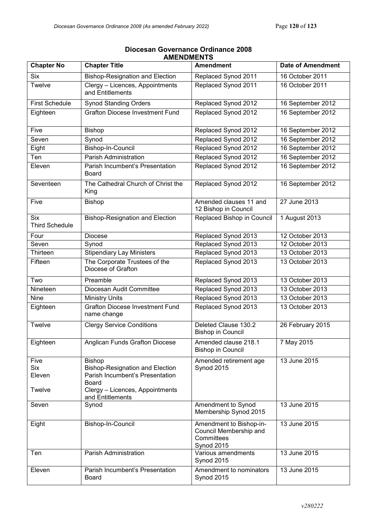| <b>Chapter No</b>                   | AMENDMEN I J<br><b>Chapter Title</b>                                                                                                                              | <b>Amendment</b>                                                                     | <b>Date of Amendment</b> |
|-------------------------------------|-------------------------------------------------------------------------------------------------------------------------------------------------------------------|--------------------------------------------------------------------------------------|--------------------------|
|                                     |                                                                                                                                                                   |                                                                                      |                          |
| <b>Six</b>                          | <b>Bishop-Resignation and Election</b>                                                                                                                            | Replaced Synod 2011                                                                  | 16 October 2011          |
| Twelve                              | Clergy - Licences, Appointments<br>and Entitlements                                                                                                               | Replaced Synod 2011                                                                  | 16 October 2011          |
| <b>First Schedule</b>               | <b>Synod Standing Orders</b>                                                                                                                                      | Replaced Synod 2012                                                                  | 16 September 2012        |
| Eighteen                            | <b>Grafton Diocese Investment Fund</b>                                                                                                                            | Replaced Synod 2012                                                                  | 16 September 2012        |
| Five                                | <b>Bishop</b>                                                                                                                                                     | Replaced Synod 2012                                                                  | 16 September 2012        |
| Seven                               | Synod                                                                                                                                                             | Replaced Synod 2012                                                                  | 16 September 2012        |
| Eight                               | Bishop-In-Council                                                                                                                                                 | Replaced Synod 2012                                                                  | 16 September 2012        |
| Ten                                 | Parish Administration                                                                                                                                             | Replaced Synod 2012                                                                  | 16 September 2012        |
| Eleven                              | Parish Incumbent's Presentation<br><b>Board</b>                                                                                                                   | Replaced Synod 2012                                                                  | 16 September 2012        |
| Seventeen                           | The Cathedral Church of Christ the<br>King                                                                                                                        | Replaced Synod 2012                                                                  | 16 September 2012        |
| Five                                | <b>Bishop</b>                                                                                                                                                     | Amended clauses 11 and<br>12 Bishop in Council                                       | 27 June 2013             |
| <b>Six</b><br><b>Third Schedule</b> | <b>Bishop-Resignation and Election</b>                                                                                                                            | Replaced Bishop in Council                                                           | 1 August 2013            |
| Four                                | <b>Diocese</b>                                                                                                                                                    | Replaced Synod 2013                                                                  | 12 October 2013          |
| Seven                               | Synod                                                                                                                                                             | Replaced Synod 2013                                                                  | 12 October 2013          |
| Thirteen                            | <b>Stipendiary Lay Ministers</b>                                                                                                                                  | Replaced Synod 2013                                                                  | 13 October 2013          |
| Fifteen                             | The Corporate Trustees of the<br>Diocese of Grafton                                                                                                               | Replaced Synod 2013                                                                  | 13 October 2013          |
| Two                                 | Preamble                                                                                                                                                          | Replaced Synod 2013                                                                  | 13 October 2013          |
| Nineteen                            | Diocesan Audit Committee                                                                                                                                          | Replaced Synod 2013                                                                  | 13 October 2013          |
| Nine                                | <b>Ministry Units</b>                                                                                                                                             | Replaced Synod 2013                                                                  | 13 October 2013          |
| Eighteen                            | <b>Grafton Diocese Investment Fund</b><br>name change                                                                                                             | Replaced Synod 2013                                                                  | 13 October 2013          |
| Twelve                              | <b>Clergy Service Conditions</b>                                                                                                                                  | Deleted Clause 130.2<br><b>Bishop in Council</b>                                     | 26 February 2015         |
| Eighteen                            | <b>Anglican Funds Grafton Diocese</b>                                                                                                                             | Amended clause 218.1<br><b>Bishop in Council</b>                                     | 7 May 2015               |
| Five<br>Six<br>Eleven<br>Twelve     | <b>Bishop</b><br><b>Bishop-Resignation and Election</b><br>Parish Incumbent's Presentation<br><b>Board</b><br>Clergy - Licences, Appointments<br>and Entitlements | Amended retirement age<br><b>Synod 2015</b>                                          | 13 June 2015             |
| Seven                               | Synod                                                                                                                                                             | Amendment to Synod<br>Membership Synod 2015                                          | 13 June 2015             |
| Eight                               | Bishop-In-Council                                                                                                                                                 | Amendment to Bishop-in-<br>Council Membership and<br>Committees<br><b>Synod 2015</b> | 13 June 2015             |
| Ten                                 | Parish Administration                                                                                                                                             | Various amendments<br><b>Synod 2015</b>                                              | 13 June 2015             |
| Eleven                              | Parish Incumbent's Presentation<br><b>Board</b>                                                                                                                   | Amendment to nominators<br>Synod 2015                                                | 13 June 2015             |

### **Diocesan Governance Ordinance 2008 AMENDMENTS**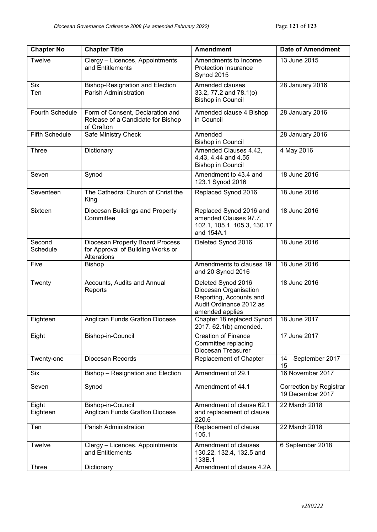| <b>Chapter No</b>      | <b>Chapter Title</b>                                                                | <b>Amendment</b>                                                                                                     | <b>Date of Amendment</b>                    |
|------------------------|-------------------------------------------------------------------------------------|----------------------------------------------------------------------------------------------------------------------|---------------------------------------------|
| Twelve                 | Clergy - Licences, Appointments<br>and Entitlements                                 | Amendments to Income<br><b>Protection Insurance</b><br><b>Synod 2015</b>                                             | 13 June 2015                                |
| <b>Six</b><br>Ten      | <b>Bishop-Resignation and Election</b><br><b>Parish Administration</b>              | Amended clauses<br>33.2, 77.2 and 78.1(o)<br><b>Bishop in Council</b>                                                | 28 January 2016                             |
| <b>Fourth Schedule</b> | Form of Consent, Declaration and<br>Release of a Candidate for Bishop<br>of Grafton | Amended clause 4 Bishop<br>in Council                                                                                | 28 January 2016                             |
| <b>Fifth Schedule</b>  | Safe Ministry Check                                                                 | Amended<br><b>Bishop in Council</b>                                                                                  | 28 January 2016                             |
| Three                  | Dictionary                                                                          | Amended Clauses 4.42,<br>4.43, 4.44 and 4.55<br><b>Bishop in Council</b>                                             | 4 May 2016                                  |
| Seven                  | Synod                                                                               | Amendment to 43.4 and<br>123.1 Synod 2016                                                                            | 18 June 2016                                |
| Seventeen              | The Cathedral Church of Christ the<br>King                                          | Replaced Synod 2016                                                                                                  | 18 June 2016                                |
| Sixteen                | Diocesan Buildings and Property<br>Committee                                        | Replaced Synod 2016 and<br>amended Clauses 97.7,<br>102.1, 105.1, 105.3, 130.17<br>and 154A.1                        | 18 June 2016                                |
| Second<br>Schedule     | Diocesan Property Board Process<br>for Approval of Building Works or<br>Alterations | Deleted Synod 2016                                                                                                   | 18 June 2016                                |
| Five                   | <b>Bishop</b>                                                                       | Amendments to clauses 19<br>and 20 Synod 2016                                                                        | 18 June 2016                                |
| Twenty                 | Accounts, Audits and Annual<br>Reports                                              | Deleted Synod 2016<br>Diocesan Organisation<br>Reporting, Accounts and<br>Audit Ordinance 2012 as<br>amended applies | 18 June 2016                                |
| Eighteen               | Anglican Funds Grafton Diocese                                                      | Chapter 18 replaced Synod<br>2017. 62.1(b) amended.                                                                  | 18 June 2017                                |
| Eight                  | Bishop-in-Council                                                                   | <b>Creation of Finance</b><br>Committee replacing<br>Diocesan Treasurer                                              | 17 June 2017                                |
| Twenty-one             | Diocesan Records                                                                    | Replacement of Chapter                                                                                               | September 2017<br>14<br>15                  |
| Six                    | Bishop - Resignation and Election                                                   | Amendment of 29.1                                                                                                    | 16 November 2017                            |
| Seven                  | Synod                                                                               | Amendment of 44.1                                                                                                    | Correction by Registrar<br>19 December 2017 |
| Eight<br>Eighteen      | Bishop-in-Council<br>Anglican Funds Grafton Diocese                                 | Amendment of clause 62.1<br>and replacement of clause<br>220.6                                                       | 22 March 2018                               |
| Ten                    | Parish Administration                                                               | Replacement of clause<br>105.1                                                                                       | 22 March 2018                               |
| Twelve                 | Clergy - Licences, Appointments<br>and Entitlements                                 | Amendment of clauses<br>130.22, 132.4, 132.5 and<br>133B.1                                                           | 6 September 2018                            |
| <b>Three</b>           | Dictionary                                                                          | Amendment of clause 4.2A                                                                                             |                                             |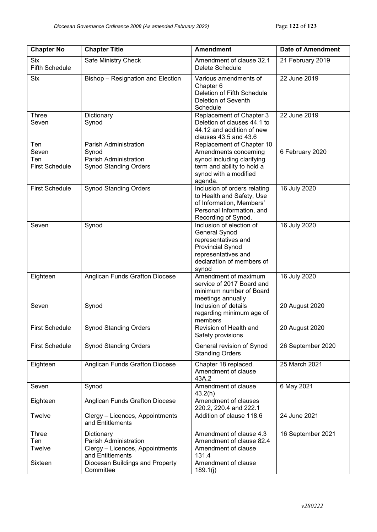| <b>Chapter No</b>                            | <b>Chapter Title</b>                                                                                                          | <b>Amendment</b>                                                                                                                                         | <b>Date of Amendment</b> |
|----------------------------------------------|-------------------------------------------------------------------------------------------------------------------------------|----------------------------------------------------------------------------------------------------------------------------------------------------------|--------------------------|
| <b>Six</b><br><b>Fifth Schedule</b>          | Safe Ministry Check                                                                                                           | Amendment of clause 32.1<br><b>Delete Schedule</b>                                                                                                       | 21 February 2019         |
| <b>Six</b>                                   | Bishop - Resignation and Election                                                                                             | Various amendments of<br>Chapter 6<br>Deletion of Fifth Schedule<br>Deletion of Seventh<br>Schedule                                                      | 22 June 2019             |
| Three<br>Seven                               | Dictionary<br>Synod                                                                                                           | Replacement of Chapter 3<br>Deletion of clauses 44.1 to<br>44.12 and addition of new<br>clauses 43.5 and 43.6                                            | 22 June 2019             |
| Ten<br>Seven<br>Ten<br><b>First Schedule</b> | Parish Administration<br>Synod<br><b>Parish Administration</b><br><b>Synod Standing Orders</b>                                | Replacement of Chapter 10<br>Amendments concerning<br>synod including clarifying<br>term and ability to hold a<br>synod with a modified<br>agenda.       | 6 February 2020          |
| <b>First Schedule</b>                        | <b>Synod Standing Orders</b>                                                                                                  | Inclusion of orders relating<br>to Health and Safety, Use<br>of Information, Members'<br>Personal Information, and<br>Recording of Synod.                | 16 July 2020             |
| Seven                                        | Synod                                                                                                                         | Inclusion of election of<br>General Synod<br>representatives and<br><b>Provincial Synod</b><br>representatives and<br>declaration of members of<br>synod | 16 July 2020             |
| Eighteen                                     | Anglican Funds Grafton Diocese                                                                                                | Amendment of maximum<br>service of 2017 Board and<br>minimum number of Board<br>meetings annually                                                        | 16 July 2020             |
| Seven                                        | Synod                                                                                                                         | Inclusion of details<br>regarding minimum age of<br>members                                                                                              | 20 August 2020           |
| <b>First Schedule</b>                        | <b>Synod Standing Orders</b>                                                                                                  | Revision of Health and<br>Safety provisions                                                                                                              | 20 August 2020           |
| <b>First Schedule</b>                        | <b>Synod Standing Orders</b>                                                                                                  | General revision of Synod<br><b>Standing Orders</b>                                                                                                      | 26 September 2020        |
| Eighteen                                     | Anglican Funds Grafton Diocese                                                                                                | Chapter 18 replaced.<br>Amendment of clause<br>43A.2                                                                                                     | 25 March 2021            |
| Seven                                        | Synod                                                                                                                         | Amendment of clause<br>43.2(h)                                                                                                                           | 6 May 2021               |
| Eighteen<br><b>Twelve</b>                    | Anglican Funds Grafton Diocese<br>Clergy - Licences, Appointments                                                             | Amendment of clauses<br>220.2, 220.4 and 222.1<br>Addition of clause 118.6                                                                               | 24 June 2021             |
|                                              | and Entitlements                                                                                                              |                                                                                                                                                          |                          |
| Three<br>Ten<br>Twelve<br>Sixteen            | Dictionary<br>Parish Administration<br>Clergy - Licences, Appointments<br>and Entitlements<br>Diocesan Buildings and Property | Amendment of clause 4.3<br>Amendment of clause 82.4<br>Amendment of clause<br>131.4<br>Amendment of clause                                               | 16 September 2021        |
|                                              | Committee                                                                                                                     | 189.1(j)                                                                                                                                                 |                          |